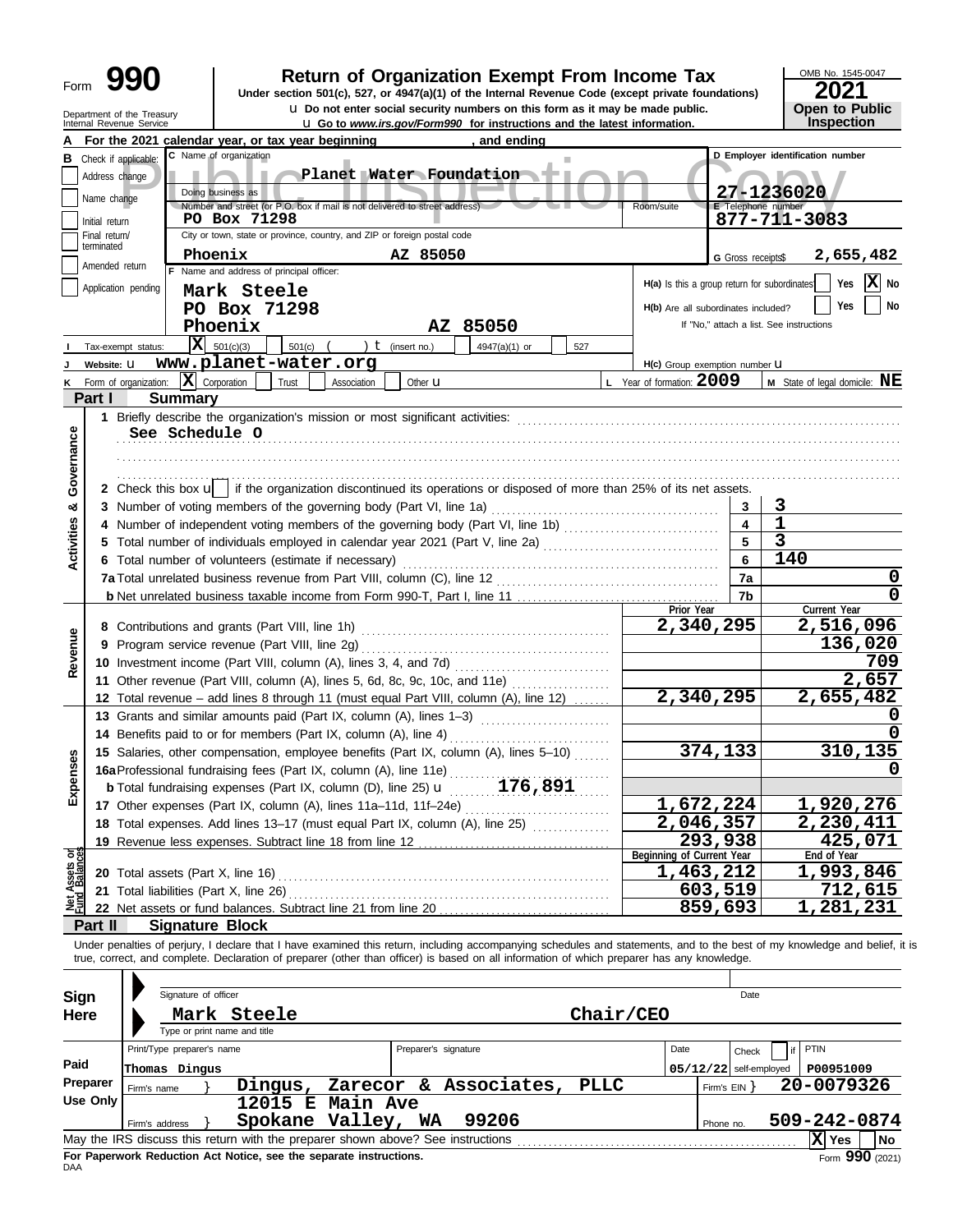Department of the Treasury<br>Internal Revenue Service

# **990 2021 2010 2016 2021 Depend on Exempt From Income Tax 2021 2021 2021**

**u** Do not enter social security numbers on this form as it may be made public.

**u** Go to *www.irs.gov/Form990* for instructions and the latest information.

OMB No. 1545-0047 **Open to Public<br>Inspection** 

|                                |                                                                                           |                       |                                                                                             | For the 2021 calendar year, or tax year beginning                                                                                                                          |                      | and ending            |              |                                              |                          |                                          |                                        |  |
|--------------------------------|-------------------------------------------------------------------------------------------|-----------------------|---------------------------------------------------------------------------------------------|----------------------------------------------------------------------------------------------------------------------------------------------------------------------------|----------------------|-----------------------|--------------|----------------------------------------------|--------------------------|------------------------------------------|----------------------------------------|--|
| в                              | Check if applicable:                                                                      |                       | C Name of organization                                                                      |                                                                                                                                                                            |                      |                       |              |                                              |                          | D Employer identification number         |                                        |  |
|                                | Address change                                                                            |                       |                                                                                             | Planet Water Foundation                                                                                                                                                    |                      |                       |              |                                              |                          |                                          |                                        |  |
|                                | Name change                                                                               |                       | Doing business as                                                                           |                                                                                                                                                                            |                      |                       |              |                                              |                          | 27-1236020                               |                                        |  |
|                                | Initial return                                                                            |                       | Number and street (or P.O. box if mail is not delivered to street address).<br>PO Box 71298 | Room/suite                                                                                                                                                                 | E Telephone number   | 877-711-3083          |              |                                              |                          |                                          |                                        |  |
|                                | City or town, state or province, country, and ZIP or foreign postal code<br>Final return/ |                       |                                                                                             |                                                                                                                                                                            |                      |                       |              |                                              |                          |                                          |                                        |  |
|                                | terminated<br>AZ 85050<br>2,655,482<br>Phoenix<br>G Gross receipts\$                      |                       |                                                                                             |                                                                                                                                                                            |                      |                       |              |                                              |                          |                                          |                                        |  |
|                                | Amended return                                                                            |                       | F Name and address of principal officer:                                                    |                                                                                                                                                                            |                      |                       |              |                                              |                          |                                          |                                        |  |
|                                | Application pending                                                                       |                       | Mark Steele                                                                                 |                                                                                                                                                                            |                      |                       |              | H(a) Is this a group return for subordinates |                          |                                          | lxl<br>No<br>Yes                       |  |
|                                |                                                                                           |                       | PO Box 71298                                                                                |                                                                                                                                                                            |                      |                       |              | H(b) Are all subordinates included?          |                          |                                          | Yes<br>No                              |  |
|                                |                                                                                           |                       | Phoenix                                                                                     |                                                                                                                                                                            |                      | AZ 85050              |              |                                              |                          | If "No," attach a list. See instructions |                                        |  |
|                                |                                                                                           | Tax-exempt status:    | $ \mathbf{X} $ 501(c)(3)                                                                    | 501(c)                                                                                                                                                                     | ) $t$ (insert no.)   | 4947(a)(1) or         | 527          |                                              |                          |                                          |                                        |  |
|                                | Website: U                                                                                |                       |                                                                                             | www.planet-water.org                                                                                                                                                       |                      |                       |              | H(c) Group exemption number <b>U</b>         |                          |                                          |                                        |  |
| ĸ                              |                                                                                           | Form of organization: | X<br>Corporation                                                                            | Trust<br>Association                                                                                                                                                       | Other <b>u</b>       |                       |              | L Year of formation: $2009$                  |                          |                                          | <b>M</b> State of legal domicile: $NE$ |  |
|                                | Part I                                                                                    |                       | <b>Summary</b>                                                                              |                                                                                                                                                                            |                      |                       |              |                                              |                          |                                          |                                        |  |
|                                |                                                                                           |                       |                                                                                             | 1 Briefly describe the organization's mission or most significant activities:                                                                                              |                      |                       |              |                                              |                          |                                          |                                        |  |
|                                |                                                                                           |                       | See Schedule O                                                                              |                                                                                                                                                                            |                      |                       |              |                                              |                          |                                          |                                        |  |
|                                |                                                                                           |                       |                                                                                             |                                                                                                                                                                            |                      |                       |              |                                              |                          |                                          |                                        |  |
| Governance                     |                                                                                           |                       |                                                                                             |                                                                                                                                                                            |                      |                       |              |                                              |                          |                                          |                                        |  |
|                                |                                                                                           |                       |                                                                                             | 2 Check this box $\mathbf{u}$   if the organization discontinued its operations or disposed of more than 25% of its net assets.                                            |                      |                       |              |                                              |                          |                                          |                                        |  |
| య                              |                                                                                           |                       |                                                                                             | 3 Number of voting members of the governing body (Part VI, line 1a)                                                                                                        |                      |                       |              |                                              | 3                        | 3                                        |                                        |  |
|                                |                                                                                           |                       |                                                                                             | 4 Number of independent voting members of the governing body (Part VI, line 1b) [11] [11] Number of independent voting members of the governing body (Part VI, line 1b)    |                      |                       |              |                                              | 4                        | $\mathbf{1}$                             |                                        |  |
|                                |                                                                                           |                       |                                                                                             | 5 Total number of individuals employed in calendar year 2021 (Part V, line 2a)                                                                                             |                      |                       |              |                                              | 5                        | $\overline{\mathbf{3}}$                  |                                        |  |
| <b>Activities</b>              |                                                                                           |                       |                                                                                             | 6 Total number of volunteers (estimate if necessary)                                                                                                                       |                      |                       |              |                                              | 6                        | 140                                      |                                        |  |
|                                |                                                                                           |                       |                                                                                             | 7a Total unrelated business revenue from Part VIII, column (C), line 12                                                                                                    |                      |                       |              |                                              | 7a                       |                                          | 0                                      |  |
|                                |                                                                                           |                       |                                                                                             |                                                                                                                                                                            |                      |                       |              |                                              | 7b                       |                                          | 0                                      |  |
|                                |                                                                                           |                       |                                                                                             |                                                                                                                                                                            |                      |                       |              | Prior Year                                   |                          |                                          | Current Year                           |  |
|                                |                                                                                           |                       | 8 Contributions and grants (Part VIII, line 1h)                                             |                                                                                                                                                                            |                      |                       |              | 2,340,295                                    |                          |                                          | 2,516,096                              |  |
|                                |                                                                                           |                       | 9 Program service revenue (Part VIII, line 2g)                                              |                                                                                                                                                                            |                      |                       |              |                                              |                          |                                          | 136,020                                |  |
| Revenue                        |                                                                                           |                       |                                                                                             |                                                                                                                                                                            |                      |                       |              |                                              |                          |                                          | 709                                    |  |
|                                |                                                                                           |                       |                                                                                             | 11 Other revenue (Part VIII, column (A), lines 5, 6d, 8c, 9c, 10c, and 11e)                                                                                                |                      |                       |              |                                              |                          |                                          | $\overline{2}$ , 657                   |  |
|                                |                                                                                           |                       |                                                                                             | 12 Total revenue - add lines 8 through 11 (must equal Part VIII, column (A), line 12)                                                                                      |                      |                       |              | $\overline{2,340,295}$                       |                          |                                          | 2,655,482                              |  |
|                                |                                                                                           |                       |                                                                                             | 13 Grants and similar amounts paid (Part IX, column (A), lines 1-3)                                                                                                        |                      |                       |              |                                              |                          |                                          |                                        |  |
|                                |                                                                                           |                       |                                                                                             | 14 Benefits paid to or for members (Part IX, column (A), line 4)                                                                                                           |                      |                       |              | 0                                            |                          |                                          |                                        |  |
|                                |                                                                                           |                       |                                                                                             | 15 Salaries, other compensation, employee benefits (Part IX, column (A), lines 5-10)                                                                                       |                      |                       |              |                                              | 374,133                  | 310,135                                  |                                        |  |
| xpenses                        |                                                                                           |                       |                                                                                             |                                                                                                                                                                            |                      |                       |              |                                              |                          |                                          | 0                                      |  |
|                                |                                                                                           |                       |                                                                                             |                                                                                                                                                                            |                      |                       |              |                                              |                          |                                          |                                        |  |
| ш                              |                                                                                           |                       |                                                                                             | 17 Other expenses (Part IX, column (A), lines 11a-11d, 11f-24e)                                                                                                            |                      |                       | . <b>.</b> . | 1,672,224                                    |                          |                                          | 1,920,276                              |  |
|                                |                                                                                           |                       |                                                                                             | 18 Total expenses. Add lines 13-17 (must equal Part IX, column (A), line 25)                                                                                               |                      |                       |              | 2,046,357                                    |                          |                                          | 2,230,411                              |  |
|                                |                                                                                           |                       |                                                                                             | 19 Revenue less expenses. Subtract line 18 from line 12                                                                                                                    |                      |                       |              |                                              | 293,938                  |                                          | 425,071                                |  |
| Net Assets or<br>Fund Balances |                                                                                           |                       | 20 Total assets (Part X, line 16)                                                           |                                                                                                                                                                            |                      |                       |              | Beginning of Current Year<br>1,463,212       |                          |                                          | End of Year<br>1,993,846               |  |
|                                |                                                                                           |                       | 21 Total liabilities (Part X, line 26)                                                      |                                                                                                                                                                            |                      |                       |              |                                              | 603,519                  |                                          | 712,615                                |  |
|                                |                                                                                           |                       |                                                                                             | 22 Net assets or fund balances. Subtract line 21 from line 20                                                                                                              |                      |                       |              |                                              | 859,693                  |                                          | 1,281,231                              |  |
|                                | Part II                                                                                   |                       | <b>Signature Block</b>                                                                      |                                                                                                                                                                            |                      |                       |              |                                              |                          |                                          |                                        |  |
|                                |                                                                                           |                       |                                                                                             | Under penalties of perjury, I declare that I have examined this return, including accompanying schedules and statements, and to the best of my knowledge and belief, it is |                      |                       |              |                                              |                          |                                          |                                        |  |
|                                |                                                                                           |                       |                                                                                             | true, correct, and complete. Declaration of preparer (other than officer) is based on all information of which preparer has any knowledge.                                 |                      |                       |              |                                              |                          |                                          |                                        |  |
|                                |                                                                                           |                       |                                                                                             |                                                                                                                                                                            |                      |                       |              |                                              |                          |                                          |                                        |  |
| <b>Sign</b>                    |                                                                                           |                       | Signature of officer                                                                        |                                                                                                                                                                            |                      |                       |              |                                              | Date                     |                                          |                                        |  |
| Here                           |                                                                                           |                       | Mark Steele                                                                                 |                                                                                                                                                                            |                      |                       | Chair/CEO    |                                              |                          |                                          |                                        |  |
|                                |                                                                                           |                       | Type or print name and title                                                                |                                                                                                                                                                            |                      |                       |              |                                              |                          |                                          |                                        |  |
|                                |                                                                                           |                       | Print/Type preparer's name                                                                  |                                                                                                                                                                            | Preparer's signature |                       |              | Date                                         | Check                    | PTIN<br>if                               |                                        |  |
| Paid                           |                                                                                           |                       | Thomas Dingus                                                                               |                                                                                                                                                                            |                      |                       |              |                                              | $05/12/22$ self-employed |                                          | P00951009                              |  |
|                                | Preparer                                                                                  | Firm's name           |                                                                                             | Dinqus,                                                                                                                                                                    |                      | Zarecor & Associates, | <b>PLLC</b>  |                                              | Firm's $EIN$ }           |                                          | 20-0079326                             |  |
|                                | <b>Use Only</b>                                                                           |                       |                                                                                             | 12015 E Main Ave                                                                                                                                                           |                      |                       |              |                                              |                          |                                          |                                        |  |
|                                |                                                                                           | Firm's address        |                                                                                             | Spokane Valley, WA                                                                                                                                                         |                      | 99206                 |              |                                              | Phone no.                |                                          | 509-242-0874                           |  |
|                                |                                                                                           |                       |                                                                                             | May the IRS discuss this return with the preparer shown above? See instructions                                                                                            |                      |                       |              |                                              |                          |                                          | X Yes<br>No                            |  |

| <b>Here</b> | Chair/CEO<br>Mark Steele                                                                             |  |                                                                    |  |                               |       |  |                          |                   |           |                   |                   |
|-------------|------------------------------------------------------------------------------------------------------|--|--------------------------------------------------------------------|--|-------------------------------|-------|--|--------------------------|-------------------|-----------|-------------------|-------------------|
|             |                                                                                                      |  | Type or print name and title                                       |  |                               |       |  |                          |                   |           |                   |                   |
|             | Print/Type preparer's name                                                                           |  |                                                                    |  | Preparer's signature          |       |  | Date                     | Check             |           | $\vert$ if   PTIN |                   |
| Paid        | Thomas Dingus                                                                                        |  |                                                                    |  |                               |       |  | $05/12/22$ self-employed |                   | P00951009 |                   |                   |
| Preparer    | Firm's name                                                                                          |  | Dingus,                                                            |  | Zarecor & Associates,<br>PLLC |       |  |                          | Firm's $EIN$ $\}$ |           | 20-0079326        |                   |
| Use Only    |                                                                                                      |  | 12015 E Main Ave                                                   |  |                               |       |  |                          |                   |           |                   |                   |
|             | Firm's address                                                                                       |  | Spokane Valley,                                                    |  | WA                            | 99206 |  |                          | Phone no.         |           | 509-242-0874      |                   |
|             | $ X $ Yes<br>May the IRS discuss this return with the preparer shown above? See instructions<br>l No |  |                                                                    |  |                               |       |  |                          |                   |           |                   |                   |
| DAA         |                                                                                                      |  | For Paperwork Reduction Act Notice, see the separate instructions. |  |                               |       |  |                          |                   |           |                   | Form $990$ (2021) |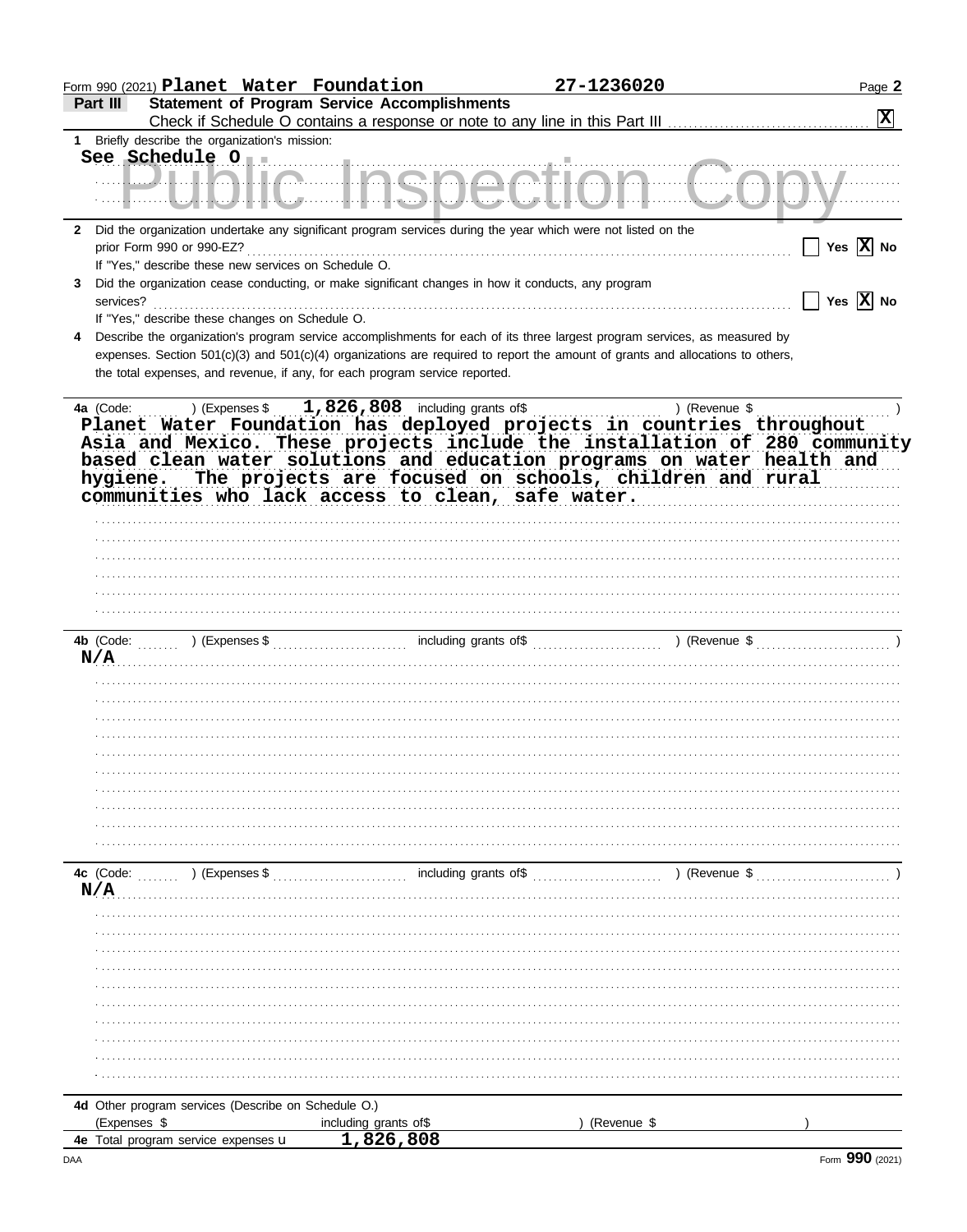|                                                                                                                                                                                                                                                                                                                              | Form 990 (2021) Planet Water Foundation             | 27-1236020                                                                                                                                                                                                                                                   | Page 2                                            |
|------------------------------------------------------------------------------------------------------------------------------------------------------------------------------------------------------------------------------------------------------------------------------------------------------------------------------|-----------------------------------------------------|--------------------------------------------------------------------------------------------------------------------------------------------------------------------------------------------------------------------------------------------------------------|---------------------------------------------------|
| Part III                                                                                                                                                                                                                                                                                                                     | <b>Statement of Program Service Accomplishments</b> |                                                                                                                                                                                                                                                              |                                                   |
|                                                                                                                                                                                                                                                                                                                              |                                                     |                                                                                                                                                                                                                                                              | $ \mathbf{x} $                                    |
| Briefly describe the organization's mission:<br>1.                                                                                                                                                                                                                                                                           |                                                     |                                                                                                                                                                                                                                                              |                                                   |
| <u> ULIALIA LAQAAAtla</u>                                                                                                                                                                                                                                                                                                    |                                                     |                                                                                                                                                                                                                                                              |                                                   |
| Did the organization undertake any significant program services during the year which were not listed on the<br>$\mathbf{2}$                                                                                                                                                                                                 |                                                     |                                                                                                                                                                                                                                                              |                                                   |
| prior Form 990 or 990-EZ?                                                                                                                                                                                                                                                                                                    |                                                     |                                                                                                                                                                                                                                                              | $\boxed{\phantom{1}}$ Yes $\boxed{\mathbf{X}}$ No |
| If "Yes," describe these new services on Schedule O.                                                                                                                                                                                                                                                                         |                                                     |                                                                                                                                                                                                                                                              |                                                   |
| Did the organization cease conducting, or make significant changes in how it conducts, any program<br>3                                                                                                                                                                                                                      |                                                     |                                                                                                                                                                                                                                                              |                                                   |
| services?                                                                                                                                                                                                                                                                                                                    |                                                     |                                                                                                                                                                                                                                                              | $\Box$ Yes $\boxed{\text{X}}$ No                  |
| If "Yes," describe these changes on Schedule O.                                                                                                                                                                                                                                                                              |                                                     |                                                                                                                                                                                                                                                              |                                                   |
| 4<br>the total expenses, and revenue, if any, for each program service reported.                                                                                                                                                                                                                                             |                                                     | Describe the organization's program service accomplishments for each of its three largest program services, as measured by<br>expenses. Section 501(c)(3) and 501(c)(4) organizations are required to report the amount of grants and allocations to others, |                                                   |
| 4a (Code:<br>) (Expenses \$<br>Planet Water Foundation has deployed projects in countries throughout<br>Asia and Mexico. These projects include the installation of 280 community<br>based clean water solutions and education programs on water health and<br>hygiene.<br>communities who lack access to clean, safe water. | $1,826,808$ including grants of \$                  | ) (Revenue \$<br>The projects are focused on schools, children and rural                                                                                                                                                                                     |                                                   |
|                                                                                                                                                                                                                                                                                                                              |                                                     |                                                                                                                                                                                                                                                              |                                                   |
|                                                                                                                                                                                                                                                                                                                              |                                                     |                                                                                                                                                                                                                                                              |                                                   |
|                                                                                                                                                                                                                                                                                                                              |                                                     |                                                                                                                                                                                                                                                              |                                                   |
|                                                                                                                                                                                                                                                                                                                              |                                                     |                                                                                                                                                                                                                                                              |                                                   |
|                                                                                                                                                                                                                                                                                                                              |                                                     |                                                                                                                                                                                                                                                              |                                                   |
|                                                                                                                                                                                                                                                                                                                              |                                                     |                                                                                                                                                                                                                                                              |                                                   |
|                                                                                                                                                                                                                                                                                                                              |                                                     |                                                                                                                                                                                                                                                              |                                                   |
| N/A                                                                                                                                                                                                                                                                                                                          |                                                     |                                                                                                                                                                                                                                                              |                                                   |
|                                                                                                                                                                                                                                                                                                                              |                                                     |                                                                                                                                                                                                                                                              |                                                   |
|                                                                                                                                                                                                                                                                                                                              |                                                     |                                                                                                                                                                                                                                                              |                                                   |
|                                                                                                                                                                                                                                                                                                                              |                                                     |                                                                                                                                                                                                                                                              |                                                   |
|                                                                                                                                                                                                                                                                                                                              |                                                     |                                                                                                                                                                                                                                                              |                                                   |
|                                                                                                                                                                                                                                                                                                                              |                                                     |                                                                                                                                                                                                                                                              |                                                   |
|                                                                                                                                                                                                                                                                                                                              |                                                     |                                                                                                                                                                                                                                                              |                                                   |
|                                                                                                                                                                                                                                                                                                                              |                                                     |                                                                                                                                                                                                                                                              |                                                   |
|                                                                                                                                                                                                                                                                                                                              |                                                     |                                                                                                                                                                                                                                                              |                                                   |
|                                                                                                                                                                                                                                                                                                                              |                                                     |                                                                                                                                                                                                                                                              |                                                   |
|                                                                                                                                                                                                                                                                                                                              |                                                     |                                                                                                                                                                                                                                                              |                                                   |
|                                                                                                                                                                                                                                                                                                                              |                                                     |                                                                                                                                                                                                                                                              |                                                   |
|                                                                                                                                                                                                                                                                                                                              |                                                     |                                                                                                                                                                                                                                                              |                                                   |
|                                                                                                                                                                                                                                                                                                                              |                                                     | $(1, 1, 1)$ (Expenses \$ $(2, 1, 1, 1)$ ) (Expenses \$ $(3, 1, 1, 1, 1)$ ) (Revenue \$ $(3, 1, 1, 1, 1, 1)$ )                                                                                                                                                |                                                   |
|                                                                                                                                                                                                                                                                                                                              |                                                     |                                                                                                                                                                                                                                                              |                                                   |
|                                                                                                                                                                                                                                                                                                                              |                                                     |                                                                                                                                                                                                                                                              |                                                   |
|                                                                                                                                                                                                                                                                                                                              |                                                     |                                                                                                                                                                                                                                                              |                                                   |
|                                                                                                                                                                                                                                                                                                                              |                                                     |                                                                                                                                                                                                                                                              |                                                   |
|                                                                                                                                                                                                                                                                                                                              |                                                     |                                                                                                                                                                                                                                                              |                                                   |
|                                                                                                                                                                                                                                                                                                                              |                                                     |                                                                                                                                                                                                                                                              |                                                   |
|                                                                                                                                                                                                                                                                                                                              |                                                     |                                                                                                                                                                                                                                                              |                                                   |
|                                                                                                                                                                                                                                                                                                                              |                                                     |                                                                                                                                                                                                                                                              |                                                   |
|                                                                                                                                                                                                                                                                                                                              |                                                     |                                                                                                                                                                                                                                                              |                                                   |
|                                                                                                                                                                                                                                                                                                                              |                                                     |                                                                                                                                                                                                                                                              |                                                   |
|                                                                                                                                                                                                                                                                                                                              |                                                     |                                                                                                                                                                                                                                                              |                                                   |
| 4c (Code:<br>N/A<br>4d Other program services (Describe on Schedule O.)<br>(Expenses \$                                                                                                                                                                                                                                      | including grants of\$                               | (Revenue \$                                                                                                                                                                                                                                                  |                                                   |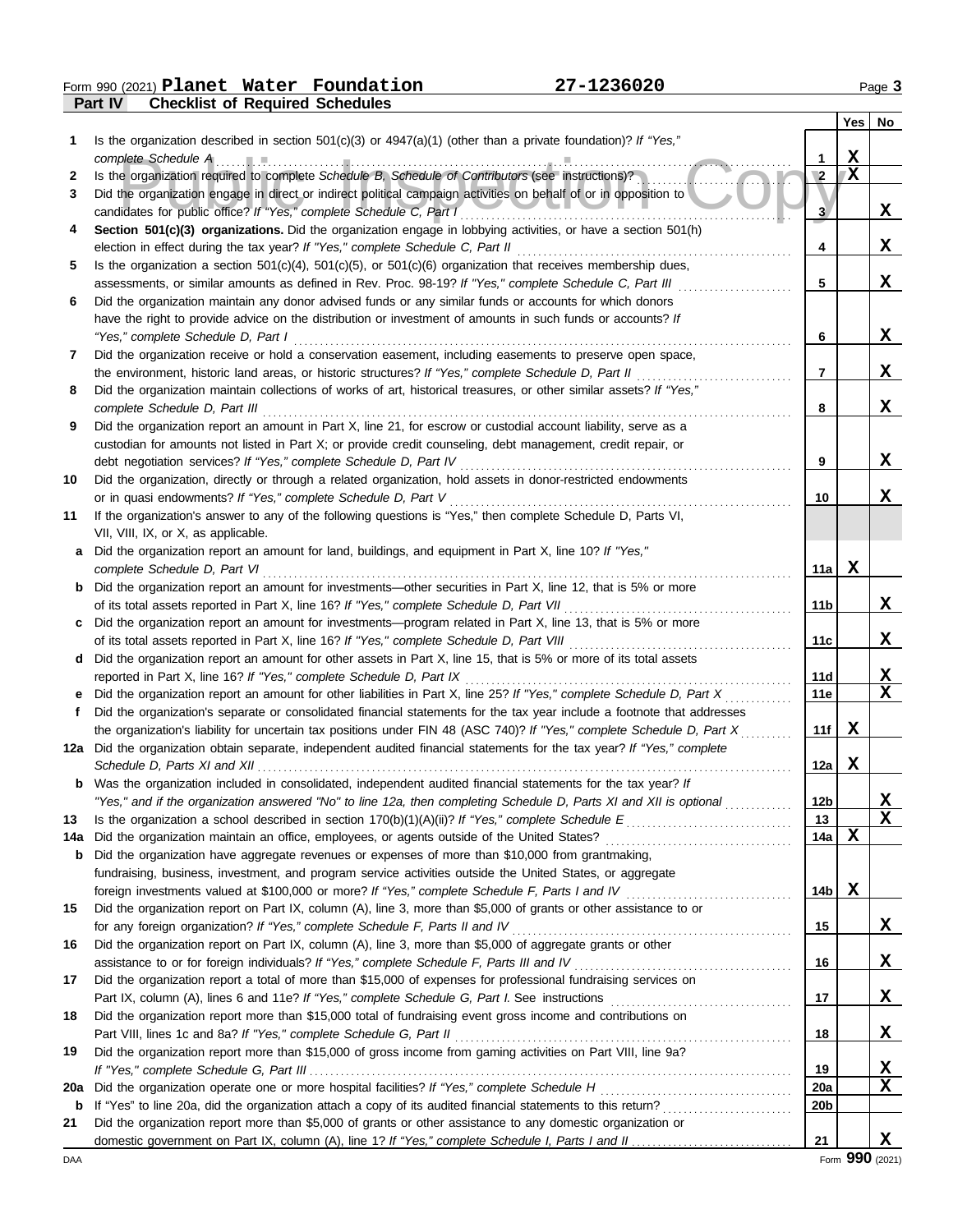**Part IV Checklist of Required Schedules Form 990 (2021) Planet Water Foundation 27-1236020** Page 3

|     |                                                                                                                         |                        | Yes | No          |
|-----|-------------------------------------------------------------------------------------------------------------------------|------------------------|-----|-------------|
| 1   | Is the organization described in section 501(c)(3) or $4947(a)(1)$ (other than a private foundation)? If "Yes,"         |                        |     |             |
|     | complete Schedule A                                                                                                     |                        | X   |             |
| 2   | Is the organization required to complete Schedule B, Schedule of Contributors (see instructions)?                       | $\mathbf{2}$           | X   |             |
| 3   | Did the organization engage in direct or indirect political campaign activities on behalf of or in opposition to        |                        |     |             |
|     | candidates for public office? If "Yes," complete Schedule C, Part I                                                     | $\overline{3}$         |     | X           |
| 4   | Section 501(c)(3) organizations. Did the organization engage in lobbying activities, or have a section 501(h)           |                        |     |             |
|     | election in effect during the tax year? If "Yes," complete Schedule C, Part II                                          | 4                      |     | X           |
| 5   | Is the organization a section $501(c)(4)$ , $501(c)(5)$ , or $501(c)(6)$ organization that receives membership dues,    |                        |     |             |
|     | assessments, or similar amounts as defined in Rev. Proc. 98-19? If "Yes," complete Schedule C, Part III                 | 5                      |     | X           |
| 6   | Did the organization maintain any donor advised funds or any similar funds or accounts for which donors                 |                        |     |             |
|     | have the right to provide advice on the distribution or investment of amounts in such funds or accounts? If             |                        |     |             |
|     | "Yes," complete Schedule D, Part I                                                                                      | 6                      |     | X           |
| 7   | Did the organization receive or hold a conservation easement, including easements to preserve open space,               |                        |     |             |
|     | the environment, historic land areas, or historic structures? If "Yes," complete Schedule D, Part II                    | 7                      |     | X           |
| 8   | Did the organization maintain collections of works of art, historical treasures, or other similar assets? If "Yes,"     |                        |     |             |
|     | complete Schedule D, Part III                                                                                           | 8                      |     | X           |
| 9   | Did the organization report an amount in Part X, line 21, for escrow or custodial account liability, serve as a         |                        |     |             |
|     | custodian for amounts not listed in Part X; or provide credit counseling, debt management, credit repair, or            |                        |     |             |
|     | debt negotiation services? If "Yes," complete Schedule D, Part IV                                                       | 9                      |     | X           |
| 10  | Did the organization, directly or through a related organization, hold assets in donor-restricted endowments            |                        |     |             |
|     | or in quasi endowments? If "Yes," complete Schedule D, Part V                                                           | 10                     |     | X           |
| 11  | If the organization's answer to any of the following questions is "Yes," then complete Schedule D, Parts VI,            |                        |     |             |
|     | VII, VIII, IX, or X, as applicable.                                                                                     |                        |     |             |
| a   | Did the organization report an amount for land, buildings, and equipment in Part X, line 10? If "Yes,"                  |                        |     |             |
|     | complete Schedule D, Part VI                                                                                            | 11a                    | X   |             |
| b   | Did the organization report an amount for investments-other securities in Part X, line 12, that is 5% or more           |                        |     |             |
|     |                                                                                                                         | 11b                    |     | X           |
| c   | Did the organization report an amount for investments—program related in Part X, line 13, that is 5% or more            |                        |     |             |
|     | of its total assets reported in Part X, line 16? If "Yes," complete Schedule D, Part VIII                               | 11c                    |     | X           |
| d   | Did the organization report an amount for other assets in Part X, line 15, that is 5% or more of its total assets       |                        |     |             |
|     | reported in Part X, line 16? If "Yes," complete Schedule D, Part IX                                                     | 11d                    |     | X           |
|     | Did the organization report an amount for other liabilities in Part X, line 25? If "Yes," complete Schedule D, Part X   | 11e                    |     | $\mathbf x$ |
| Ť.  | Did the organization's separate or consolidated financial statements for the tax year include a footnote that addresses |                        |     |             |
|     | the organization's liability for uncertain tax positions under FIN 48 (ASC 740)? If "Yes," complete Schedule D, Part X  | 11f                    | x   |             |
|     | 12a Did the organization obtain separate, independent audited financial statements for the tax year? If "Yes," complete |                        |     |             |
|     |                                                                                                                         | 12a                    | X   |             |
|     | Was the organization included in consolidated, independent audited financial statements for the tax year? If            |                        |     |             |
|     | "Yes," and if the organization answered "No" to line 12a, then completing Schedule D, Parts XI and XII is optional      | 12b                    |     | <u>х</u>    |
| 13  | Is the organization a school described in section $170(b)(1)(A)(ii)$ ? If "Yes," complete Schedule E                    | 13                     |     | X           |
| 14a | Did the organization maintain an office, employees, or agents outside of the United States?                             | 14a                    | X   |             |
| b   | Did the organization have aggregate revenues or expenses of more than \$10,000 from grantmaking,                        |                        |     |             |
|     | fundraising, business, investment, and program service activities outside the United States, or aggregate               |                        |     |             |
|     | foreign investments valued at \$100,000 or more? If "Yes," complete Schedule F, Parts I and IV                          | 14 <sub>b</sub>        | X   |             |
| 15  | Did the organization report on Part IX, column (A), line 3, more than \$5,000 of grants or other assistance to or       |                        |     |             |
|     | for any foreign organization? If "Yes," complete Schedule F, Parts II and IV                                            | 15                     |     | X           |
| 16  | Did the organization report on Part IX, column (A), line 3, more than \$5,000 of aggregate grants or other              |                        |     |             |
|     | assistance to or for foreign individuals? If "Yes," complete Schedule F, Parts III and IV                               | 16                     |     | X           |
| 17  | Did the organization report a total of more than \$15,000 of expenses for professional fundraising services on          |                        |     |             |
|     |                                                                                                                         | 17                     |     | X           |
| 18  | Did the organization report more than \$15,000 total of fundraising event gross income and contributions on             |                        |     |             |
|     | Part VIII, lines 1c and 8a? If "Yes," complete Schedule G, Part II                                                      | 18                     |     | X           |
| 19  | Did the organization report more than \$15,000 of gross income from gaming activities on Part VIII, line 9a?            |                        |     |             |
|     | Did the organization operate one or more hospital facilities? If "Yes," complete Schedule H                             | 19                     |     | X<br>X      |
| 20a |                                                                                                                         | 20a<br>20 <sub>b</sub> |     |             |
| b   |                                                                                                                         |                        |     |             |
| 21  | Did the organization report more than \$5,000 of grants or other assistance to any domestic organization or             | 21                     |     | X           |
|     |                                                                                                                         |                        |     |             |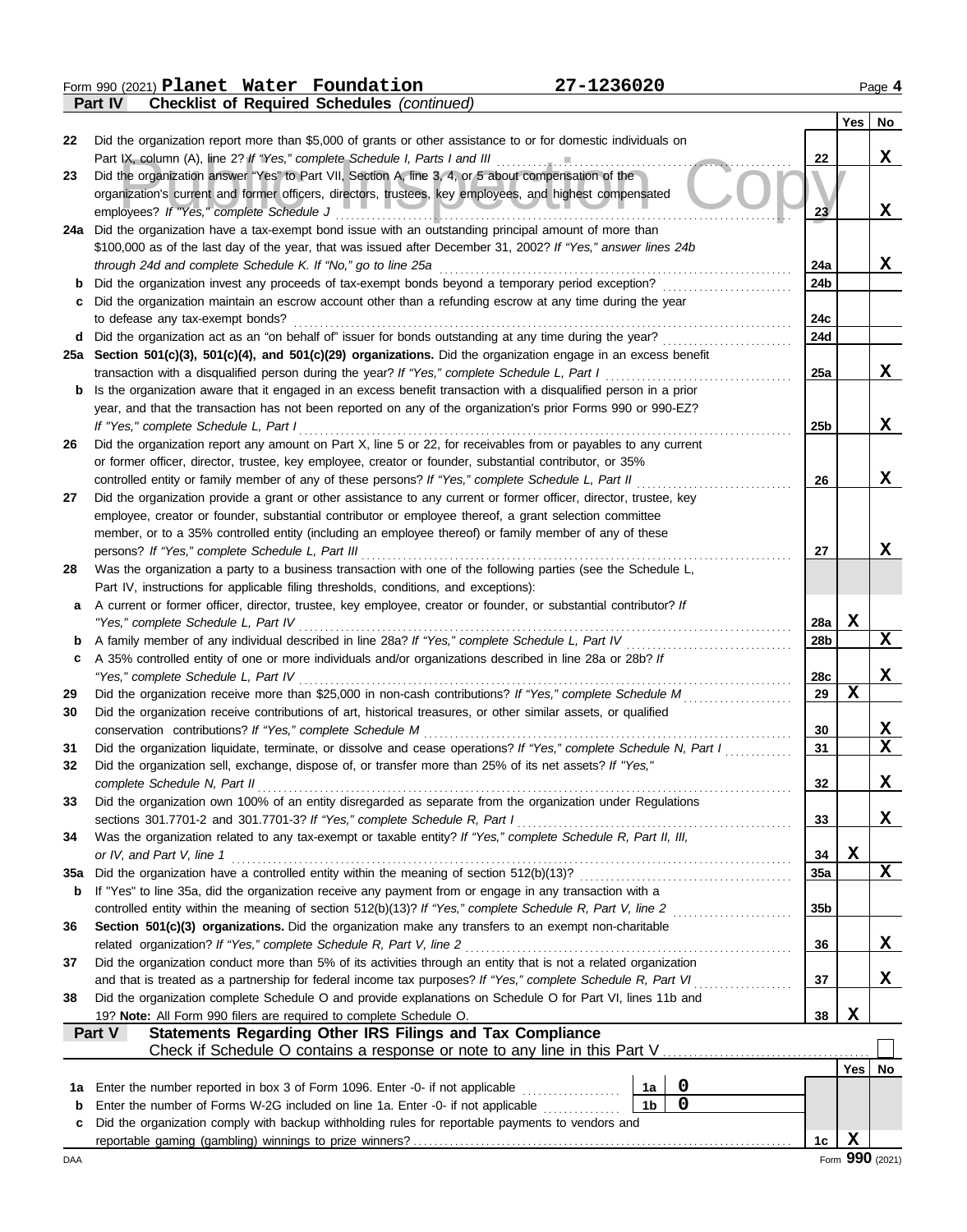Form 990 (2021) Page **4 Planet Water Foundation 27-1236020**

|     | <b>Checklist of Required Schedules (continued)</b><br>Part IV                                                                                                                           |                 |             |                         |  |  |  |  |  |  |  |
|-----|-----------------------------------------------------------------------------------------------------------------------------------------------------------------------------------------|-----------------|-------------|-------------------------|--|--|--|--|--|--|--|
|     |                                                                                                                                                                                         |                 | Yes         | No                      |  |  |  |  |  |  |  |
| 22  | Did the organization report more than \$5,000 of grants or other assistance to or for domestic individuals on                                                                           |                 |             |                         |  |  |  |  |  |  |  |
|     | Part IX, column (A), line 2? If "Yes," complete Schedule I, Parts I and III                                                                                                             | 22              |             | X                       |  |  |  |  |  |  |  |
| 23  | Did the organization answer "Yes" to Part VII, Section A, line 3, 4, or 5 about compensation of the                                                                                     |                 |             |                         |  |  |  |  |  |  |  |
|     | organization's current and former officers, directors, trustees, key employees, and highest compensated                                                                                 |                 |             |                         |  |  |  |  |  |  |  |
|     | employees? If "Yes," complete Schedule J                                                                                                                                                | 23              |             | X                       |  |  |  |  |  |  |  |
|     | 24a Did the organization have a tax-exempt bond issue with an outstanding principal amount of more than                                                                                 |                 |             |                         |  |  |  |  |  |  |  |
|     | \$100,000 as of the last day of the year, that was issued after December 31, 2002? If "Yes," answer lines 24b                                                                           |                 |             |                         |  |  |  |  |  |  |  |
|     | through 24d and complete Schedule K. If "No," go to line 25a                                                                                                                            | 24a             |             | X                       |  |  |  |  |  |  |  |
|     | Did the organization invest any proceeds of tax-exempt bonds beyond a temporary period exception?<br>24b                                                                                |                 |             |                         |  |  |  |  |  |  |  |
| с   | Did the organization maintain an escrow account other than a refunding escrow at any time during the year                                                                               |                 |             |                         |  |  |  |  |  |  |  |
|     | to defease any tax-exempt bonds?<br>Did the organization act as an "on behalf of" issuer for bonds outstanding at any time during the year?                                             | 24c<br>24d      |             |                         |  |  |  |  |  |  |  |
| d   | 25a Section 501(c)(3), 501(c)(4), and 501(c)(29) organizations. Did the organization engage in an excess benefit                                                                        |                 |             |                         |  |  |  |  |  |  |  |
|     | transaction with a disqualified person during the year? If "Yes," complete Schedule L, Part I                                                                                           | 25a             |             | x                       |  |  |  |  |  |  |  |
| b   | Is the organization aware that it engaged in an excess benefit transaction with a disqualified person in a prior                                                                        |                 |             |                         |  |  |  |  |  |  |  |
|     | year, and that the transaction has not been reported on any of the organization's prior Forms 990 or 990-EZ?                                                                            |                 |             |                         |  |  |  |  |  |  |  |
|     | If "Yes," complete Schedule L, Part I                                                                                                                                                   | 25 <sub>b</sub> |             | x                       |  |  |  |  |  |  |  |
| 26  | Did the organization report any amount on Part X, line 5 or 22, for receivables from or payables to any current                                                                         |                 |             |                         |  |  |  |  |  |  |  |
|     | or former officer, director, trustee, key employee, creator or founder, substantial contributor, or 35%                                                                                 |                 |             |                         |  |  |  |  |  |  |  |
|     | controlled entity or family member of any of these persons? If "Yes," complete Schedule L, Part II                                                                                      | 26              |             | x                       |  |  |  |  |  |  |  |
| 27  | Did the organization provide a grant or other assistance to any current or former officer, director, trustee, key                                                                       |                 |             |                         |  |  |  |  |  |  |  |
|     | employee, creator or founder, substantial contributor or employee thereof, a grant selection committee                                                                                  |                 |             |                         |  |  |  |  |  |  |  |
|     | member, or to a 35% controlled entity (including an employee thereof) or family member of any of these                                                                                  |                 |             |                         |  |  |  |  |  |  |  |
|     | persons? If "Yes," complete Schedule L, Part III                                                                                                                                        | 27              |             | x                       |  |  |  |  |  |  |  |
| 28  | Was the organization a party to a business transaction with one of the following parties (see the Schedule L,                                                                           |                 |             |                         |  |  |  |  |  |  |  |
|     | Part IV, instructions for applicable filing thresholds, conditions, and exceptions):                                                                                                    |                 |             |                         |  |  |  |  |  |  |  |
| a   | A current or former officer, director, trustee, key employee, creator or founder, or substantial contributor? If                                                                        |                 |             |                         |  |  |  |  |  |  |  |
|     | "Yes," complete Schedule L, Part IV                                                                                                                                                     | 28a             | X           |                         |  |  |  |  |  |  |  |
| b   |                                                                                                                                                                                         | 28b             |             | X                       |  |  |  |  |  |  |  |
| c   | A 35% controlled entity of one or more individuals and/or organizations described in line 28a or 28b? If                                                                                |                 |             |                         |  |  |  |  |  |  |  |
|     | "Yes," complete Schedule L, Part IV                                                                                                                                                     | 28c             |             | X                       |  |  |  |  |  |  |  |
| 29  | Did the organization receive more than \$25,000 in non-cash contributions? If "Yes," complete Schedule M                                                                                | 29              | $\mathbf x$ |                         |  |  |  |  |  |  |  |
| 30  | Did the organization receive contributions of art, historical treasures, or other similar assets, or qualified                                                                          |                 |             |                         |  |  |  |  |  |  |  |
|     | conservation contributions? If "Yes," complete Schedule M                                                                                                                               | 30              |             | $\mathbf{x}$            |  |  |  |  |  |  |  |
| 31  | Did the organization liquidate, terminate, or dissolve and cease operations? If "Yes," complete Schedule N, Part I                                                                      | 31              |             | $\overline{\mathbf{x}}$ |  |  |  |  |  |  |  |
| 32  | Did the organization sell, exchange, dispose of, or transfer more than 25% of its net assets? If "Yes,"                                                                                 |                 |             |                         |  |  |  |  |  |  |  |
|     | complete Schedule N, Part II                                                                                                                                                            | 32              |             | X                       |  |  |  |  |  |  |  |
| 33  | Did the organization own 100% of an entity disregarded as separate from the organization under Regulations<br>sections 301.7701-2 and 301.7701-3? If "Yes," complete Schedule R, Part I |                 |             |                         |  |  |  |  |  |  |  |
|     |                                                                                                                                                                                         | 33              |             | X                       |  |  |  |  |  |  |  |
| 34  | Was the organization related to any tax-exempt or taxable entity? If "Yes," complete Schedule R, Part II, III,<br>or IV, and Part V, line 1                                             | 34              | X           |                         |  |  |  |  |  |  |  |
| 35a | Did the organization have a controlled entity within the meaning of section 512(b)(13)?                                                                                                 | 35a             |             | X                       |  |  |  |  |  |  |  |
| b   | If "Yes" to line 35a, did the organization receive any payment from or engage in any transaction with a                                                                                 |                 |             |                         |  |  |  |  |  |  |  |
|     | controlled entity within the meaning of section 512(b)(13)? If "Yes," complete Schedule R, Part V, line 2                                                                               | 35 <sub>b</sub> |             |                         |  |  |  |  |  |  |  |
| 36  | Section 501(c)(3) organizations. Did the organization make any transfers to an exempt non-charitable                                                                                    |                 |             |                         |  |  |  |  |  |  |  |
|     | related organization? If "Yes," complete Schedule R, Part V, line 2                                                                                                                     | 36              |             | X                       |  |  |  |  |  |  |  |
| 37  | Did the organization conduct more than 5% of its activities through an entity that is not a related organization                                                                        |                 |             |                         |  |  |  |  |  |  |  |
|     | and that is treated as a partnership for federal income tax purposes? If "Yes," complete Schedule R, Part VI                                                                            | 37              |             | X,                      |  |  |  |  |  |  |  |
| 38  | Did the organization complete Schedule O and provide explanations on Schedule O for Part VI, lines 11b and                                                                              |                 |             |                         |  |  |  |  |  |  |  |
|     | 19? Note: All Form 990 filers are required to complete Schedule O.                                                                                                                      | 38              | X           |                         |  |  |  |  |  |  |  |
|     | Statements Regarding Other IRS Filings and Tax Compliance<br>Part V                                                                                                                     |                 |             |                         |  |  |  |  |  |  |  |
|     |                                                                                                                                                                                         |                 |             |                         |  |  |  |  |  |  |  |
|     |                                                                                                                                                                                         |                 | Yes         | No                      |  |  |  |  |  |  |  |
| 1a  | 0<br>Enter the number reported in box 3 of Form 1096. Enter -0- if not applicable <i>mimimimimimimimimimimi</i><br>1a                                                                   |                 |             |                         |  |  |  |  |  |  |  |
| b   | $\mathbf 0$<br>1 <sub>b</sub><br>Enter the number of Forms W-2G included on line 1a. Enter -0- if not applicable                                                                        |                 |             |                         |  |  |  |  |  |  |  |
| c   | Did the organization comply with backup withholding rules for reportable payments to vendors and                                                                                        |                 |             |                         |  |  |  |  |  |  |  |
|     |                                                                                                                                                                                         | 1c              | X           |                         |  |  |  |  |  |  |  |
| DAA |                                                                                                                                                                                         |                 |             | Form 990 (2021)         |  |  |  |  |  |  |  |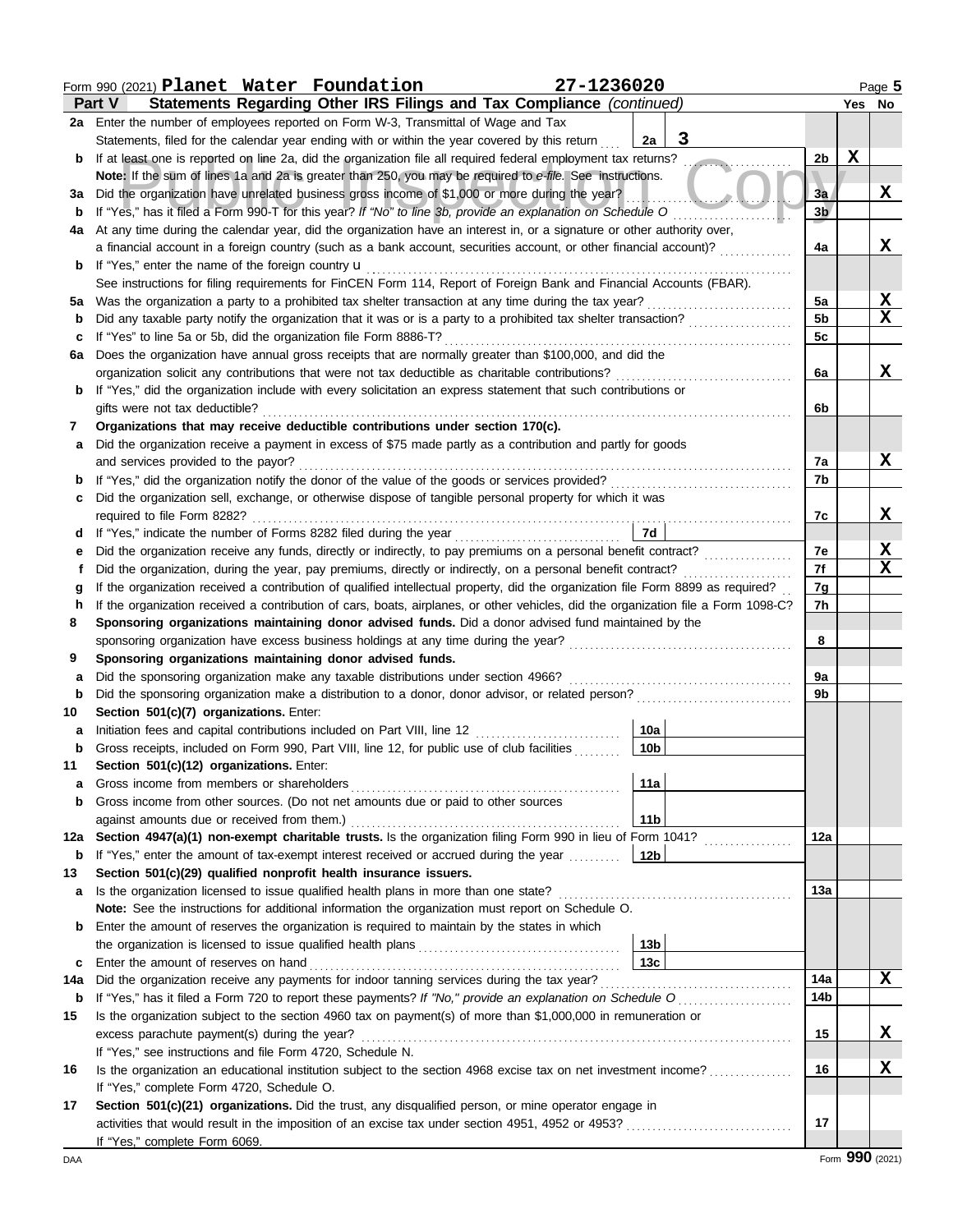|             | Form 990 (2021) Planet Water Foundation                                                                                            | 27-1236020         |                 |             | Page 5          |  |  |  |  |  |
|-------------|------------------------------------------------------------------------------------------------------------------------------------|--------------------|-----------------|-------------|-----------------|--|--|--|--|--|
|             | Statements Regarding Other IRS Filings and Tax Compliance (continued)<br><b>Part V</b>                                             |                    |                 |             | Yes No          |  |  |  |  |  |
|             | 2a Enter the number of employees reported on Form W-3, Transmittal of Wage and Tax                                                 |                    |                 |             |                 |  |  |  |  |  |
|             | Statements, filed for the calendar year ending with or within the year covered by this return                                      | $\mathbf{3}$<br>2a |                 |             |                 |  |  |  |  |  |
| b           | If at least one is reported on line 2a, did the organization file all required federal employment tax returns?                     | $\cdots$           | 2 <sub>b</sub>  | $\mathbf x$ |                 |  |  |  |  |  |
|             | Note: If the sum of lines 1a and 2a is greater than 250, you may be required to e-file. See instructions.                          |                    |                 |             |                 |  |  |  |  |  |
| За          | Did the organization have unrelated business gross income of \$1,000 or more during the year?                                      |                    |                 |             |                 |  |  |  |  |  |
| b           |                                                                                                                                    |                    | 3 <sub>b</sub>  |             |                 |  |  |  |  |  |
| 4a          | At any time during the calendar year, did the organization have an interest in, or a signature or other authority over,            |                    |                 |             |                 |  |  |  |  |  |
|             | a financial account in a foreign country (such as a bank account, securities account, or other financial account)?                 |                    | 4a              |             | X               |  |  |  |  |  |
| b           | If "Yes," enter the name of the foreign country <b>u</b>                                                                           |                    |                 |             |                 |  |  |  |  |  |
|             | See instructions for filing requirements for FinCEN Form 114, Report of Foreign Bank and Financial Accounts (FBAR).                |                    |                 |             |                 |  |  |  |  |  |
| 5а          |                                                                                                                                    |                    | 5a              |             | <u>x</u>        |  |  |  |  |  |
| b           |                                                                                                                                    |                    | 5 <sub>b</sub>  |             | $\mathbf x$     |  |  |  |  |  |
| с           | If "Yes" to line 5a or 5b, did the organization file Form 8886-T?                                                                  |                    | 5c              |             |                 |  |  |  |  |  |
| 6a          | Does the organization have annual gross receipts that are normally greater than \$100,000, and did the                             |                    |                 |             |                 |  |  |  |  |  |
|             | organization solicit any contributions that were not tax deductible as charitable contributions?                                   |                    | 6a              |             | X               |  |  |  |  |  |
| b           | If "Yes," did the organization include with every solicitation an express statement that such contributions or                     |                    |                 |             |                 |  |  |  |  |  |
|             | gifts were not tax deductible?                                                                                                     |                    | 6b              |             |                 |  |  |  |  |  |
| 7           | Organizations that may receive deductible contributions under section 170(c).                                                      |                    |                 |             |                 |  |  |  |  |  |
| a           | Did the organization receive a payment in excess of \$75 made partly as a contribution and partly for goods                        |                    |                 |             |                 |  |  |  |  |  |
|             | and services provided to the payor?                                                                                                |                    | 7a              |             | X               |  |  |  |  |  |
| b           |                                                                                                                                    |                    | 7b              |             |                 |  |  |  |  |  |
| с           | Did the organization sell, exchange, or otherwise dispose of tangible personal property for which it was                           |                    |                 |             |                 |  |  |  |  |  |
|             | required to file Form 8282?                                                                                                        |                    | 7c              |             | x               |  |  |  |  |  |
| d           |                                                                                                                                    | 7d                 |                 |             |                 |  |  |  |  |  |
| е           |                                                                                                                                    |                    | 7е              |             | X               |  |  |  |  |  |
| t           | Did the organization, during the year, pay premiums, directly or indirectly, on a personal benefit contract?                       |                    | 7f              |             | $\mathbf X$     |  |  |  |  |  |
| g           | If the organization received a contribution of qualified intellectual property, did the organization file Form 8899 as required?   |                    | 7g              |             |                 |  |  |  |  |  |
| h           | If the organization received a contribution of cars, boats, airplanes, or other vehicles, did the organization file a Form 1098-C? |                    | 7h              |             |                 |  |  |  |  |  |
| 8           | Sponsoring organizations maintaining donor advised funds. Did a donor advised fund maintained by the                               |                    |                 |             |                 |  |  |  |  |  |
|             |                                                                                                                                    |                    | 8               |             |                 |  |  |  |  |  |
| 9           | Sponsoring organizations maintaining donor advised funds.                                                                          |                    |                 |             |                 |  |  |  |  |  |
| a           | Did the sponsoring organization make any taxable distributions under section 4966?                                                 |                    | 9a              |             |                 |  |  |  |  |  |
| $\mathbf b$ | Did the sponsoring organization make a distribution to a donor, donor advisor, or related person?                                  |                    | 9b              |             |                 |  |  |  |  |  |
| 10          | Section 501(c)(7) organizations. Enter:                                                                                            |                    |                 |             |                 |  |  |  |  |  |
| а           | Initiation fees and capital contributions included on Part VIII, line 12 [11] [11] [12] [11] [12] [11] [12] [1                     | 10a                |                 |             |                 |  |  |  |  |  |
| b           | Gross receipts, included on Form 990, Part VIII, line 12, for public use of club facilities                                        | 10b                |                 |             |                 |  |  |  |  |  |
| 11          | Section 501(c)(12) organizations. Enter:                                                                                           |                    |                 |             |                 |  |  |  |  |  |
| a           | Gross income from members or shareholders                                                                                          | 11a                |                 |             |                 |  |  |  |  |  |
| b           | Gross income from other sources. (Do not net amounts due or paid to other sources                                                  |                    |                 |             |                 |  |  |  |  |  |
|             | against amounts due or received from them.)                                                                                        | 11 <sub>b</sub>    |                 |             |                 |  |  |  |  |  |
| 12a         | Section 4947(a)(1) non-exempt charitable trusts. Is the organization filing Form 990 in lieu of Form 1041?                         |                    | 12a             |             |                 |  |  |  |  |  |
| b           | If "Yes," enter the amount of tax-exempt interest received or accrued during the year                                              | 12 <sub>b</sub>    |                 |             |                 |  |  |  |  |  |
| 13          | Section 501(c)(29) qualified nonprofit health insurance issuers.                                                                   |                    |                 |             |                 |  |  |  |  |  |
| a           | Is the organization licensed to issue qualified health plans in more than one state?                                               |                    | 13а             |             |                 |  |  |  |  |  |
|             | Note: See the instructions for additional information the organization must report on Schedule O.                                  |                    |                 |             |                 |  |  |  |  |  |
| b           | Enter the amount of reserves the organization is required to maintain by the states in which                                       |                    |                 |             |                 |  |  |  |  |  |
|             |                                                                                                                                    | 13 <sub>b</sub>    |                 |             |                 |  |  |  |  |  |
| c           | Enter the amount of reserves on hand                                                                                               | 13 <sub>c</sub>    |                 |             |                 |  |  |  |  |  |
| 14a         |                                                                                                                                    |                    | 14a             |             | X               |  |  |  |  |  |
| b           | If "Yes," has it filed a Form 720 to report these payments? If "No," provide an explanation on Schedule O                          |                    | 14 <sub>b</sub> |             |                 |  |  |  |  |  |
| 15          | Is the organization subject to the section 4960 tax on payment(s) of more than \$1,000,000 in remuneration or                      |                    |                 |             |                 |  |  |  |  |  |
|             | excess parachute payment(s) during the year?                                                                                       |                    | 15              |             | X               |  |  |  |  |  |
|             | If "Yes," see instructions and file Form 4720, Schedule N.                                                                         |                    |                 |             |                 |  |  |  |  |  |
| 16          | Is the organization an educational institution subject to the section 4968 excise tax on net investment income?                    |                    | 16              |             | x               |  |  |  |  |  |
|             | If "Yes," complete Form 4720, Schedule O.                                                                                          |                    |                 |             |                 |  |  |  |  |  |
| 17          | Section 501(c)(21) organizations. Did the trust, any disqualified person, or mine operator engage in                               |                    |                 |             |                 |  |  |  |  |  |
|             |                                                                                                                                    |                    | 17              |             |                 |  |  |  |  |  |
|             | If "Yes," complete Form 6069.                                                                                                      |                    |                 |             |                 |  |  |  |  |  |
| DAA         |                                                                                                                                    |                    |                 |             | Form 990 (2021) |  |  |  |  |  |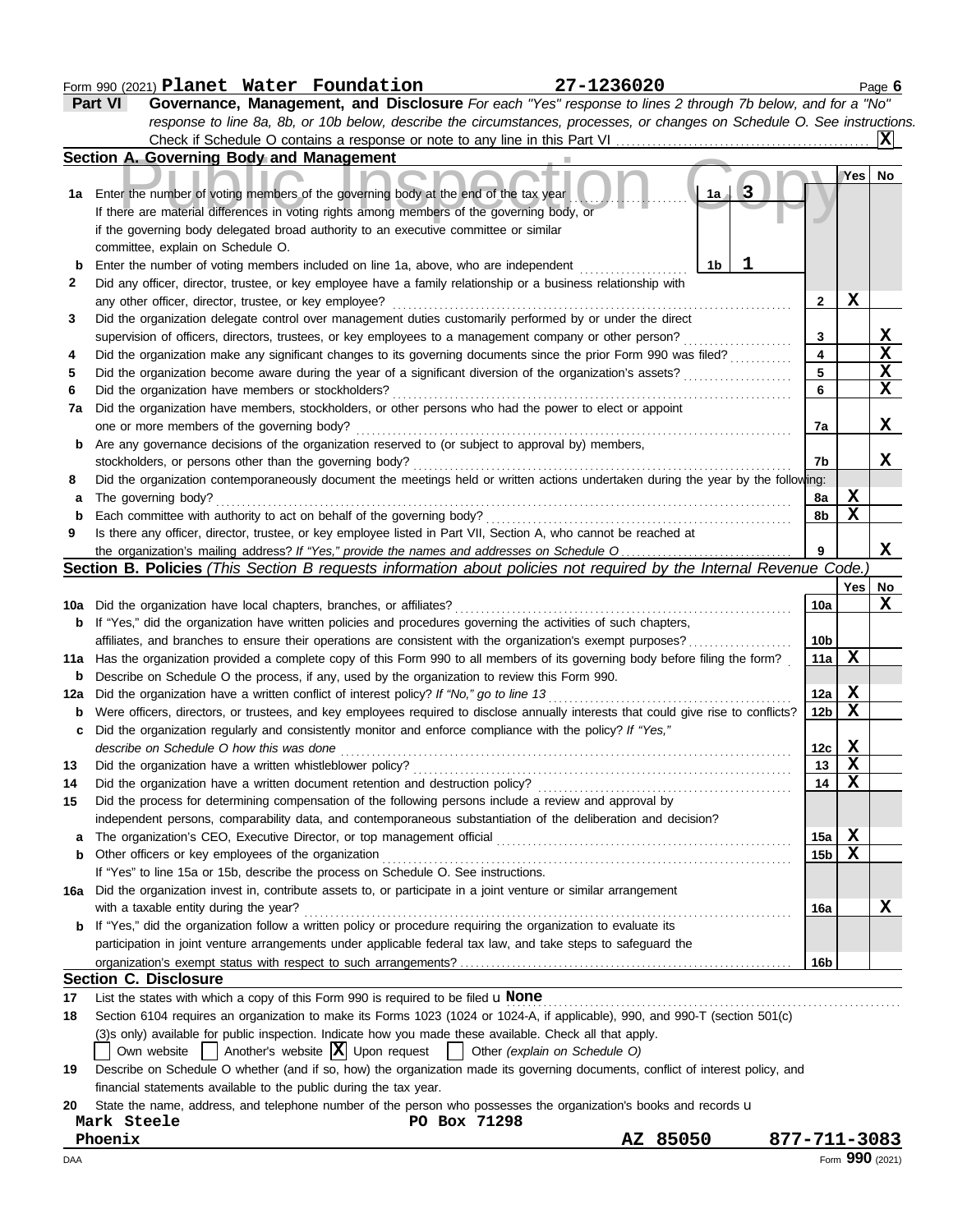### Form 990 (2021) Page **6 Planet Water Foundation 27-1236020**

|     | Part VI<br>Governance, Management, and Disclosure For each "Yes" response to lines 2 through 7b below, and for a "No"                                                           |                 |                 |                         |  |  |  |  |  |
|-----|---------------------------------------------------------------------------------------------------------------------------------------------------------------------------------|-----------------|-----------------|-------------------------|--|--|--|--|--|
|     | response to line 8a, 8b, or 10b below, describe the circumstances, processes, or changes on Schedule O. See instructions.                                                       |                 |                 |                         |  |  |  |  |  |
|     |                                                                                                                                                                                 |                 |                 | ΙXΙ                     |  |  |  |  |  |
|     | Section A. Governing Body and Management                                                                                                                                        |                 |                 |                         |  |  |  |  |  |
| 1a  | 3<br>Enter the number of voting members of the governing body at the end of the tax year<br>1a                                                                                  |                 | Yes             | No                      |  |  |  |  |  |
|     | If there are material differences in voting rights among members of the governing body, or                                                                                      |                 |                 |                         |  |  |  |  |  |
|     | if the governing body delegated broad authority to an executive committee or similar                                                                                            |                 |                 |                         |  |  |  |  |  |
|     | committee, explain on Schedule O.                                                                                                                                               |                 |                 |                         |  |  |  |  |  |
| b   | ı<br>Enter the number of voting members included on line 1a, above, who are independent<br>1b                                                                                   |                 |                 |                         |  |  |  |  |  |
| 2   | Did any officer, director, trustee, or key employee have a family relationship or a business relationship with                                                                  |                 |                 |                         |  |  |  |  |  |
|     | any other officer, director, trustee, or key employee?                                                                                                                          | $\mathbf{2}$    | X               |                         |  |  |  |  |  |
| 3   | Did the organization delegate control over management duties customarily performed by or under the direct                                                                       |                 |                 |                         |  |  |  |  |  |
|     | supervision of officers, directors, trustees, or key employees to a management company or other person?                                                                         | 3               |                 | <u>x</u>                |  |  |  |  |  |
| 4   | Did the organization make any significant changes to its governing documents since the prior Form 990 was filed?                                                                | 4               |                 | $\overline{\mathbf{x}}$ |  |  |  |  |  |
| 5   | Did the organization become aware during the year of a significant diversion of the organization's assets?                                                                      | 5               |                 | $\overline{\mathbf{X}}$ |  |  |  |  |  |
| 6   | Did the organization have members or stockholders?                                                                                                                              | 6               |                 | X                       |  |  |  |  |  |
| 7a  | Did the organization have members, stockholders, or other persons who had the power to elect or appoint                                                                         |                 |                 |                         |  |  |  |  |  |
|     | one or more members of the governing body?                                                                                                                                      | 7a              |                 | X                       |  |  |  |  |  |
| b   | Are any governance decisions of the organization reserved to (or subject to approval by) members,                                                                               |                 |                 |                         |  |  |  |  |  |
|     | stockholders, or persons other than the governing body?                                                                                                                         | 7b              |                 | x                       |  |  |  |  |  |
| 8   | Did the organization contemporaneously document the meetings held or written actions undertaken during the year by the following:                                               |                 |                 |                         |  |  |  |  |  |
| а   | The governing body?                                                                                                                                                             | 8a              | X               |                         |  |  |  |  |  |
| b   | Each committee with authority to act on behalf of the governing body?                                                                                                           | 8b              | X               |                         |  |  |  |  |  |
| 9   | Is there any officer, director, trustee, or key employee listed in Part VII, Section A, who cannot be reached at                                                                |                 |                 |                         |  |  |  |  |  |
|     |                                                                                                                                                                                 | 9               |                 | X                       |  |  |  |  |  |
|     | <b>Section B. Policies</b> (This Section B requests information about policies not required by the Internal Revenue Code.                                                       |                 |                 |                         |  |  |  |  |  |
|     |                                                                                                                                                                                 |                 | Yes             | No                      |  |  |  |  |  |
| 10a | Did the organization have local chapters, branches, or affiliates?                                                                                                              | 10a             |                 | X                       |  |  |  |  |  |
| b   | If "Yes," did the organization have written policies and procedures governing the activities of such chapters,                                                                  |                 |                 |                         |  |  |  |  |  |
|     | affiliates, and branches to ensure their operations are consistent with the organization's exempt purposes?                                                                     | 10 <sub>b</sub> |                 |                         |  |  |  |  |  |
| 11a | Has the organization provided a complete copy of this Form 990 to all members of its governing body before filing the form?                                                     | 11a             | X               |                         |  |  |  |  |  |
| b   | Describe on Schedule O the process, if any, used by the organization to review this Form 990.                                                                                   |                 |                 |                         |  |  |  |  |  |
| 12a | Did the organization have a written conflict of interest policy? If "No," go to line 13                                                                                         | 12a             | X               |                         |  |  |  |  |  |
| b   | Were officers, directors, or trustees, and key employees required to disclose annually interests that could give rise to conflicts?                                             | 12 <sub>b</sub> | X               |                         |  |  |  |  |  |
| c   | Did the organization regularly and consistently monitor and enforce compliance with the policy? If "Yes,"                                                                       |                 |                 |                         |  |  |  |  |  |
|     | describe on Schedule O how this was done                                                                                                                                        | 12c             | X               |                         |  |  |  |  |  |
| 13  | Did the organization have a written whistleblower policy?                                                                                                                       | 13              | $\mathbf x$     |                         |  |  |  |  |  |
| 14  | Did the organization have a written document retention and destruction policy?                                                                                                  | 14              | $\mathbf x$     |                         |  |  |  |  |  |
| 15  | Did the process for determining compensation of the following persons include a review and approval by                                                                          |                 |                 |                         |  |  |  |  |  |
|     | independent persons, comparability data, and contemporaneous substantiation of the deliberation and decision?                                                                   |                 |                 |                         |  |  |  |  |  |
| a   |                                                                                                                                                                                 | 15a             | X               |                         |  |  |  |  |  |
| b   | Other officers or key employees of the organization                                                                                                                             | 15 <sub>b</sub> | X               |                         |  |  |  |  |  |
|     | If "Yes" to line 15a or 15b, describe the process on Schedule O. See instructions.                                                                                              |                 |                 |                         |  |  |  |  |  |
| 16а | Did the organization invest in, contribute assets to, or participate in a joint venture or similar arrangement                                                                  |                 |                 |                         |  |  |  |  |  |
|     | with a taxable entity during the year?                                                                                                                                          | 16a             |                 | X                       |  |  |  |  |  |
| b   | If "Yes," did the organization follow a written policy or procedure requiring the organization to evaluate its                                                                  |                 |                 |                         |  |  |  |  |  |
|     | participation in joint venture arrangements under applicable federal tax law, and take steps to safeguard the                                                                   |                 |                 |                         |  |  |  |  |  |
|     |                                                                                                                                                                                 | 16b             |                 |                         |  |  |  |  |  |
|     | <b>Section C. Disclosure</b>                                                                                                                                                    |                 |                 |                         |  |  |  |  |  |
| 17  | List the states with which a copy of this Form 990 is required to be filed $\mathbf u$ None                                                                                     |                 |                 |                         |  |  |  |  |  |
| 18  | Section 6104 requires an organization to make its Forms 1023 (1024 or 1024-A, if applicable), 990, and 990-T (section 501(c)                                                    |                 |                 |                         |  |  |  |  |  |
|     | (3)s only) available for public inspection. Indicate how you made these available. Check all that apply.                                                                        |                 |                 |                         |  |  |  |  |  |
|     | Own website $\begin{vmatrix} \end{vmatrix}$ Another's website $\begin{vmatrix} X \\ Y \end{vmatrix}$ Upon request $\begin{vmatrix} \end{vmatrix}$ Other (explain on Schedule O) |                 |                 |                         |  |  |  |  |  |
| 19  | Describe on Schedule O whether (and if so, how) the organization made its governing documents, conflict of interest policy, and                                                 |                 |                 |                         |  |  |  |  |  |
|     | financial statements available to the public during the tax year.                                                                                                               |                 |                 |                         |  |  |  |  |  |
| 20  | State the name, address, and telephone number of the person who possesses the organization's books and records u                                                                |                 |                 |                         |  |  |  |  |  |
|     | Mark Steele<br>PO Box 71298                                                                                                                                                     |                 |                 |                         |  |  |  |  |  |
|     | AZ 85050<br>Phoenix<br>877-711-3083                                                                                                                                             |                 |                 |                         |  |  |  |  |  |
| DAA |                                                                                                                                                                                 |                 | Form 990 (2021) |                         |  |  |  |  |  |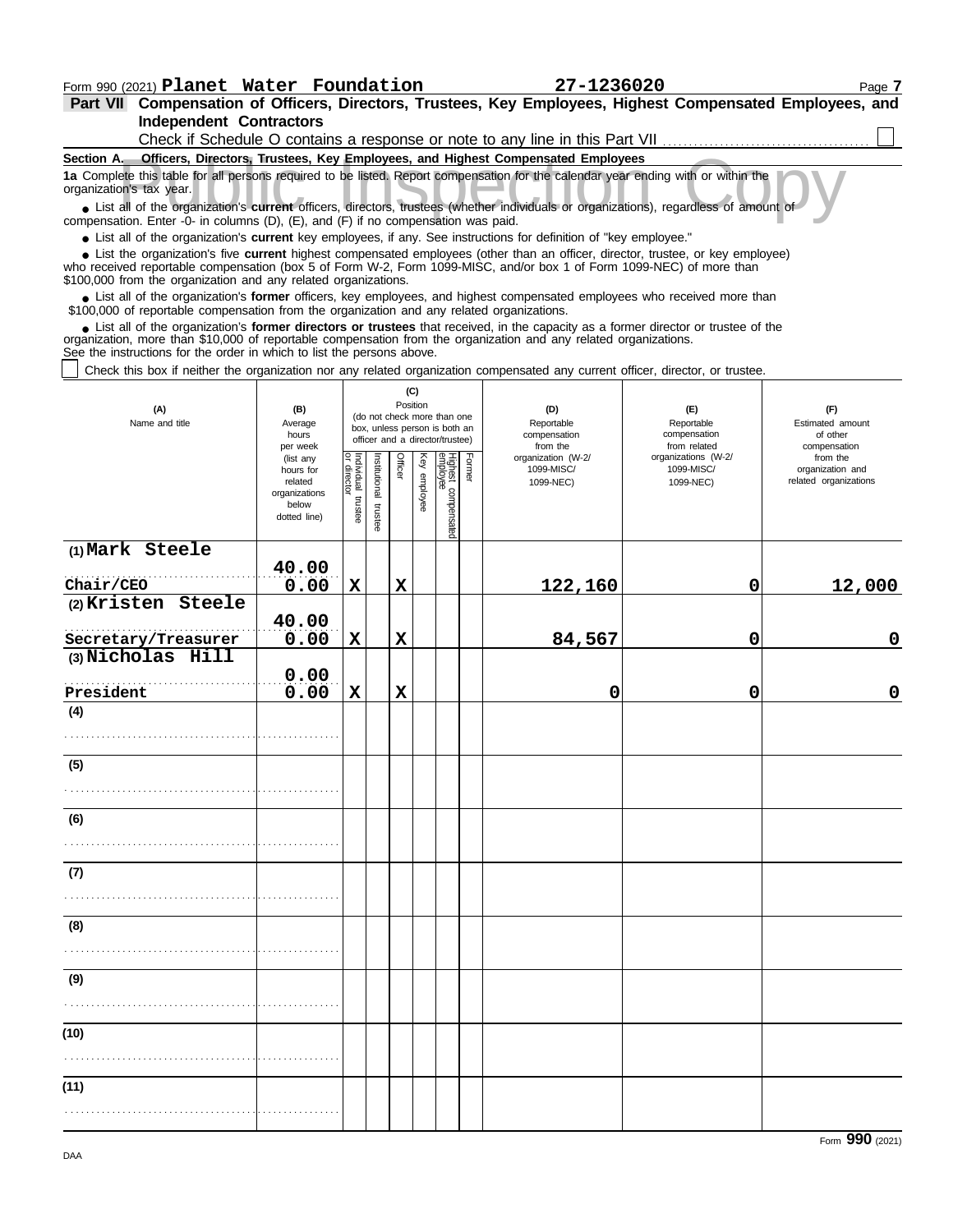**Independent Contractors Part VII Compensation of Officers, Directors, Trustees, Key Employees, Highest Compensated Employees, and** Check if Schedule O contains a response or note to any line in this Part VII . . . . . . . . . . . . . . . . . . . . . . . . . . . . . . . . . . . . . . . .

| Section A. Officers, Directors, Trustees, Key Employees, and Highest Compensated Employees                                                                                                                                                                                                                                        |                       |                                   |              |                                                              |              |                                 |        |                          |                              |                                           |  |  |
|-----------------------------------------------------------------------------------------------------------------------------------------------------------------------------------------------------------------------------------------------------------------------------------------------------------------------------------|-----------------------|-----------------------------------|--------------|--------------------------------------------------------------|--------------|---------------------------------|--------|--------------------------|------------------------------|-------------------------------------------|--|--|
| 1a Complete this table for all persons required to be listed. Report compensation for the calendar year ending with or within the<br>organization's tax year.                                                                                                                                                                     |                       |                                   |              |                                                              |              |                                 |        |                          |                              |                                           |  |  |
| • List all of the organization's current officers, directors, trustees (whether individuals or organizations), regardless of amount of<br>compensation. Enter -0- in columns (D), (E), and (F) if no compensation was paid.                                                                                                       |                       |                                   |              |                                                              |              |                                 |        |                          |                              |                                           |  |  |
| • List all of the organization's current key employees, if any. See instructions for definition of "key employee."                                                                                                                                                                                                                |                       |                                   |              |                                                              |              |                                 |        |                          |                              |                                           |  |  |
| • List the organization's five current highest compensated employees (other than an officer, director, trustee, or key employee)<br>who received reportable compensation (box 5 of Form W-2, Form 1099-MISC, and/or box 1 of Form 1099-NEC) of more than<br>\$100,000 from the organization and any related organizations.        |                       |                                   |              |                                                              |              |                                 |        |                          |                              |                                           |  |  |
| • List all of the organization's former officers, key employees, and highest compensated employees who received more than<br>\$100,000 of reportable compensation from the organization and any related organizations.                                                                                                            |                       |                                   |              |                                                              |              |                                 |        |                          |                              |                                           |  |  |
| • List all of the organization's former directors or trustees that received, in the capacity as a former director or trustee of the<br>organization, more than \$10,000 of reportable compensation from the organization and any related organizations.<br>See the instructions for the order in which to list the persons above. |                       |                                   |              |                                                              |              |                                 |        |                          |                              |                                           |  |  |
| Check this box if neither the organization nor any related organization compensated any current officer, director, or trustee.                                                                                                                                                                                                    |                       |                                   |              |                                                              |              |                                 |        |                          |                              |                                           |  |  |
| (C)                                                                                                                                                                                                                                                                                                                               |                       |                                   |              |                                                              |              |                                 |        |                          |                              |                                           |  |  |
| (A)<br>Name and title                                                                                                                                                                                                                                                                                                             | (B)<br>Average        |                                   |              | (do not check more than one<br>box, unless person is both an | Position     |                                 |        | (D)<br>Reportable        | (E)<br>Reportable            | (F)<br>Estimated amount                   |  |  |
|                                                                                                                                                                                                                                                                                                                                   | hours                 |                                   |              | officer and a director/trustee)                              |              |                                 |        | compensation<br>from the | compensation<br>from related | of other                                  |  |  |
|                                                                                                                                                                                                                                                                                                                                   | per week<br>(list any |                                   |              |                                                              |              |                                 |        | organization (W-2/       | organizations (W-2/          | compensation<br>from the                  |  |  |
|                                                                                                                                                                                                                                                                                                                                   | hours for<br>related  |                                   | nstitutional | Officer                                                      | Key employee |                                 | Former | 1099-MISC/               | 1099-MISC/                   | organization and<br>related organizations |  |  |
|                                                                                                                                                                                                                                                                                                                                   | organizations         |                                   |              |                                                              |              |                                 |        | 1099-NEC)                | 1099-NEC)                    |                                           |  |  |
|                                                                                                                                                                                                                                                                                                                                   | below<br>dotted line) | Individual trustee<br>or director | trustee      |                                                              |              | Highest compensated<br>employee |        |                          |                              |                                           |  |  |
| (1) Mark Steele                                                                                                                                                                                                                                                                                                                   |                       |                                   |              |                                                              |              |                                 |        |                          |                              |                                           |  |  |
|                                                                                                                                                                                                                                                                                                                                   | 40.00                 |                                   |              |                                                              |              |                                 |        |                          |                              |                                           |  |  |
| Chair/CEO                                                                                                                                                                                                                                                                                                                         | 0.00                  | $\mathbf x$                       |              | $\mathbf x$                                                  |              |                                 |        | 122,160                  | 0                            | 12,000                                    |  |  |
| (2) Kristen Steele                                                                                                                                                                                                                                                                                                                |                       |                                   |              |                                                              |              |                                 |        |                          |                              |                                           |  |  |
|                                                                                                                                                                                                                                                                                                                                   | 40.00                 |                                   |              |                                                              |              |                                 |        |                          |                              |                                           |  |  |
| Secretary/Treasurer                                                                                                                                                                                                                                                                                                               | 0.00                  | $\mathbf x$                       |              | $\mathbf x$                                                  |              |                                 |        | 84,567                   | 0                            | 0                                         |  |  |
| (3) Nicholas Hill                                                                                                                                                                                                                                                                                                                 |                       |                                   |              |                                                              |              |                                 |        |                          |                              |                                           |  |  |
| President                                                                                                                                                                                                                                                                                                                         | 0.00<br>0.00          | X                                 |              | X                                                            |              |                                 |        | 0                        | 0                            | 0                                         |  |  |
| (4)                                                                                                                                                                                                                                                                                                                               |                       |                                   |              |                                                              |              |                                 |        |                          |                              |                                           |  |  |
|                                                                                                                                                                                                                                                                                                                                   |                       |                                   |              |                                                              |              |                                 |        |                          |                              |                                           |  |  |
|                                                                                                                                                                                                                                                                                                                                   |                       |                                   |              |                                                              |              |                                 |        |                          |                              |                                           |  |  |
| (5)                                                                                                                                                                                                                                                                                                                               |                       |                                   |              |                                                              |              |                                 |        |                          |                              |                                           |  |  |
|                                                                                                                                                                                                                                                                                                                                   |                       |                                   |              |                                                              |              |                                 |        |                          |                              |                                           |  |  |
| (6)                                                                                                                                                                                                                                                                                                                               |                       |                                   |              |                                                              |              |                                 |        |                          |                              |                                           |  |  |
|                                                                                                                                                                                                                                                                                                                                   |                       |                                   |              |                                                              |              |                                 |        |                          |                              |                                           |  |  |
| (7)                                                                                                                                                                                                                                                                                                                               |                       |                                   |              |                                                              |              |                                 |        |                          |                              |                                           |  |  |
|                                                                                                                                                                                                                                                                                                                                   |                       |                                   |              |                                                              |              |                                 |        |                          |                              |                                           |  |  |
|                                                                                                                                                                                                                                                                                                                                   |                       |                                   |              |                                                              |              |                                 |        |                          |                              |                                           |  |  |
| (8)                                                                                                                                                                                                                                                                                                                               |                       |                                   |              |                                                              |              |                                 |        |                          |                              |                                           |  |  |
|                                                                                                                                                                                                                                                                                                                                   |                       |                                   |              |                                                              |              |                                 |        |                          |                              |                                           |  |  |
|                                                                                                                                                                                                                                                                                                                                   |                       |                                   |              |                                                              |              |                                 |        |                          |                              |                                           |  |  |
| (9)                                                                                                                                                                                                                                                                                                                               |                       |                                   |              |                                                              |              |                                 |        |                          |                              |                                           |  |  |
|                                                                                                                                                                                                                                                                                                                                   |                       |                                   |              |                                                              |              |                                 |        |                          |                              |                                           |  |  |
| (10)                                                                                                                                                                                                                                                                                                                              |                       |                                   |              |                                                              |              |                                 |        |                          |                              |                                           |  |  |
|                                                                                                                                                                                                                                                                                                                                   |                       |                                   |              |                                                              |              |                                 |        |                          |                              |                                           |  |  |
|                                                                                                                                                                                                                                                                                                                                   |                       |                                   |              |                                                              |              |                                 |        |                          |                              |                                           |  |  |
| (11)                                                                                                                                                                                                                                                                                                                              |                       |                                   |              |                                                              |              |                                 |        |                          |                              |                                           |  |  |
|                                                                                                                                                                                                                                                                                                                                   |                       |                                   |              |                                                              |              |                                 |        |                          |                              |                                           |  |  |
|                                                                                                                                                                                                                                                                                                                                   |                       |                                   |              |                                                              |              |                                 |        |                          |                              |                                           |  |  |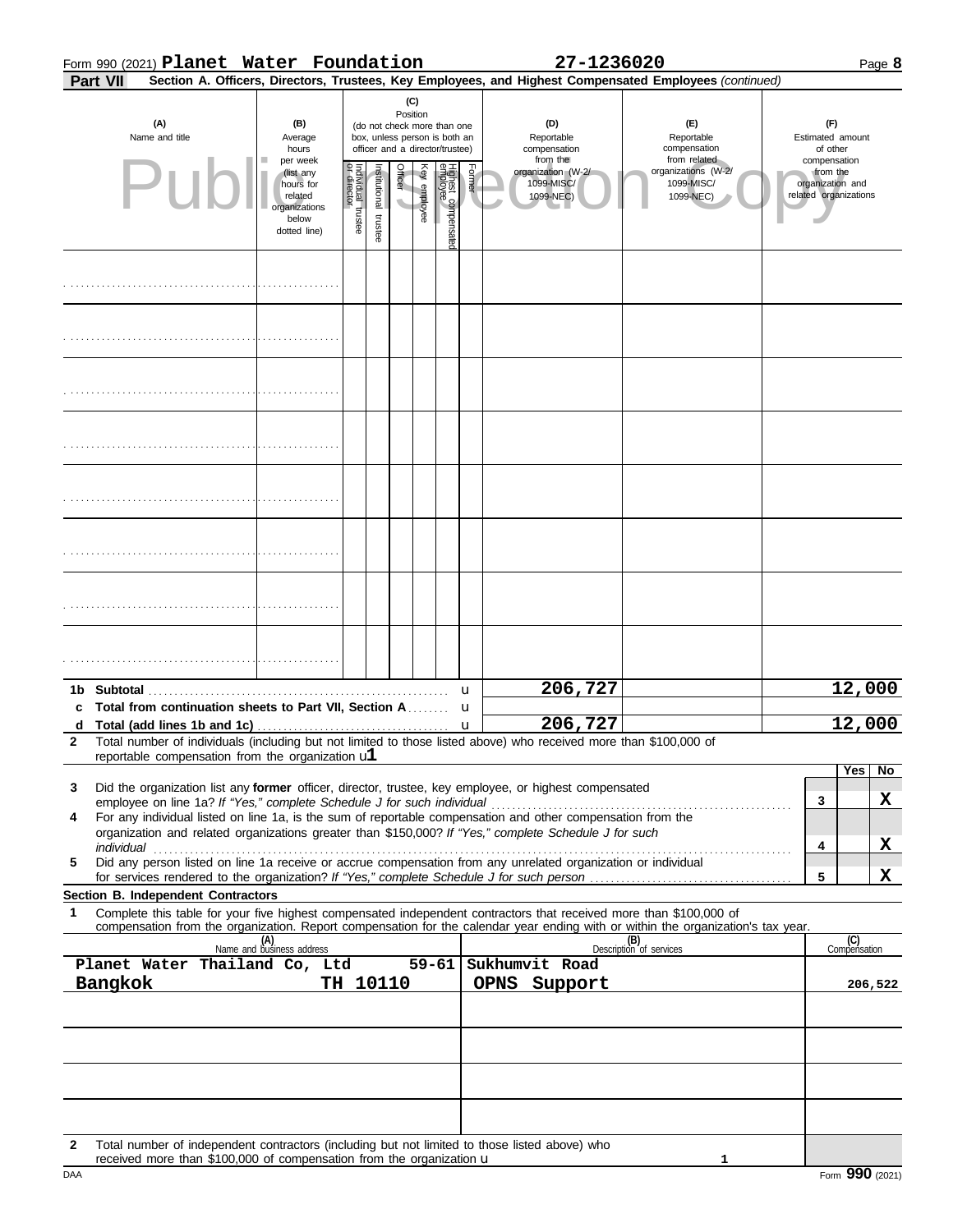|  | Form 990 (2021) Planet Water Foundation | 27-1236020 | Page <b>b</b> |
|--|-----------------------------------------|------------|---------------|
|  |                                         |            |               |

| Part VII<br>Section A. Officers, Directors, Trustees, Key Employees, and Highest Compensated Employees (continued)                                                                                                                                                                                                                                                                                                                                                                                                                                                                                                                                                                                                                                            |                                                                             |                                   |                                                                                                                    |         |              |                                 |        |                                               |                                |                                                   |                                                       |  |  |
|---------------------------------------------------------------------------------------------------------------------------------------------------------------------------------------------------------------------------------------------------------------------------------------------------------------------------------------------------------------------------------------------------------------------------------------------------------------------------------------------------------------------------------------------------------------------------------------------------------------------------------------------------------------------------------------------------------------------------------------------------------------|-----------------------------------------------------------------------------|-----------------------------------|--------------------------------------------------------------------------------------------------------------------|---------|--------------|---------------------------------|--------|-----------------------------------------------|--------------------------------|---------------------------------------------------|-------------------------------------------------------|--|--|
| (A)<br>(B)<br>Name and title<br>Average<br>hours<br>per week                                                                                                                                                                                                                                                                                                                                                                                                                                                                                                                                                                                                                                                                                                  |                                                                             |                                   | (C)<br>Position<br>(do not check more than one<br>box, unless person is both an<br>officer and a director/trustee) |         |              |                                 |        | (D)<br>Reportable<br>compensation<br>from the |                                | (E)<br>Reportable<br>compensation<br>from related | (F)<br>Estimated amount<br>of other<br>compensation   |  |  |
| Pul                                                                                                                                                                                                                                                                                                                                                                                                                                                                                                                                                                                                                                                                                                                                                           | (list any<br>hours for<br>related<br>organizations<br>below<br>dotted line) | Individual trustee<br>or director | nstitutional trustee                                                                                               | Officer | Key employee | Highest compensated<br>employee | Former | organization (W-2/<br>1099-MISC/<br>1099-NEC) |                                | organizations (W-2/<br>1099-MISC/<br>1099-NEC)    | from the<br>organization and<br>related organizations |  |  |
|                                                                                                                                                                                                                                                                                                                                                                                                                                                                                                                                                                                                                                                                                                                                                               |                                                                             |                                   |                                                                                                                    |         |              |                                 |        |                                               |                                |                                                   |                                                       |  |  |
|                                                                                                                                                                                                                                                                                                                                                                                                                                                                                                                                                                                                                                                                                                                                                               |                                                                             |                                   |                                                                                                                    |         |              |                                 |        |                                               |                                |                                                   |                                                       |  |  |
|                                                                                                                                                                                                                                                                                                                                                                                                                                                                                                                                                                                                                                                                                                                                                               |                                                                             |                                   |                                                                                                                    |         |              |                                 |        |                                               |                                |                                                   |                                                       |  |  |
|                                                                                                                                                                                                                                                                                                                                                                                                                                                                                                                                                                                                                                                                                                                                                               |                                                                             |                                   |                                                                                                                    |         |              |                                 |        |                                               |                                |                                                   |                                                       |  |  |
|                                                                                                                                                                                                                                                                                                                                                                                                                                                                                                                                                                                                                                                                                                                                                               |                                                                             |                                   |                                                                                                                    |         |              |                                 |        |                                               |                                |                                                   |                                                       |  |  |
|                                                                                                                                                                                                                                                                                                                                                                                                                                                                                                                                                                                                                                                                                                                                                               |                                                                             |                                   |                                                                                                                    |         |              |                                 |        |                                               |                                |                                                   |                                                       |  |  |
|                                                                                                                                                                                                                                                                                                                                                                                                                                                                                                                                                                                                                                                                                                                                                               |                                                                             |                                   |                                                                                                                    |         |              |                                 |        |                                               |                                |                                                   |                                                       |  |  |
|                                                                                                                                                                                                                                                                                                                                                                                                                                                                                                                                                                                                                                                                                                                                                               |                                                                             |                                   |                                                                                                                    |         |              |                                 |        |                                               |                                |                                                   |                                                       |  |  |
| Total from continuation sheets to Part VII, Section A                                                                                                                                                                                                                                                                                                                                                                                                                                                                                                                                                                                                                                                                                                         |                                                                             |                                   |                                                                                                                    |         |              |                                 | u<br>u | 206,727                                       |                                |                                                   | 12,000                                                |  |  |
|                                                                                                                                                                                                                                                                                                                                                                                                                                                                                                                                                                                                                                                                                                                                                               |                                                                             |                                   |                                                                                                                    |         |              |                                 | u      | 206,727                                       |                                |                                                   | 12,000                                                |  |  |
| Total number of individuals (including but not limited to those listed above) who received more than \$100,000 of<br>reportable compensation from the organization $ul$<br>No<br>Yes<br>Did the organization list any former officer, director, trustee, key employee, or highest compensated<br>3<br>X<br>3<br>employee on line 1a? If "Yes," complete Schedule J for such individual<br>For any individual listed on line 1a, is the sum of reportable compensation and other compensation from the<br>4<br>organization and related organizations greater than \$150,000? If "Yes," complete Schedule J for such<br>X<br>4<br>Did any person listed on line 1a receive or accrue compensation from any unrelated organization or individual<br>5<br>X<br>5 |                                                                             |                                   |                                                                                                                    |         |              |                                 |        |                                               |                                |                                                   |                                                       |  |  |
| Section B. Independent Contractors<br>Complete this table for your five highest compensated independent contractors that received more than \$100,000 of<br>1                                                                                                                                                                                                                                                                                                                                                                                                                                                                                                                                                                                                 |                                                                             |                                   |                                                                                                                    |         |              |                                 |        |                                               |                                |                                                   |                                                       |  |  |
| compensation from the organization. Report compensation for the calendar year ending with or within the organization's tax year.                                                                                                                                                                                                                                                                                                                                                                                                                                                                                                                                                                                                                              | (A)<br>Name and business address                                            |                                   |                                                                                                                    |         |              |                                 |        |                                               | (B)<br>Description of services |                                                   | (C)<br>Compensation                                   |  |  |
| Planet Water Thailand Co, Ltd                                                                                                                                                                                                                                                                                                                                                                                                                                                                                                                                                                                                                                                                                                                                 |                                                                             |                                   |                                                                                                                    |         |              | $59 - 61$                       |        | Sukhumvit Road<br>OPNS Support                |                                |                                                   | 206,522                                               |  |  |
|                                                                                                                                                                                                                                                                                                                                                                                                                                                                                                                                                                                                                                                                                                                                                               | TH 10110<br>Bangkok                                                         |                                   |                                                                                                                    |         |              |                                 |        |                                               |                                |                                                   |                                                       |  |  |
|                                                                                                                                                                                                                                                                                                                                                                                                                                                                                                                                                                                                                                                                                                                                                               |                                                                             |                                   |                                                                                                                    |         |              |                                 |        |                                               |                                |                                                   |                                                       |  |  |
| Total number of independent contractors (including but not limited to those listed above) who<br>$\mathbf{2}$                                                                                                                                                                                                                                                                                                                                                                                                                                                                                                                                                                                                                                                 |                                                                             |                                   |                                                                                                                    |         |              |                                 |        |                                               |                                |                                                   |                                                       |  |  |

received more than  $$100,000$  of compensation from the organization  $$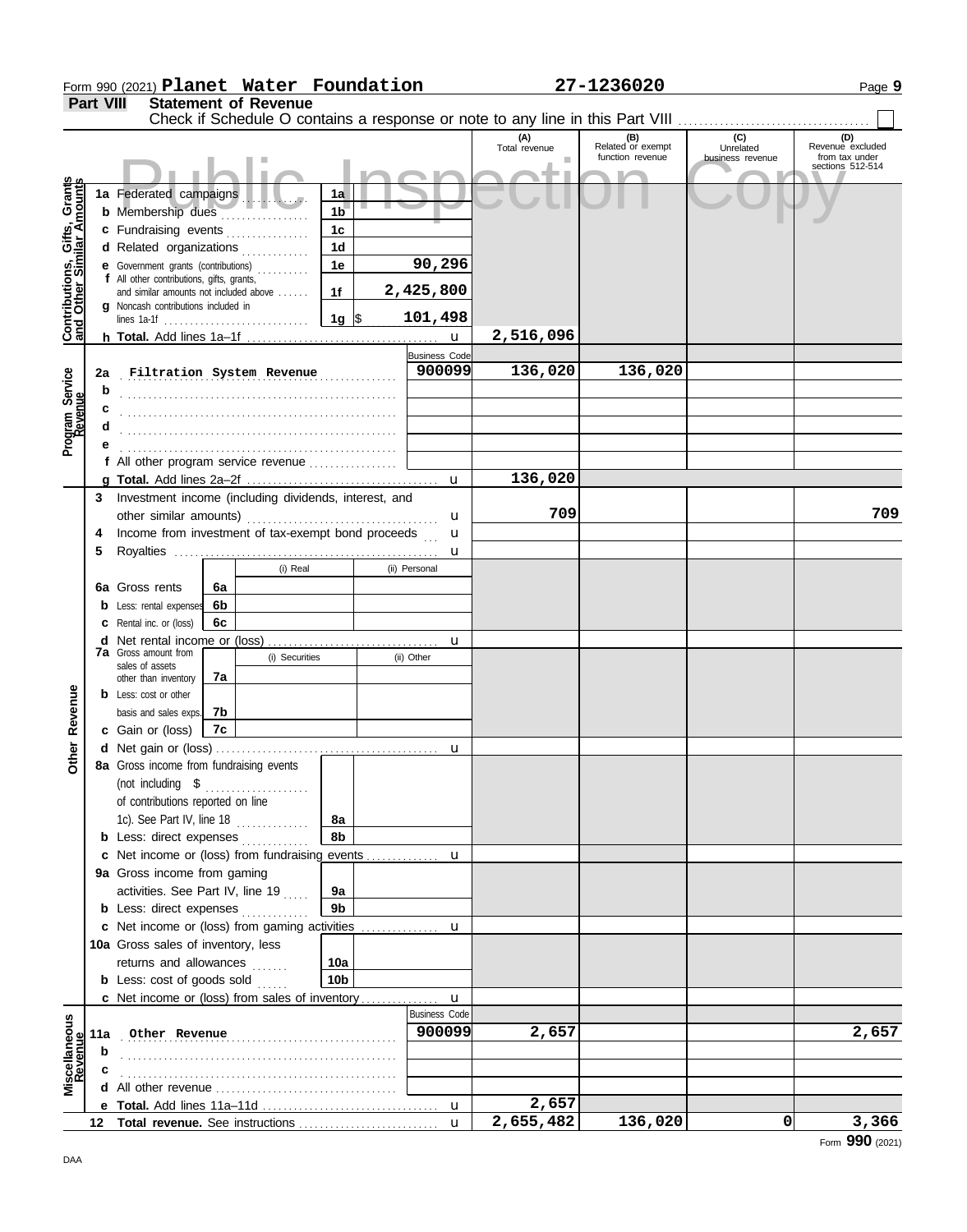|                                                           |                  | Form 990 (2021) Planet Water Foundation                                             |    |                             |                      |                        |                      | 27-1236020                                                                    |                                      | Page 9                                                        |
|-----------------------------------------------------------|------------------|-------------------------------------------------------------------------------------|----|-----------------------------|----------------------|------------------------|----------------------|-------------------------------------------------------------------------------|--------------------------------------|---------------------------------------------------------------|
|                                                           | <b>Part VIII</b> |                                                                                     |    | <b>Statement of Revenue</b> |                      |                        |                      | Check if Schedule O contains a response or note to any line in this Part VIII |                                      |                                                               |
|                                                           |                  |                                                                                     |    |                             |                      |                        | (A)<br>Total revenue | (B)<br>Related or exempt<br>function revenue                                  | (C)<br>Unrelated<br>business revenue | (D)<br>Revenue excluded<br>from tax under<br>sections 512-514 |
| Contributions, Gifts, Grants<br>and Other Similar Amounts |                  | 1a Federated campaigns<br><b>b</b> Membership dues                                  |    |                             | 1a<br>1 <sub>b</sub> |                        |                      |                                                                               |                                      |                                                               |
|                                                           |                  | c Fundraising events                                                                |    |                             | 1 <sub>c</sub>       |                        |                      |                                                                               |                                      |                                                               |
|                                                           |                  | d Related organizations                                                             |    | .                           | 1 <sub>d</sub>       |                        |                      |                                                                               |                                      |                                                               |
|                                                           |                  | e Government grants (contributions)                                                 |    |                             | 1e                   | 90,296                 |                      |                                                                               |                                      |                                                               |
|                                                           |                  | f All other contributions, gifts, grants,<br>and similar amounts not included above |    |                             | 1f                   | 2,425,800              |                      |                                                                               |                                      |                                                               |
|                                                           |                  | g Noncash contributions included in                                                 |    |                             |                      |                        |                      |                                                                               |                                      |                                                               |
|                                                           |                  |                                                                                     |    |                             | $1g \sqrt{3}$        | 101,498<br>$\mathbf u$ | 2,516,096            |                                                                               |                                      |                                                               |
|                                                           |                  |                                                                                     |    |                             |                      | <b>Business Code</b>   |                      |                                                                               |                                      |                                                               |
|                                                           | 2a               | Filtration System Revenue                                                           |    |                             |                      | 900099                 | 136,020              | 136,020                                                                       |                                      |                                                               |
| Program Service<br>Revenue                                | b                |                                                                                     |    |                             |                      |                        |                      |                                                                               |                                      |                                                               |
|                                                           |                  |                                                                                     |    |                             |                      |                        |                      |                                                                               |                                      |                                                               |
|                                                           | d                |                                                                                     |    |                             |                      |                        |                      |                                                                               |                                      |                                                               |
|                                                           |                  |                                                                                     |    |                             |                      |                        |                      |                                                                               |                                      |                                                               |
|                                                           |                  | f All other program service revenue                                                 |    |                             |                      | $\mathbf{u}$           | 136,020              |                                                                               |                                      |                                                               |
|                                                           | 3                | Investment income (including dividends, interest, and                               |    |                             |                      |                        |                      |                                                                               |                                      |                                                               |
|                                                           |                  |                                                                                     |    |                             |                      | u                      | 709                  |                                                                               |                                      | 709                                                           |
|                                                           | 4                | Income from investment of tax-exempt bond proceeds                                  |    |                             |                      | u                      |                      |                                                                               |                                      |                                                               |
|                                                           | 5                |                                                                                     |    |                             |                      | u                      |                      |                                                                               |                                      |                                                               |
|                                                           |                  |                                                                                     |    | (i) Real                    |                      | (ii) Personal          |                      |                                                                               |                                      |                                                               |
|                                                           |                  | 6a Gross rents                                                                      | 6a |                             |                      |                        |                      |                                                                               |                                      |                                                               |
|                                                           |                  | <b>b</b> Less: rental expenses                                                      | 6b |                             |                      |                        |                      |                                                                               |                                      |                                                               |
|                                                           |                  | <b>c</b> Rental inc. or (loss)                                                      | 6c |                             |                      | u                      |                      |                                                                               |                                      |                                                               |
|                                                           |                  | <b>7a</b> Gross amount from                                                         |    | (i) Securities              |                      | (ii) Other             |                      |                                                                               |                                      |                                                               |
|                                                           |                  | sales of assets<br>other than inventory                                             | 7a |                             |                      |                        |                      |                                                                               |                                      |                                                               |
|                                                           |                  | <b>b</b> Less: cost or other                                                        |    |                             |                      |                        |                      |                                                                               |                                      |                                                               |
| Revenue                                                   |                  | basis and sales exps.                                                               | 7b |                             |                      |                        |                      |                                                                               |                                      |                                                               |
|                                                           |                  | c Gain or (loss)                                                                    | 7c |                             |                      |                        |                      |                                                                               |                                      |                                                               |
| $\frac{1}{\sigma}$                                        |                  | d Net gain or (loss)                                                                |    |                             |                      |                        |                      |                                                                               |                                      |                                                               |
|                                                           |                  | 8a Gross income from fundraising events<br>(not including \$                        |    |                             |                      |                        |                      |                                                                               |                                      |                                                               |
|                                                           |                  | of contributions reported on line                                                   |    | .                           |                      |                        |                      |                                                                               |                                      |                                                               |
|                                                           |                  | 1c). See Part IV, line 18                                                           |    | .                           | 8a                   |                        |                      |                                                                               |                                      |                                                               |
|                                                           |                  | <b>b</b> Less: direct expenses                                                      |    |                             | 8b                   |                        |                      |                                                                               |                                      |                                                               |
|                                                           |                  |                                                                                     |    |                             |                      |                        |                      |                                                                               |                                      |                                                               |
|                                                           |                  | 9a Gross income from gaming                                                         |    |                             |                      |                        |                      |                                                                               |                                      |                                                               |
|                                                           |                  | activities. See Part IV, line 19                                                    |    |                             | 9а<br>9 <sub>b</sub> |                        |                      |                                                                               |                                      |                                                               |
|                                                           |                  | <b>b</b> Less: direct expenses<br>c Net income or (loss) from gaming activities     |    |                             |                      | u                      |                      |                                                                               |                                      |                                                               |
|                                                           |                  | 10a Gross sales of inventory, less                                                  |    |                             |                      |                        |                      |                                                                               |                                      |                                                               |
|                                                           |                  | returns and allowances                                                              |    |                             | 10a                  |                        |                      |                                                                               |                                      |                                                               |
|                                                           |                  | <b>b</b> Less: cost of goods sold                                                   |    |                             | 10 <sub>b</sub>      |                        |                      |                                                                               |                                      |                                                               |
|                                                           |                  | c Net income or (loss) from sales of inventory                                      |    |                             |                      | $\mathbf{u}$           |                      |                                                                               |                                      |                                                               |
|                                                           |                  |                                                                                     |    |                             |                      | <b>Business Code</b>   |                      |                                                                               |                                      |                                                               |
| Miscellaneous<br>Revenue                                  | 11a              | Other Revenue                                                                       |    |                             |                      | 900099                 | 2,657                |                                                                               |                                      | 2,657                                                         |
|                                                           | b                |                                                                                     |    |                             |                      |                        |                      |                                                                               |                                      |                                                               |
|                                                           |                  |                                                                                     |    |                             |                      |                        |                      |                                                                               |                                      |                                                               |
|                                                           |                  |                                                                                     |    |                             |                      | $\mathbf u$            | 2,657                |                                                                               |                                      |                                                               |
|                                                           |                  |                                                                                     |    |                             |                      | $\mathbf{u}$           | 2,655,482            | 136,020                                                                       | $\mathbf{0}$                         | 3,366                                                         |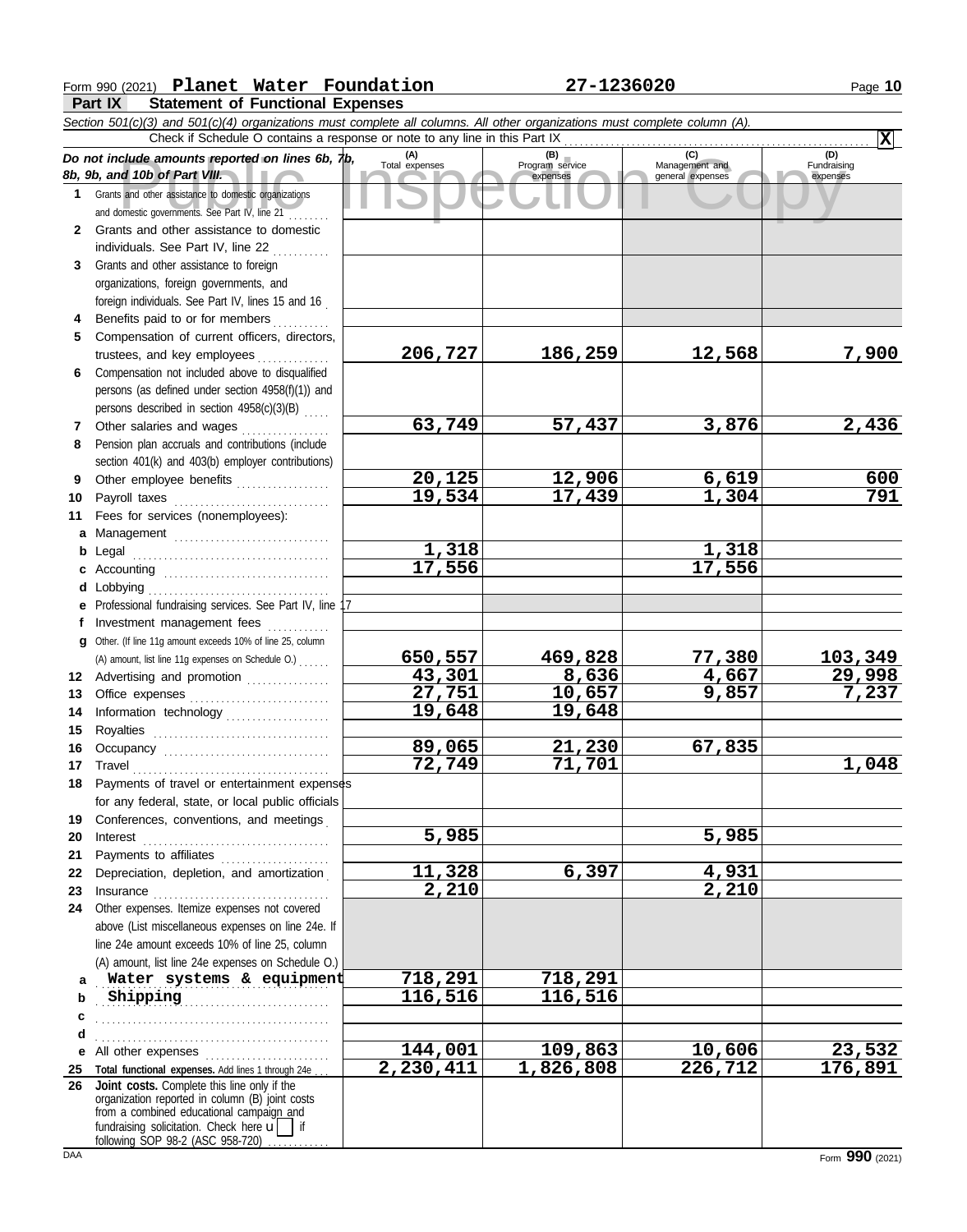### **Form 990 (2021) Planet Water Foundation 127-1236020** Page 10

**Part IX Statement of Functional Expenses**

|          | Do not include amounts reported on lines 6b, 1b,<br>8b, 9b, and 10b of Part VIII.                                                                                                                    | (A)<br>Total expenses   | (B)<br>Program service<br>expenses | (C)<br>Management and<br>general expenses | (D)<br>Fundraising<br>expenses |
|----------|------------------------------------------------------------------------------------------------------------------------------------------------------------------------------------------------------|-------------------------|------------------------------------|-------------------------------------------|--------------------------------|
| 1        | Grants and other assistance to domestic organizations                                                                                                                                                |                         |                                    |                                           |                                |
|          | and domestic governments. See Part IV, line 21<br>2 Grants and other assistance to domestic                                                                                                          |                         |                                    |                                           |                                |
|          | individuals. See Part IV, line 22                                                                                                                                                                    |                         |                                    |                                           |                                |
| 3        | Grants and other assistance to foreign                                                                                                                                                               |                         |                                    |                                           |                                |
|          | organizations, foreign governments, and                                                                                                                                                              |                         |                                    |                                           |                                |
|          | foreign individuals. See Part IV, lines 15 and 16                                                                                                                                                    |                         |                                    |                                           |                                |
|          | Benefits paid to or for members                                                                                                                                                                      |                         |                                    |                                           |                                |
| 5.       | Compensation of current officers, directors,                                                                                                                                                         |                         |                                    |                                           |                                |
|          | trustees, and key employees                                                                                                                                                                          | 206,727                 | 186,259                            | 12,568                                    | 7,900                          |
| 6        | Compensation not included above to disqualified                                                                                                                                                      |                         |                                    |                                           |                                |
|          | persons (as defined under section 4958(f)(1)) and                                                                                                                                                    |                         |                                    |                                           |                                |
|          | persons described in section 4958(c)(3)(B)                                                                                                                                                           |                         |                                    |                                           |                                |
| 7        | Other salaries and wages                                                                                                                                                                             | 63,749                  | 57,437                             | 3,876                                     | 2,436                          |
| 8        | Pension plan accruals and contributions (include                                                                                                                                                     |                         |                                    |                                           |                                |
|          | section 401(k) and 403(b) employer contributions)                                                                                                                                                    |                         |                                    |                                           |                                |
| 9        | Other employee benefits                                                                                                                                                                              | $\frac{20,125}{19,534}$ | 12,906                             | 6,619                                     | 600                            |
| 10       | Payroll taxes                                                                                                                                                                                        |                         | 17,439                             | 1,304                                     | 791                            |
| 11       | Fees for services (nonemployees):                                                                                                                                                                    |                         |                                    |                                           |                                |
| a        | Management                                                                                                                                                                                           |                         |                                    |                                           |                                |
| b        | Legal                                                                                                                                                                                                | 1,318<br>17,556         |                                    | 1,318<br>17,556                           |                                |
| c        |                                                                                                                                                                                                      |                         |                                    |                                           |                                |
| d        | Lobbying<br>Professional fundraising services. See Part IV, line 17                                                                                                                                  |                         |                                    |                                           |                                |
| e<br>f   | Investment management fees                                                                                                                                                                           |                         |                                    |                                           |                                |
| a        | Other. (If line 11g amount exceeds 10% of line 25, column                                                                                                                                            |                         |                                    |                                           |                                |
|          | (A) amount, list line 11g expenses on Schedule O.)                                                                                                                                                   | 650,557                 | 469,828                            | 77,380                                    | 103,349                        |
| 12       | Advertising and promotion                                                                                                                                                                            | 43,301                  | 8,636                              | 4,667                                     | 29,998                         |
| 13       |                                                                                                                                                                                                      | 27,751                  | 10,657                             | 9,857                                     | 7,237                          |
| 14       | Information technology                                                                                                                                                                               | 19,648                  | 19,648                             |                                           |                                |
| 15       |                                                                                                                                                                                                      |                         |                                    |                                           |                                |
| 16       |                                                                                                                                                                                                      | 89,065                  | 21,230                             | 67,835                                    |                                |
| 17       | Travel                                                                                                                                                                                               | 72,749                  | 71,701                             |                                           | 1,048                          |
| 18       | Payments of travel or entertainment expenses                                                                                                                                                         |                         |                                    |                                           |                                |
|          | for any federal, state, or local public officials                                                                                                                                                    |                         |                                    |                                           |                                |
|          | 19 Conferences, conventions, and meetings                                                                                                                                                            |                         |                                    |                                           |                                |
| 20       | Interest                                                                                                                                                                                             | 5,985                   |                                    | $\overline{5,985}$                        |                                |
| 21       |                                                                                                                                                                                                      | 11,328                  | 6,397                              |                                           |                                |
| 22<br>23 | Depreciation, depletion, and amortization                                                                                                                                                            | 2,210                   |                                    | 4,931<br>2,210                            |                                |
| 24       | Insurance <i>Communication</i><br>Other expenses. Itemize expenses not covered                                                                                                                       |                         |                                    |                                           |                                |
|          | above (List miscellaneous expenses on line 24e. If                                                                                                                                                   |                         |                                    |                                           |                                |
|          | line 24e amount exceeds 10% of line 25, column                                                                                                                                                       |                         |                                    |                                           |                                |
|          | (A) amount, list line 24e expenses on Schedule O.)                                                                                                                                                   |                         |                                    |                                           |                                |
| a        | Water systems & equipment                                                                                                                                                                            | 718,291                 | $\overline{718}$ , 291             |                                           |                                |
| b        | Shipping                                                                                                                                                                                             | 116,516                 | 116,516                            |                                           |                                |
| с        |                                                                                                                                                                                                      |                         |                                    |                                           |                                |
| d        |                                                                                                                                                                                                      |                         |                                    |                                           |                                |
| е        | All other expenses                                                                                                                                                                                   | 144,001                 | 109,863                            | 10,606                                    | <u>23,532</u>                  |
| 25       | Total functional expenses. Add lines 1 through 24e                                                                                                                                                   | 2,230,411               | 1,826,808                          | 226,712                                   | 176,891                        |
| 26       | Joint costs. Complete this line only if the<br>organization reported in column (B) joint costs<br>from a combined educational campaign and<br>fundraising solicitation. Check here $\mathbf{u}$   if |                         |                                    |                                           |                                |
|          | following SOP 98-2 (ASC 958-720)                                                                                                                                                                     |                         |                                    |                                           |                                |

**X**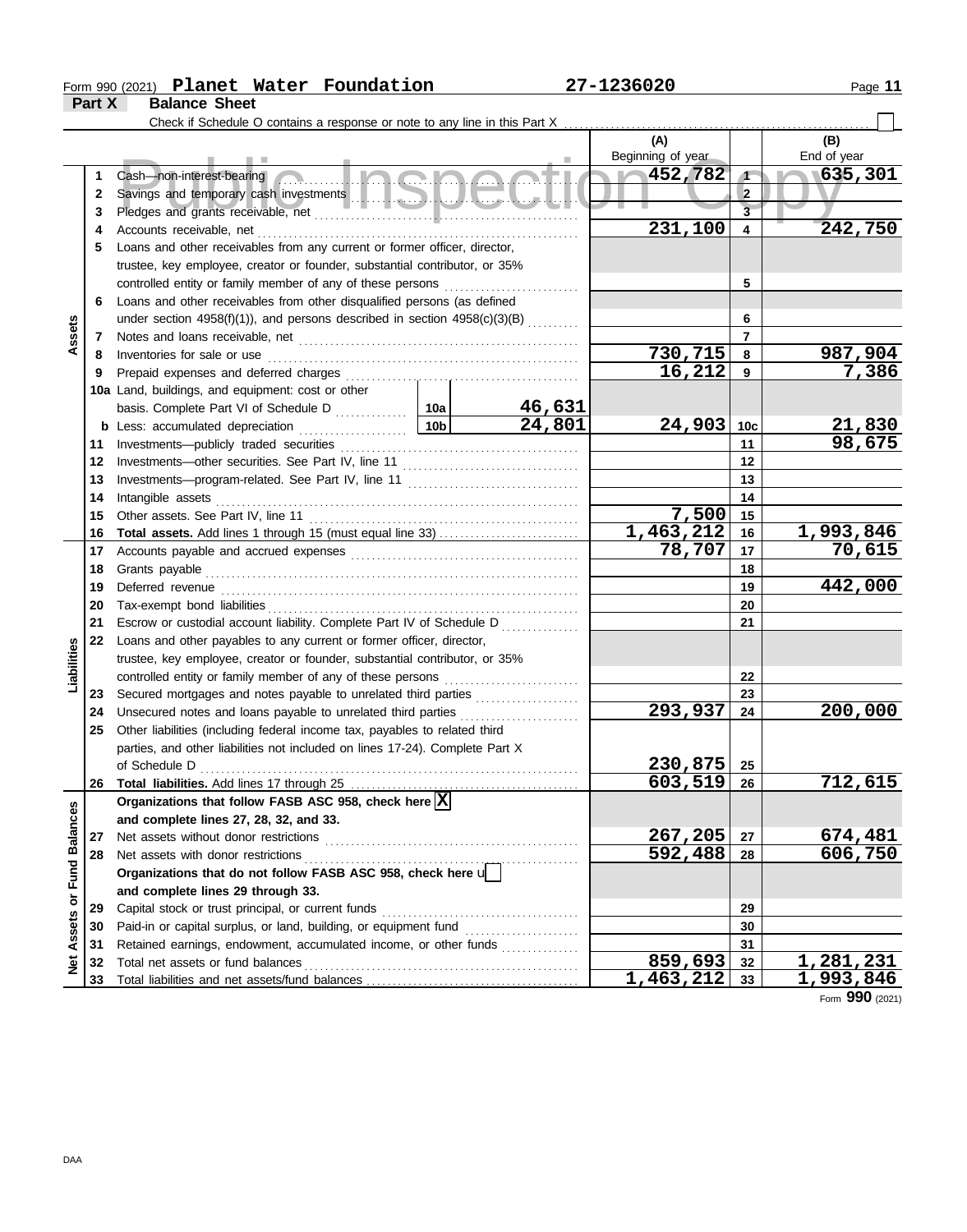### Form 990 (2021) Page **11 Planet Water Foundation 27-1236020**

**Part X Balance Sheet**

|                      |             |                                                                                                                                         |                 |        | (A)<br>Beginning of year |                                                                  | (B)<br>End of year |
|----------------------|-------------|-----------------------------------------------------------------------------------------------------------------------------------------|-----------------|--------|--------------------------|------------------------------------------------------------------|--------------------|
|                      | 1<br>2<br>3 | Cash—non-interest-bearing                                                                                                               |                 |        | $\sim 452,782$           | $\sqrt{1}$<br>$\overline{\mathbf{2}}$<br>$\overline{\mathbf{3}}$ | 635,301            |
|                      | 4           |                                                                                                                                         |                 |        | 231,100                  | 4                                                                | 242,750            |
|                      | 5           | Loans and other receivables from any current or former officer, director,                                                               |                 |        |                          |                                                                  |                    |
|                      |             | trustee, key employee, creator or founder, substantial contributor, or 35%                                                              |                 |        |                          |                                                                  |                    |
|                      |             |                                                                                                                                         |                 |        |                          | 5                                                                |                    |
|                      | 6           | Loans and other receivables from other disqualified persons (as defined                                                                 |                 |        |                          |                                                                  |                    |
|                      |             | under section $4958(f)(1)$ ), and persons described in section $4958(c)(3)(B)$                                                          |                 |        |                          | 6                                                                |                    |
| Assets               | 7           |                                                                                                                                         |                 |        |                          | $\overline{7}$                                                   |                    |
|                      | 8           | Inventories for sale or use                                                                                                             |                 |        | 730,715                  | 8                                                                | 987,904            |
|                      | 9           | Prepaid expenses and deferred charges                                                                                                   |                 |        | 16,212                   | 9                                                                | 7,386              |
|                      |             | 10a Land, buildings, and equipment: cost or other                                                                                       |                 |        |                          |                                                                  |                    |
|                      |             |                                                                                                                                         |                 | 46,631 |                          |                                                                  |                    |
|                      |             |                                                                                                                                         | 10 <sub>b</sub> | 24,801 | 24,903                   | 10 <sub>c</sub>                                                  | <u>21,830</u>      |
|                      | 11          | Investments-publicly traded securities                                                                                                  |                 |        |                          | 11                                                               | 98,675             |
|                      | 12          | Investments-other securities. See Part IV, line 11                                                                                      |                 |        |                          | 12                                                               |                    |
|                      | 13          |                                                                                                                                         |                 |        |                          | 13                                                               |                    |
|                      | 14          | Intangible assets                                                                                                                       |                 |        |                          | 14                                                               |                    |
|                      | 15          | Other assets. See Part IV, line 11                                                                                                      |                 |        | 7,500                    | 15                                                               |                    |
|                      | 16          |                                                                                                                                         |                 |        | 1,463,212                | 16                                                               | 1,993,846          |
|                      | 17          |                                                                                                                                         |                 |        | 78,707                   | 17                                                               | 70,615             |
|                      | 18          | Grants payable                                                                                                                          |                 |        |                          | 18                                                               |                    |
|                      | 19          | Deferred revenue                                                                                                                        |                 |        |                          | 19                                                               | 442,000            |
|                      | 20          |                                                                                                                                         |                 |        |                          | 20                                                               |                    |
|                      | 21          | Escrow or custodial account liability. Complete Part IV of Schedule D                                                                   |                 |        |                          | 21                                                               |                    |
|                      | 22          | Loans and other payables to any current or former officer, director,                                                                    |                 |        |                          |                                                                  |                    |
| Liabilities          |             | trustee, key employee, creator or founder, substantial contributor, or 35%                                                              |                 |        |                          |                                                                  |                    |
|                      |             | controlled entity or family member of any of these persons                                                                              |                 |        |                          | 22                                                               |                    |
|                      | 23          | Secured mortgages and notes payable to unrelated third parties                                                                          |                 |        |                          | 23                                                               |                    |
|                      | 24          | Unsecured notes and loans payable to unrelated third parties                                                                            |                 |        | 293,937                  | 24                                                               | 200,000            |
|                      | 25          | Other liabilities (including federal income tax, payables to related third                                                              |                 |        |                          |                                                                  |                    |
|                      |             | parties, and other liabilities not included on lines 17-24). Complete Part X                                                            |                 |        |                          |                                                                  |                    |
|                      |             |                                                                                                                                         |                 |        | 230,875                  | 25                                                               |                    |
|                      | 26          |                                                                                                                                         |                 |        | 603,519                  | 26                                                               | 712,615            |
|                      |             | Organizations that follow FASB ASC 958, check here $\boxed{\mathbf{X}}$                                                                 |                 |        |                          |                                                                  |                    |
|                      |             | and complete lines 27, 28, 32, and 33.                                                                                                  |                 |        |                          |                                                                  |                    |
| <b>Fund Balances</b> | 27          | Net assets without donor restrictions                                                                                                   |                 |        | 267,205                  | 27                                                               | 674,481            |
|                      | 28          | Net assets with donor restrictions<br>Net assets with donor restrictions<br>Organizations that do not follow FASB ASC 958, check here u |                 |        | 592,488                  | 28                                                               | 606,750            |
|                      |             |                                                                                                                                         |                 |        |                          |                                                                  |                    |
|                      |             | and complete lines 29 through 33.                                                                                                       |                 |        |                          |                                                                  |                    |
|                      | 29          | Capital stock or trust principal, or current funds                                                                                      |                 |        |                          | 29                                                               |                    |
| Assets or            | 30          |                                                                                                                                         |                 |        |                          | 30                                                               |                    |
|                      | 31          | Retained earnings, endowment, accumulated income, or other funds                                                                        |                 |        |                          | 31                                                               |                    |
| Net                  | 32          | Total net assets or fund balances                                                                                                       |                 |        | 859,693                  | 32                                                               | <u>1,281,231</u>   |
|                      | 33          |                                                                                                                                         |                 |        | <u>1,463,212</u>         | 33                                                               | <u>1,993,846</u>   |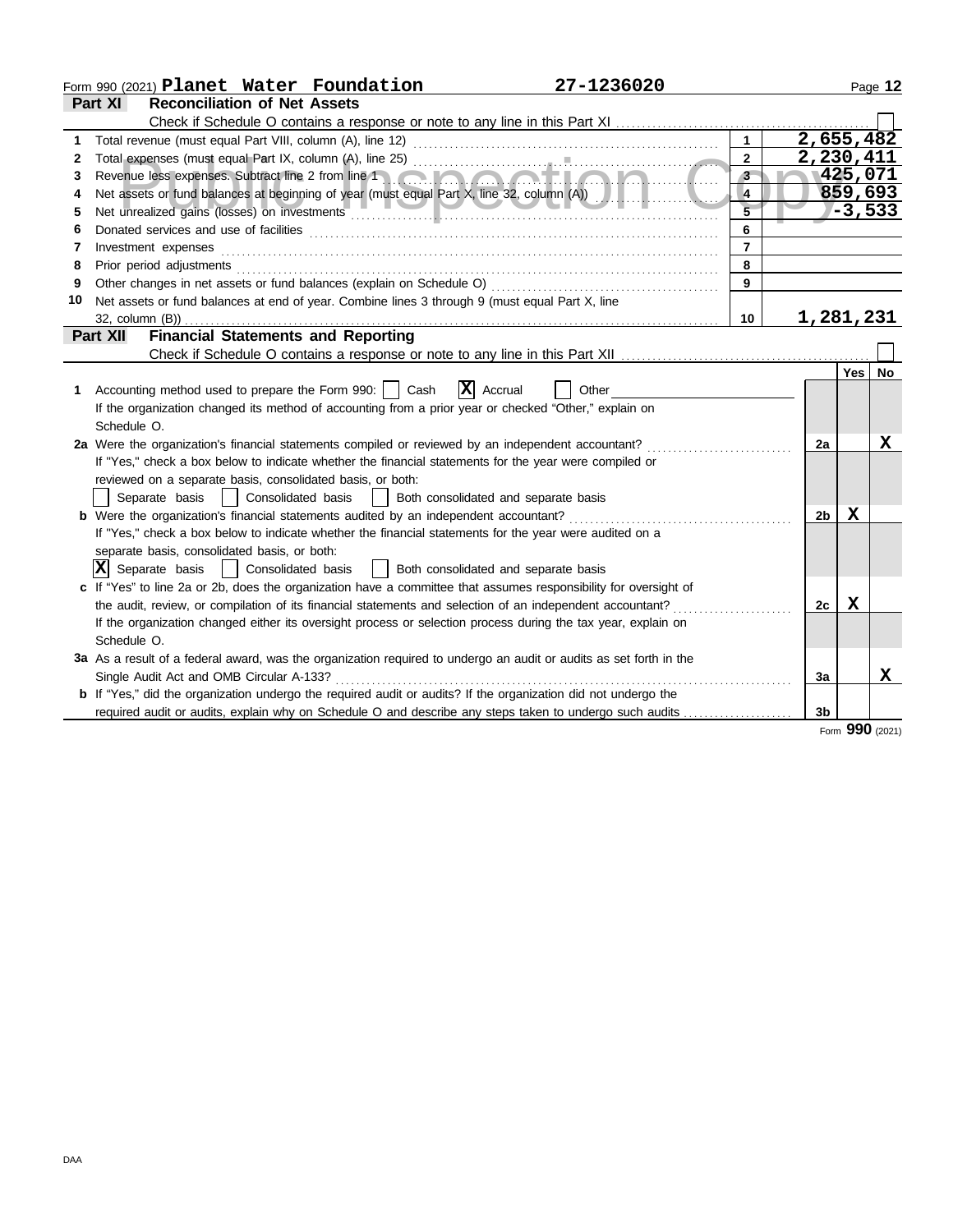| Part XI<br><b>Reconciliation of Net Assets</b><br>Check if Schedule O contains a response or note to any line in this Part XI<br>2,655,482<br>1<br>2,230,411<br>$\mathbf{2}$<br>2<br>1425,071<br>Revenue less expenses. Subtract line 2 from line 1<br>$\mathbf{3}$<br>3<br>859,693<br>Net assets or fund balances at beginning of year (must equal Part X, line 32, column (A))<br>4<br>$-3,533$<br>5<br>6<br>6<br>$\overline{7}$<br>Investment expenses<br>7<br>Prior period adjustments<br>8<br>8<br>Other changes in net assets or fund balances (explain on Schedule O)<br>9<br>9<br>10<br>Net assets or fund balances at end of year. Combine lines 3 through 9 (must equal Part X, line<br>1,281,231<br>10<br>$32$ , column $(B)$ )<br><b>Financial Statements and Reporting</b><br>Part XII<br>Yes  <br><b>x</b><br>1 Accounting method used to prepare the Form 990:     Cash<br>Accrual<br>Other<br>If the organization changed its method of accounting from a prior year or checked "Other," explain on<br>Schedule O.<br>2a Were the organization's financial statements compiled or reviewed by an independent accountant?<br>2a<br>If "Yes," check a box below to indicate whether the financial statements for the year were compiled or<br>reviewed on a separate basis, consolidated basis, or both:<br>  Consolidated basis<br>Both consolidated and separate basis<br>Separate basis<br>$\mathbf{1}$<br><b>b</b> Were the organization's financial statements audited by an independent accountant?<br>x<br>2 <sub>b</sub><br>If "Yes," check a box below to indicate whether the financial statements for the year were audited on a<br>separate basis, consolidated basis, or both:<br>$ \mathbf{X} $ Separate basis<br>  Consolidated basis<br>  Both consolidated and separate basis<br>c If "Yes" to line 2a or 2b, does the organization have a committee that assumes responsibility for oversight of<br>the audit, review, or compilation of its financial statements and selection of an independent accountant?<br>x<br>2c<br>If the organization changed either its oversight process or selection process during the tax year, explain on<br>Schedule O.<br>3a As a result of a federal award, was the organization required to undergo an audit or audits as set forth in the<br>Single Audit Act and OMB Circular A-133?<br>3a | 27-1236020<br>Form 990 (2021) Planet Water Foundation                                                                 |  | Page 12   |
|------------------------------------------------------------------------------------------------------------------------------------------------------------------------------------------------------------------------------------------------------------------------------------------------------------------------------------------------------------------------------------------------------------------------------------------------------------------------------------------------------------------------------------------------------------------------------------------------------------------------------------------------------------------------------------------------------------------------------------------------------------------------------------------------------------------------------------------------------------------------------------------------------------------------------------------------------------------------------------------------------------------------------------------------------------------------------------------------------------------------------------------------------------------------------------------------------------------------------------------------------------------------------------------------------------------------------------------------------------------------------------------------------------------------------------------------------------------------------------------------------------------------------------------------------------------------------------------------------------------------------------------------------------------------------------------------------------------------------------------------------------------------------------------------------------------------------------------------------------------------------------------------------------------------------------------------------------------------------------------------------------------------------------------------------------------------------------------------------------------------------------------------------------------------------------------------------------------------------------------------------------------------------------------------------------------------------------------------------------------|-----------------------------------------------------------------------------------------------------------------------|--|-----------|
|                                                                                                                                                                                                                                                                                                                                                                                                                                                                                                                                                                                                                                                                                                                                                                                                                                                                                                                                                                                                                                                                                                                                                                                                                                                                                                                                                                                                                                                                                                                                                                                                                                                                                                                                                                                                                                                                                                                                                                                                                                                                                                                                                                                                                                                                                                                                                                  |                                                                                                                       |  |           |
|                                                                                                                                                                                                                                                                                                                                                                                                                                                                                                                                                                                                                                                                                                                                                                                                                                                                                                                                                                                                                                                                                                                                                                                                                                                                                                                                                                                                                                                                                                                                                                                                                                                                                                                                                                                                                                                                                                                                                                                                                                                                                                                                                                                                                                                                                                                                                                  |                                                                                                                       |  |           |
|                                                                                                                                                                                                                                                                                                                                                                                                                                                                                                                                                                                                                                                                                                                                                                                                                                                                                                                                                                                                                                                                                                                                                                                                                                                                                                                                                                                                                                                                                                                                                                                                                                                                                                                                                                                                                                                                                                                                                                                                                                                                                                                                                                                                                                                                                                                                                                  |                                                                                                                       |  |           |
|                                                                                                                                                                                                                                                                                                                                                                                                                                                                                                                                                                                                                                                                                                                                                                                                                                                                                                                                                                                                                                                                                                                                                                                                                                                                                                                                                                                                                                                                                                                                                                                                                                                                                                                                                                                                                                                                                                                                                                                                                                                                                                                                                                                                                                                                                                                                                                  |                                                                                                                       |  |           |
|                                                                                                                                                                                                                                                                                                                                                                                                                                                                                                                                                                                                                                                                                                                                                                                                                                                                                                                                                                                                                                                                                                                                                                                                                                                                                                                                                                                                                                                                                                                                                                                                                                                                                                                                                                                                                                                                                                                                                                                                                                                                                                                                                                                                                                                                                                                                                                  |                                                                                                                       |  |           |
|                                                                                                                                                                                                                                                                                                                                                                                                                                                                                                                                                                                                                                                                                                                                                                                                                                                                                                                                                                                                                                                                                                                                                                                                                                                                                                                                                                                                                                                                                                                                                                                                                                                                                                                                                                                                                                                                                                                                                                                                                                                                                                                                                                                                                                                                                                                                                                  |                                                                                                                       |  |           |
|                                                                                                                                                                                                                                                                                                                                                                                                                                                                                                                                                                                                                                                                                                                                                                                                                                                                                                                                                                                                                                                                                                                                                                                                                                                                                                                                                                                                                                                                                                                                                                                                                                                                                                                                                                                                                                                                                                                                                                                                                                                                                                                                                                                                                                                                                                                                                                  |                                                                                                                       |  |           |
|                                                                                                                                                                                                                                                                                                                                                                                                                                                                                                                                                                                                                                                                                                                                                                                                                                                                                                                                                                                                                                                                                                                                                                                                                                                                                                                                                                                                                                                                                                                                                                                                                                                                                                                                                                                                                                                                                                                                                                                                                                                                                                                                                                                                                                                                                                                                                                  |                                                                                                                       |  |           |
|                                                                                                                                                                                                                                                                                                                                                                                                                                                                                                                                                                                                                                                                                                                                                                                                                                                                                                                                                                                                                                                                                                                                                                                                                                                                                                                                                                                                                                                                                                                                                                                                                                                                                                                                                                                                                                                                                                                                                                                                                                                                                                                                                                                                                                                                                                                                                                  |                                                                                                                       |  |           |
|                                                                                                                                                                                                                                                                                                                                                                                                                                                                                                                                                                                                                                                                                                                                                                                                                                                                                                                                                                                                                                                                                                                                                                                                                                                                                                                                                                                                                                                                                                                                                                                                                                                                                                                                                                                                                                                                                                                                                                                                                                                                                                                                                                                                                                                                                                                                                                  |                                                                                                                       |  |           |
|                                                                                                                                                                                                                                                                                                                                                                                                                                                                                                                                                                                                                                                                                                                                                                                                                                                                                                                                                                                                                                                                                                                                                                                                                                                                                                                                                                                                                                                                                                                                                                                                                                                                                                                                                                                                                                                                                                                                                                                                                                                                                                                                                                                                                                                                                                                                                                  |                                                                                                                       |  |           |
|                                                                                                                                                                                                                                                                                                                                                                                                                                                                                                                                                                                                                                                                                                                                                                                                                                                                                                                                                                                                                                                                                                                                                                                                                                                                                                                                                                                                                                                                                                                                                                                                                                                                                                                                                                                                                                                                                                                                                                                                                                                                                                                                                                                                                                                                                                                                                                  |                                                                                                                       |  |           |
|                                                                                                                                                                                                                                                                                                                                                                                                                                                                                                                                                                                                                                                                                                                                                                                                                                                                                                                                                                                                                                                                                                                                                                                                                                                                                                                                                                                                                                                                                                                                                                                                                                                                                                                                                                                                                                                                                                                                                                                                                                                                                                                                                                                                                                                                                                                                                                  |                                                                                                                       |  |           |
|                                                                                                                                                                                                                                                                                                                                                                                                                                                                                                                                                                                                                                                                                                                                                                                                                                                                                                                                                                                                                                                                                                                                                                                                                                                                                                                                                                                                                                                                                                                                                                                                                                                                                                                                                                                                                                                                                                                                                                                                                                                                                                                                                                                                                                                                                                                                                                  |                                                                                                                       |  |           |
|                                                                                                                                                                                                                                                                                                                                                                                                                                                                                                                                                                                                                                                                                                                                                                                                                                                                                                                                                                                                                                                                                                                                                                                                                                                                                                                                                                                                                                                                                                                                                                                                                                                                                                                                                                                                                                                                                                                                                                                                                                                                                                                                                                                                                                                                                                                                                                  |                                                                                                                       |  |           |
|                                                                                                                                                                                                                                                                                                                                                                                                                                                                                                                                                                                                                                                                                                                                                                                                                                                                                                                                                                                                                                                                                                                                                                                                                                                                                                                                                                                                                                                                                                                                                                                                                                                                                                                                                                                                                                                                                                                                                                                                                                                                                                                                                                                                                                                                                                                                                                  |                                                                                                                       |  | <b>No</b> |
|                                                                                                                                                                                                                                                                                                                                                                                                                                                                                                                                                                                                                                                                                                                                                                                                                                                                                                                                                                                                                                                                                                                                                                                                                                                                                                                                                                                                                                                                                                                                                                                                                                                                                                                                                                                                                                                                                                                                                                                                                                                                                                                                                                                                                                                                                                                                                                  |                                                                                                                       |  |           |
|                                                                                                                                                                                                                                                                                                                                                                                                                                                                                                                                                                                                                                                                                                                                                                                                                                                                                                                                                                                                                                                                                                                                                                                                                                                                                                                                                                                                                                                                                                                                                                                                                                                                                                                                                                                                                                                                                                                                                                                                                                                                                                                                                                                                                                                                                                                                                                  |                                                                                                                       |  |           |
|                                                                                                                                                                                                                                                                                                                                                                                                                                                                                                                                                                                                                                                                                                                                                                                                                                                                                                                                                                                                                                                                                                                                                                                                                                                                                                                                                                                                                                                                                                                                                                                                                                                                                                                                                                                                                                                                                                                                                                                                                                                                                                                                                                                                                                                                                                                                                                  |                                                                                                                       |  |           |
|                                                                                                                                                                                                                                                                                                                                                                                                                                                                                                                                                                                                                                                                                                                                                                                                                                                                                                                                                                                                                                                                                                                                                                                                                                                                                                                                                                                                                                                                                                                                                                                                                                                                                                                                                                                                                                                                                                                                                                                                                                                                                                                                                                                                                                                                                                                                                                  |                                                                                                                       |  | x         |
|                                                                                                                                                                                                                                                                                                                                                                                                                                                                                                                                                                                                                                                                                                                                                                                                                                                                                                                                                                                                                                                                                                                                                                                                                                                                                                                                                                                                                                                                                                                                                                                                                                                                                                                                                                                                                                                                                                                                                                                                                                                                                                                                                                                                                                                                                                                                                                  |                                                                                                                       |  |           |
|                                                                                                                                                                                                                                                                                                                                                                                                                                                                                                                                                                                                                                                                                                                                                                                                                                                                                                                                                                                                                                                                                                                                                                                                                                                                                                                                                                                                                                                                                                                                                                                                                                                                                                                                                                                                                                                                                                                                                                                                                                                                                                                                                                                                                                                                                                                                                                  |                                                                                                                       |  |           |
|                                                                                                                                                                                                                                                                                                                                                                                                                                                                                                                                                                                                                                                                                                                                                                                                                                                                                                                                                                                                                                                                                                                                                                                                                                                                                                                                                                                                                                                                                                                                                                                                                                                                                                                                                                                                                                                                                                                                                                                                                                                                                                                                                                                                                                                                                                                                                                  |                                                                                                                       |  |           |
|                                                                                                                                                                                                                                                                                                                                                                                                                                                                                                                                                                                                                                                                                                                                                                                                                                                                                                                                                                                                                                                                                                                                                                                                                                                                                                                                                                                                                                                                                                                                                                                                                                                                                                                                                                                                                                                                                                                                                                                                                                                                                                                                                                                                                                                                                                                                                                  |                                                                                                                       |  |           |
|                                                                                                                                                                                                                                                                                                                                                                                                                                                                                                                                                                                                                                                                                                                                                                                                                                                                                                                                                                                                                                                                                                                                                                                                                                                                                                                                                                                                                                                                                                                                                                                                                                                                                                                                                                                                                                                                                                                                                                                                                                                                                                                                                                                                                                                                                                                                                                  |                                                                                                                       |  |           |
|                                                                                                                                                                                                                                                                                                                                                                                                                                                                                                                                                                                                                                                                                                                                                                                                                                                                                                                                                                                                                                                                                                                                                                                                                                                                                                                                                                                                                                                                                                                                                                                                                                                                                                                                                                                                                                                                                                                                                                                                                                                                                                                                                                                                                                                                                                                                                                  |                                                                                                                       |  |           |
|                                                                                                                                                                                                                                                                                                                                                                                                                                                                                                                                                                                                                                                                                                                                                                                                                                                                                                                                                                                                                                                                                                                                                                                                                                                                                                                                                                                                                                                                                                                                                                                                                                                                                                                                                                                                                                                                                                                                                                                                                                                                                                                                                                                                                                                                                                                                                                  |                                                                                                                       |  |           |
|                                                                                                                                                                                                                                                                                                                                                                                                                                                                                                                                                                                                                                                                                                                                                                                                                                                                                                                                                                                                                                                                                                                                                                                                                                                                                                                                                                                                                                                                                                                                                                                                                                                                                                                                                                                                                                                                                                                                                                                                                                                                                                                                                                                                                                                                                                                                                                  |                                                                                                                       |  |           |
|                                                                                                                                                                                                                                                                                                                                                                                                                                                                                                                                                                                                                                                                                                                                                                                                                                                                                                                                                                                                                                                                                                                                                                                                                                                                                                                                                                                                                                                                                                                                                                                                                                                                                                                                                                                                                                                                                                                                                                                                                                                                                                                                                                                                                                                                                                                                                                  |                                                                                                                       |  |           |
|                                                                                                                                                                                                                                                                                                                                                                                                                                                                                                                                                                                                                                                                                                                                                                                                                                                                                                                                                                                                                                                                                                                                                                                                                                                                                                                                                                                                                                                                                                                                                                                                                                                                                                                                                                                                                                                                                                                                                                                                                                                                                                                                                                                                                                                                                                                                                                  |                                                                                                                       |  |           |
|                                                                                                                                                                                                                                                                                                                                                                                                                                                                                                                                                                                                                                                                                                                                                                                                                                                                                                                                                                                                                                                                                                                                                                                                                                                                                                                                                                                                                                                                                                                                                                                                                                                                                                                                                                                                                                                                                                                                                                                                                                                                                                                                                                                                                                                                                                                                                                  |                                                                                                                       |  |           |
|                                                                                                                                                                                                                                                                                                                                                                                                                                                                                                                                                                                                                                                                                                                                                                                                                                                                                                                                                                                                                                                                                                                                                                                                                                                                                                                                                                                                                                                                                                                                                                                                                                                                                                                                                                                                                                                                                                                                                                                                                                                                                                                                                                                                                                                                                                                                                                  |                                                                                                                       |  |           |
|                                                                                                                                                                                                                                                                                                                                                                                                                                                                                                                                                                                                                                                                                                                                                                                                                                                                                                                                                                                                                                                                                                                                                                                                                                                                                                                                                                                                                                                                                                                                                                                                                                                                                                                                                                                                                                                                                                                                                                                                                                                                                                                                                                                                                                                                                                                                                                  |                                                                                                                       |  | X         |
|                                                                                                                                                                                                                                                                                                                                                                                                                                                                                                                                                                                                                                                                                                                                                                                                                                                                                                                                                                                                                                                                                                                                                                                                                                                                                                                                                                                                                                                                                                                                                                                                                                                                                                                                                                                                                                                                                                                                                                                                                                                                                                                                                                                                                                                                                                                                                                  | <b>b</b> If "Yes," did the organization undergo the required audit or audits? If the organization did not undergo the |  |           |
| required audit or audits, explain why on Schedule O and describe any steps taken to undergo such audits<br>3 <sub>b</sub><br>റററ                                                                                                                                                                                                                                                                                                                                                                                                                                                                                                                                                                                                                                                                                                                                                                                                                                                                                                                                                                                                                                                                                                                                                                                                                                                                                                                                                                                                                                                                                                                                                                                                                                                                                                                                                                                                                                                                                                                                                                                                                                                                                                                                                                                                                                 |                                                                                                                       |  |           |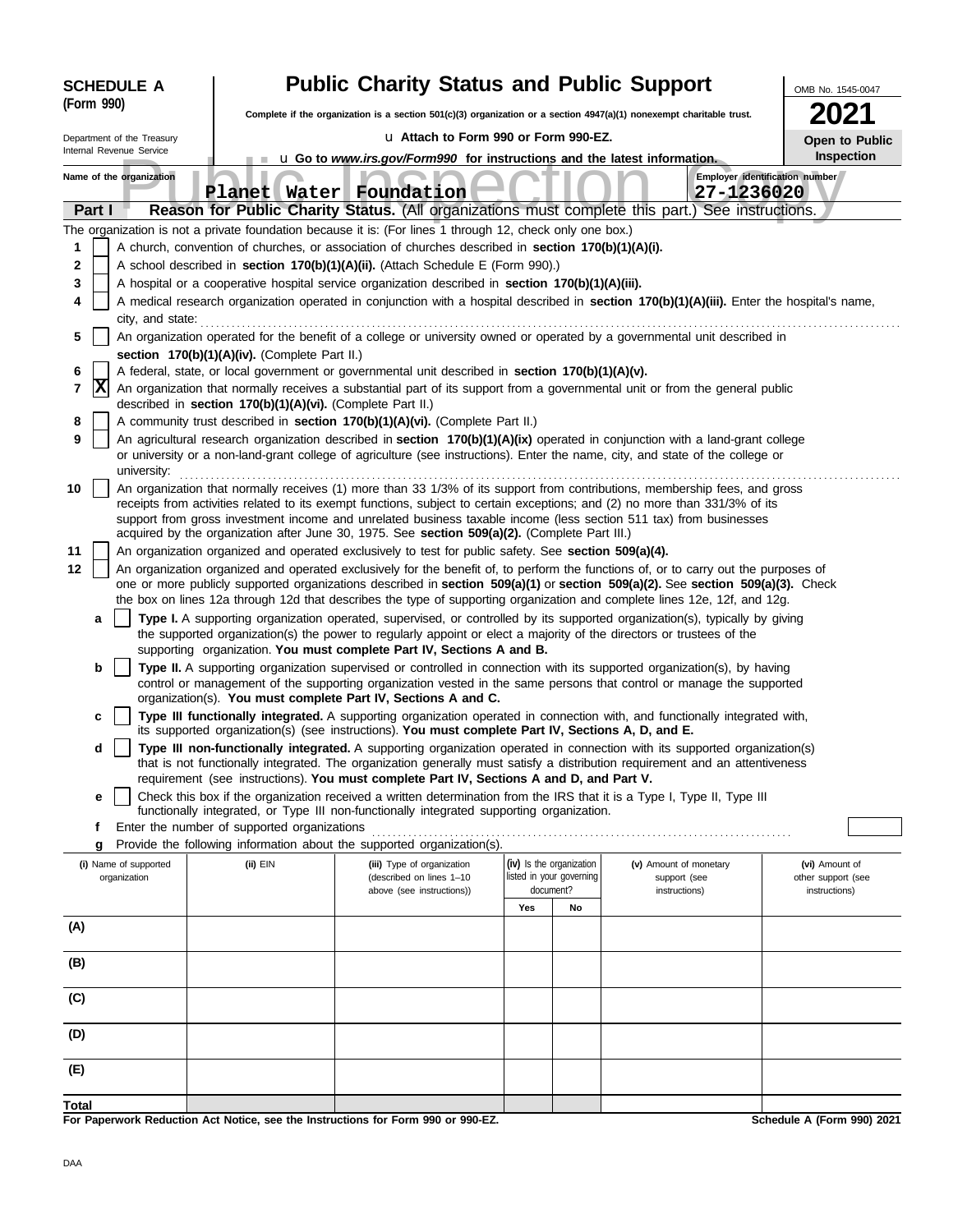| <b>SCHEDULE A</b>                     |                                                            | <b>Public Charity Status and Public Support</b>                                                                                                                                                                                                                 |     |                                                      |                                        | OMB No. 1545-0047                    |
|---------------------------------------|------------------------------------------------------------|-----------------------------------------------------------------------------------------------------------------------------------------------------------------------------------------------------------------------------------------------------------------|-----|------------------------------------------------------|----------------------------------------|--------------------------------------|
| (Form 990)                            |                                                            | Complete if the organization is a section 501(c)(3) organization or a section 4947(a)(1) nonexempt charitable trust.                                                                                                                                            |     |                                                      |                                        |                                      |
| Department of the Treasury            |                                                            | La Attach to Form 990 or Form 990-EZ.                                                                                                                                                                                                                           |     |                                                      |                                        | <b>Open to Public</b>                |
| Internal Revenue Service              |                                                            | u Go to www.irs.gov/Form990 for instructions and the latest information.                                                                                                                                                                                        |     |                                                      |                                        | Inspection                           |
| Name of the organization              |                                                            | Planet Water Foundation                                                                                                                                                                                                                                         |     |                                                      | 27-1236020                             | Employer identification number       |
| Part I                                |                                                            | Reason for Public Charity Status. (All organizations must complete this part.) See instructions.                                                                                                                                                                |     |                                                      |                                        |                                      |
|                                       |                                                            | The organization is not a private foundation because it is: (For lines 1 through 12, check only one box.)                                                                                                                                                       |     |                                                      |                                        |                                      |
| 1                                     |                                                            | A church, convention of churches, or association of churches described in section 170(b)(1)(A)(i).                                                                                                                                                              |     |                                                      |                                        |                                      |
| 2                                     |                                                            | A school described in section 170(b)(1)(A)(ii). (Attach Schedule E (Form 990).)                                                                                                                                                                                 |     |                                                      |                                        |                                      |
| 3<br>4                                |                                                            | A hospital or a cooperative hospital service organization described in section 170(b)(1)(A)(iii).<br>A medical research organization operated in conjunction with a hospital described in section 170(b)(1)(A)(iii). Enter the hospital's name,                 |     |                                                      |                                        |                                      |
| city, and state:                      |                                                            |                                                                                                                                                                                                                                                                 |     |                                                      |                                        |                                      |
| 5                                     |                                                            | An organization operated for the benefit of a college or university owned or operated by a governmental unit described in                                                                                                                                       |     |                                                      |                                        |                                      |
|                                       | section 170(b)(1)(A)(iv). (Complete Part II.)              |                                                                                                                                                                                                                                                                 |     |                                                      |                                        |                                      |
| 6                                     |                                                            | A federal, state, or local government or governmental unit described in section 170(b)(1)(A)(v).                                                                                                                                                                |     |                                                      |                                        |                                      |
| x<br>7                                | described in section 170(b)(1)(A)(vi). (Complete Part II.) | An organization that normally receives a substantial part of its support from a governmental unit or from the general public                                                                                                                                    |     |                                                      |                                        |                                      |
| 8                                     |                                                            | A community trust described in section 170(b)(1)(A)(vi). (Complete Part II.)                                                                                                                                                                                    |     |                                                      |                                        |                                      |
| 9<br>university:                      |                                                            | An agricultural research organization described in section 170(b)(1)(A)(ix) operated in conjunction with a land-grant college<br>or university or a non-land-grant college of agriculture (see instructions). Enter the name, city, and state of the college or |     |                                                      |                                        |                                      |
| 10                                    |                                                            | An organization that normally receives (1) more than 33 1/3% of its support from contributions, membership fees, and gross<br>receipts from activities related to its exempt functions, subject to certain exceptions; and (2) no more than 331/3% of its       |     |                                                      |                                        |                                      |
|                                       |                                                            | support from gross investment income and unrelated business taxable income (less section 511 tax) from businesses<br>acquired by the organization after June 30, 1975. See section 509(a)(2). (Complete Part III.)                                              |     |                                                      |                                        |                                      |
| 11                                    |                                                            | An organization organized and operated exclusively to test for public safety. See section 509(a)(4).                                                                                                                                                            |     |                                                      |                                        |                                      |
| 12                                    |                                                            | An organization organized and operated exclusively for the benefit of, to perform the functions of, or to carry out the purposes of                                                                                                                             |     |                                                      |                                        |                                      |
|                                       |                                                            | one or more publicly supported organizations described in section 509(a)(1) or section 509(a)(2). See section 509(a)(3). Check<br>the box on lines 12a through 12d that describes the type of supporting organization and complete lines 12e, 12f, and 12g.     |     |                                                      |                                        |                                      |
| a                                     |                                                            | Type I. A supporting organization operated, supervised, or controlled by its supported organization(s), typically by giving                                                                                                                                     |     |                                                      |                                        |                                      |
|                                       |                                                            | the supported organization(s) the power to regularly appoint or elect a majority of the directors or trustees of the<br>supporting organization. You must complete Part IV, Sections A and B.                                                                   |     |                                                      |                                        |                                      |
| b                                     |                                                            | Type II. A supporting organization supervised or controlled in connection with its supported organization(s), by having                                                                                                                                         |     |                                                      |                                        |                                      |
|                                       |                                                            | control or management of the supporting organization vested in the same persons that control or manage the supported                                                                                                                                            |     |                                                      |                                        |                                      |
| c                                     |                                                            | organization(s). You must complete Part IV, Sections A and C.<br>Type III functionally integrated. A supporting organization operated in connection with, and functionally integrated with,                                                                     |     |                                                      |                                        |                                      |
|                                       |                                                            | its supported organization(s) (see instructions). You must complete Part IV, Sections A, D, and E.                                                                                                                                                              |     |                                                      |                                        |                                      |
| d                                     |                                                            | Type III non-functionally integrated. A supporting organization operated in connection with its supported organization(s)<br>that is not functionally integrated. The organization generally must satisfy a distribution requirement and an attentiveness       |     |                                                      |                                        |                                      |
| е                                     |                                                            | requirement (see instructions). You must complete Part IV, Sections A and D, and Part V.<br>Check this box if the organization received a written determination from the IRS that it is a Type I, Type II, Type III                                             |     |                                                      |                                        |                                      |
|                                       |                                                            | functionally integrated, or Type III non-functionally integrated supporting organization.                                                                                                                                                                       |     |                                                      |                                        |                                      |
| f                                     | Enter the number of supported organizations                |                                                                                                                                                                                                                                                                 |     |                                                      |                                        |                                      |
| g                                     |                                                            | Provide the following information about the supported organization(s).                                                                                                                                                                                          |     |                                                      |                                        |                                      |
| (i) Name of supported<br>organization | (ii) EIN                                                   | (iii) Type of organization<br>(described on lines 1-10                                                                                                                                                                                                          |     | (iv) Is the organization<br>listed in your governing | (v) Amount of monetary<br>support (see | (vi) Amount of<br>other support (see |
|                                       |                                                            | above (see instructions))                                                                                                                                                                                                                                       |     | document?                                            | instructions)                          | instructions)                        |
|                                       |                                                            |                                                                                                                                                                                                                                                                 | Yes | No                                                   |                                        |                                      |
| (A)                                   |                                                            |                                                                                                                                                                                                                                                                 |     |                                                      |                                        |                                      |
| (B)                                   |                                                            |                                                                                                                                                                                                                                                                 |     |                                                      |                                        |                                      |
| (C)                                   |                                                            |                                                                                                                                                                                                                                                                 |     |                                                      |                                        |                                      |
| (D)                                   |                                                            |                                                                                                                                                                                                                                                                 |     |                                                      |                                        |                                      |
| (E)                                   |                                                            |                                                                                                                                                                                                                                                                 |     |                                                      |                                        |                                      |
| Total                                 |                                                            |                                                                                                                                                                                                                                                                 |     |                                                      |                                        |                                      |

**For Paperwork Reduction Act Notice, see the Instructions for Form 990 or 990-EZ.**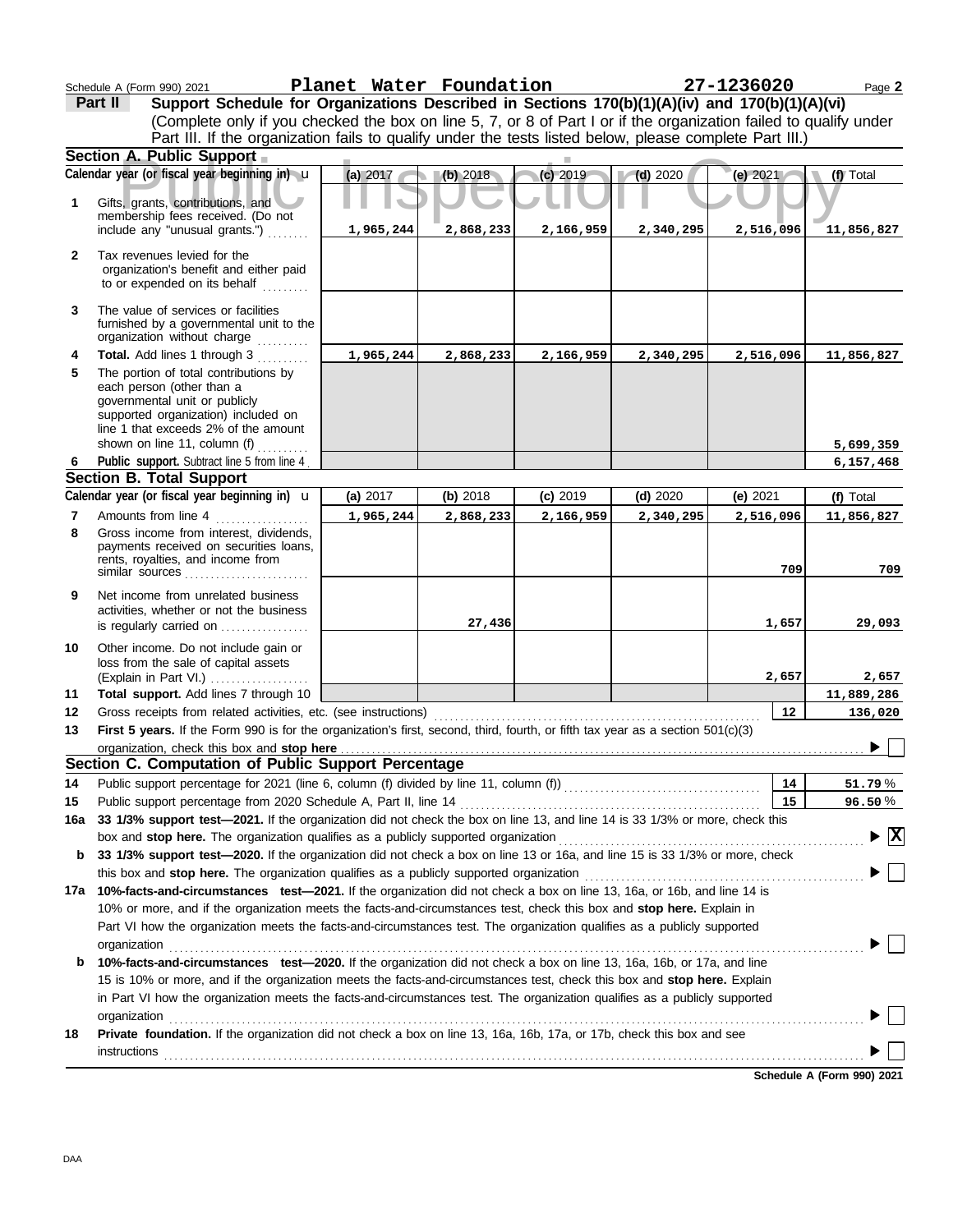|              | Schedule A (Form 990) 2021                                                                                                                                                                                                                | Planet Water Foundation |           |            |            | 27-1236020 | Page 2                                   |
|--------------|-------------------------------------------------------------------------------------------------------------------------------------------------------------------------------------------------------------------------------------------|-------------------------|-----------|------------|------------|------------|------------------------------------------|
|              | Support Schedule for Organizations Described in Sections 170(b)(1)(A)(iv) and 170(b)(1)(A)(vi)<br>Part II                                                                                                                                 |                         |           |            |            |            |                                          |
|              | (Complete only if you checked the box on line 5, 7, or 8 of Part I or if the organization failed to qualify under                                                                                                                         |                         |           |            |            |            |                                          |
|              | Part III. If the organization fails to qualify under the tests listed below, please complete Part III.)                                                                                                                                   |                         |           |            |            |            |                                          |
|              | Section A. Public Support                                                                                                                                                                                                                 |                         |           |            |            |            |                                          |
|              | Calendar year (or fiscal year beginning in) $\mathbf u$                                                                                                                                                                                   | (a) 2017                | (b) 2018  | $(c)$ 2019 | $(d)$ 2020 | (e) 2021   | (f) Total                                |
| 1            | Gifts, grants, contributions, and<br>membership fees received. (Do not                                                                                                                                                                    |                         |           |            |            |            |                                          |
|              | include any "unusual grants.")                                                                                                                                                                                                            | 1,965,244               | 2,868,233 | 2,166,959  | 2,340,295  | 2,516,096  | 11,856,827                               |
| $\mathbf{2}$ | Tax revenues levied for the<br>organization's benefit and either paid<br>to or expended on its behalf                                                                                                                                     |                         |           |            |            |            |                                          |
| 3            | The value of services or facilities<br>furnished by a governmental unit to the<br>organization without charge<br>.                                                                                                                        |                         |           |            |            |            |                                          |
| 4            | Total. Add lines 1 through 3                                                                                                                                                                                                              | 1,965,244               | 2,868,233 | 2,166,959  | 2,340,295  | 2,516,096  | 11,856,827                               |
| 5            | The portion of total contributions by<br>each person (other than a<br>governmental unit or publicly<br>supported organization) included on                                                                                                |                         |           |            |            |            |                                          |
|              | line 1 that exceeds 2% of the amount                                                                                                                                                                                                      |                         |           |            |            |            |                                          |
|              | shown on line 11, column (f)                                                                                                                                                                                                              |                         |           |            |            |            | 5,699,359                                |
| 6            | Public support. Subtract line 5 from line 4                                                                                                                                                                                               |                         |           |            |            |            | 6,157,468                                |
|              | <b>Section B. Total Support</b><br>Calendar year (or fiscal year beginning in) $\mathbf u$                                                                                                                                                |                         |           |            |            |            |                                          |
|              |                                                                                                                                                                                                                                           | (a) 2017                | (b) 2018  | (c) 2019   | $(d)$ 2020 | (e) 2021   | (f) Total                                |
| 7<br>8       | Amounts from line 4<br>Gross income from interest, dividends,                                                                                                                                                                             | 1,965,244               | 2,868,233 | 2,166,959  | 2,340,295  | 2,516,096  | 11,856,827                               |
|              | payments received on securities loans,<br>rents, royalties, and income from<br>similar sources                                                                                                                                            |                         |           |            |            | 709        | 709                                      |
| 9            | Net income from unrelated business<br>activities, whether or not the business<br>is regularly carried on                                                                                                                                  |                         | 27,436    |            |            | 1,657      | 29,093                                   |
| 10           | Other income. Do not include gain or<br>loss from the sale of capital assets<br>(Explain in Part VI.)                                                                                                                                     |                         |           |            |            | 2,657      | 2,657                                    |
| 11           | Total support. Add lines 7 through 10                                                                                                                                                                                                     |                         |           |            |            |            | 11,889,286                               |
| 12           | Gross receipts from related activities, etc. (see instructions)                                                                                                                                                                           |                         |           |            |            | 12         | 136,020                                  |
| 13           | First 5 years. If the Form 990 is for the organization's first, second, third, fourth, or fifth tax year as a section $501(c)(3)$                                                                                                         |                         |           |            |            |            |                                          |
|              | organization, check this box and stop here <b>constantly and the constant of the constant of the constant of the constant of the constant of the constant of the constant of the constant of the constant of the constant of the</b>      |                         |           |            |            |            |                                          |
|              | Section C. Computation of Public Support Percentage                                                                                                                                                                                       |                         |           |            |            |            |                                          |
| 14           |                                                                                                                                                                                                                                           |                         |           |            |            | 14         | 51.79%                                   |
| 15           |                                                                                                                                                                                                                                           |                         |           |            |            | 15         | 96.50%                                   |
| 16a          | 33 1/3% support test-2021. If the organization did not check the box on line 13, and line 14 is 33 1/3% or more, check this                                                                                                               |                         |           |            |            |            |                                          |
|              |                                                                                                                                                                                                                                           |                         |           |            |            |            | $\blacktriangleright$ $\boxed{\text{X}}$ |
| b            | 33 1/3% support test-2020. If the organization did not check a box on line 13 or 16a, and line 15 is 33 1/3% or more, check                                                                                                               |                         |           |            |            |            |                                          |
|              |                                                                                                                                                                                                                                           |                         |           |            |            |            |                                          |
|              | 17a 10%-facts-and-circumstances test-2021. If the organization did not check a box on line 13, 16a, or 16b, and line 14 is                                                                                                                |                         |           |            |            |            |                                          |
|              | 10% or more, and if the organization meets the facts-and-circumstances test, check this box and stop here. Explain in                                                                                                                     |                         |           |            |            |            |                                          |
|              | Part VI how the organization meets the facts-and-circumstances test. The organization qualifies as a publicly supported                                                                                                                   |                         |           |            |            |            |                                          |
| b            | organization www.community.com/www.community.com/www.community.com/www.community.com/www.community.com/www.com<br>10%-facts-and-circumstances test-2020. If the organization did not check a box on line 13, 16a, 16b, or 17a, and line   |                         |           |            |            |            |                                          |
|              | 15 is 10% or more, and if the organization meets the facts-and-circumstances test, check this box and stop here. Explain                                                                                                                  |                         |           |            |            |            |                                          |
|              | in Part VI how the organization meets the facts-and-circumstances test. The organization qualifies as a publicly supported                                                                                                                |                         |           |            |            |            |                                          |
|              |                                                                                                                                                                                                                                           |                         |           |            |            |            | <b>Contract</b>                          |
| 18           | organization www.commutation.com/www.commutation.com/www.commutation.com/www.commutation.com/www.commutation.com<br>Private foundation. If the organization did not check a box on line 13, 16a, 16b, 17a, or 17b, check this box and see |                         |           |            |            |            |                                          |
|              |                                                                                                                                                                                                                                           |                         |           |            |            |            |                                          |
|              |                                                                                                                                                                                                                                           |                         |           |            |            |            |                                          |

**Schedule A (Form 990) 2021**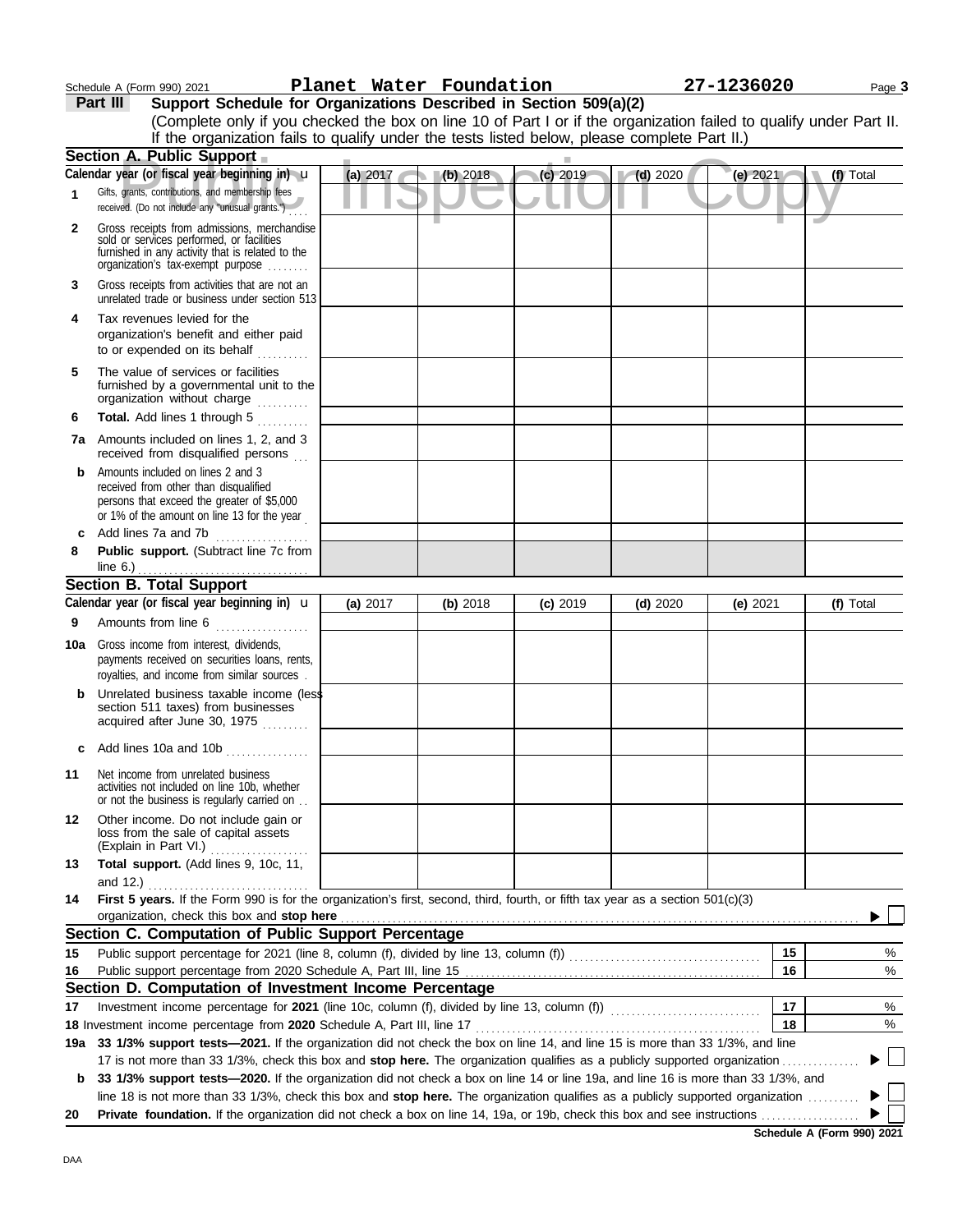| Schedule A (Form 990) 2021 |
|----------------------------|
|----------------------------|

### Schedule A (Form 990) 2021 Page **3 Planet Water Foundation 27-1236020**

**Part III Support Schedule for Organizations Described in Section 509(a)(2)**

|              | (Complete only if you checked the box on line 10 of Part I or if the organization failed to qualify under Part II.<br>If the organization fails to qualify under the tests listed below, please complete Part II.)                                              |          |          |            |            |            |           |
|--------------|-----------------------------------------------------------------------------------------------------------------------------------------------------------------------------------------------------------------------------------------------------------------|----------|----------|------------|------------|------------|-----------|
|              | <b>Section A. Public Support</b>                                                                                                                                                                                                                                |          |          |            |            |            |           |
|              | Calendar year (or fiscal year beginning in) u                                                                                                                                                                                                                   | (a) 2017 | (b) 2018 | $(c)$ 2019 | $(d)$ 2020 | (e) $2021$ | (f) Total |
| $\mathbf{1}$ | Gifts, grants, contributions, and membership fees<br>received. (Do not include any "unusual grants.")                                                                                                                                                           |          |          |            |            |            |           |
| $\mathbf{2}$ | Gross receipts from admissions, merchandise<br>sold or services performed, or facilities<br>furnished in any activity that is related to the<br>organization's tax-exempt purpose                                                                               |          |          |            |            |            |           |
| 3            | Gross receipts from activities that are not an<br>unrelated trade or business under section 513                                                                                                                                                                 |          |          |            |            |            |           |
| 4            | Tax revenues levied for the<br>organization's benefit and either paid<br>to or expended on its behalf<br>.                                                                                                                                                      |          |          |            |            |            |           |
| 5            | The value of services or facilities<br>furnished by a governmental unit to the<br>organization without charge<br>.                                                                                                                                              |          |          |            |            |            |           |
| 6            | Total. Add lines 1 through 5                                                                                                                                                                                                                                    |          |          |            |            |            |           |
|              | <b>7a</b> Amounts included on lines 1, 2, and 3<br>received from disqualified persons                                                                                                                                                                           |          |          |            |            |            |           |
| b            | Amounts included on lines 2 and 3<br>received from other than disqualified<br>persons that exceed the greater of \$5,000<br>or 1% of the amount on line 13 for the year                                                                                         |          |          |            |            |            |           |
| C            | Add lines 7a and 7b<br>.                                                                                                                                                                                                                                        |          |          |            |            |            |           |
| 8            | Public support. (Subtract line 7c from<br>line 6.) $\ldots$ $\ldots$ $\ldots$ $\ldots$ $\ldots$ $\ldots$ $\ldots$ $\ldots$                                                                                                                                      |          |          |            |            |            |           |
|              | <b>Section B. Total Support</b>                                                                                                                                                                                                                                 |          |          |            |            |            |           |
|              | Calendar year (or fiscal year beginning in) $\mathbf u$                                                                                                                                                                                                         | (a) 2017 | (b) 2018 | $(c)$ 2019 | $(d)$ 2020 | (e) $2021$ | (f) Total |
| 9            | Amounts from line 6                                                                                                                                                                                                                                             |          |          |            |            |            |           |
| 10a          | Gross income from interest, dividends,<br>payments received on securities loans, rents,<br>royalties, and income from similar sources.                                                                                                                          |          |          |            |            |            |           |
| b            | Unrelated business taxable income (less<br>section 511 taxes) from businesses<br>acquired after June 30, 1975                                                                                                                                                   |          |          |            |            |            |           |
| C            | Add lines 10a and 10b                                                                                                                                                                                                                                           |          |          |            |            |            |           |
| 11           | Net income from unrelated business<br>activities not included on line 10b, whether<br>or not the business is regularly carried on                                                                                                                               |          |          |            |            |            |           |
| 12           | Other income. Do not include gain or<br>loss from the sale of capital assets<br>(Explain in Part VI.)                                                                                                                                                           |          |          |            |            |            |           |
| 13           | Total support. (Add lines 9, 10c, 11,                                                                                                                                                                                                                           |          |          |            |            |            |           |
|              | and 12.)                                                                                                                                                                                                                                                        |          |          |            |            |            |           |
| 14           | First 5 years. If the Form 990 is for the organization's first, second, third, fourth, or fifth tax year as a section 501(c)(3)                                                                                                                                 |          |          |            |            |            |           |
|              | organization, check this box and stop here                                                                                                                                                                                                                      |          |          |            |            |            |           |
|              | Section C. Computation of Public Support Percentage                                                                                                                                                                                                             |          |          |            |            |            |           |
| 15           |                                                                                                                                                                                                                                                                 |          |          |            |            | 15         | %         |
| 16           |                                                                                                                                                                                                                                                                 |          |          |            |            | 16         | $\%$      |
|              | Section D. Computation of Investment Income Percentage                                                                                                                                                                                                          |          |          |            |            |            |           |
| 17           |                                                                                                                                                                                                                                                                 |          |          |            |            | 17         | %         |
|              | 18 Investment income percentage from 2020 Schedule A, Part III, line 17 <b>Construent in the State of August</b> 18                                                                                                                                             |          |          |            |            | 18         | %         |
|              | 19a 33 1/3% support tests-2021. If the organization did not check the box on line 14, and line 15 is more than 33 1/3%, and line                                                                                                                                |          |          |            |            |            |           |
| b            | 17 is not more than 33 1/3%, check this box and stop here. The organization qualifies as a publicly supported organization<br>33 1/3% support tests-2020. If the organization did not check a box on line 14 or line 19a, and line 16 is more than 33 1/3%, and |          |          |            |            |            |           |
|              | line 18 is not more than 33 1/3%, check this box and stop here. The organization qualifies as a publicly supported organization                                                                                                                                 |          |          |            |            |            |           |
| 20           |                                                                                                                                                                                                                                                                 |          |          |            |            |            |           |

**Schedule A (Form 990) 2021**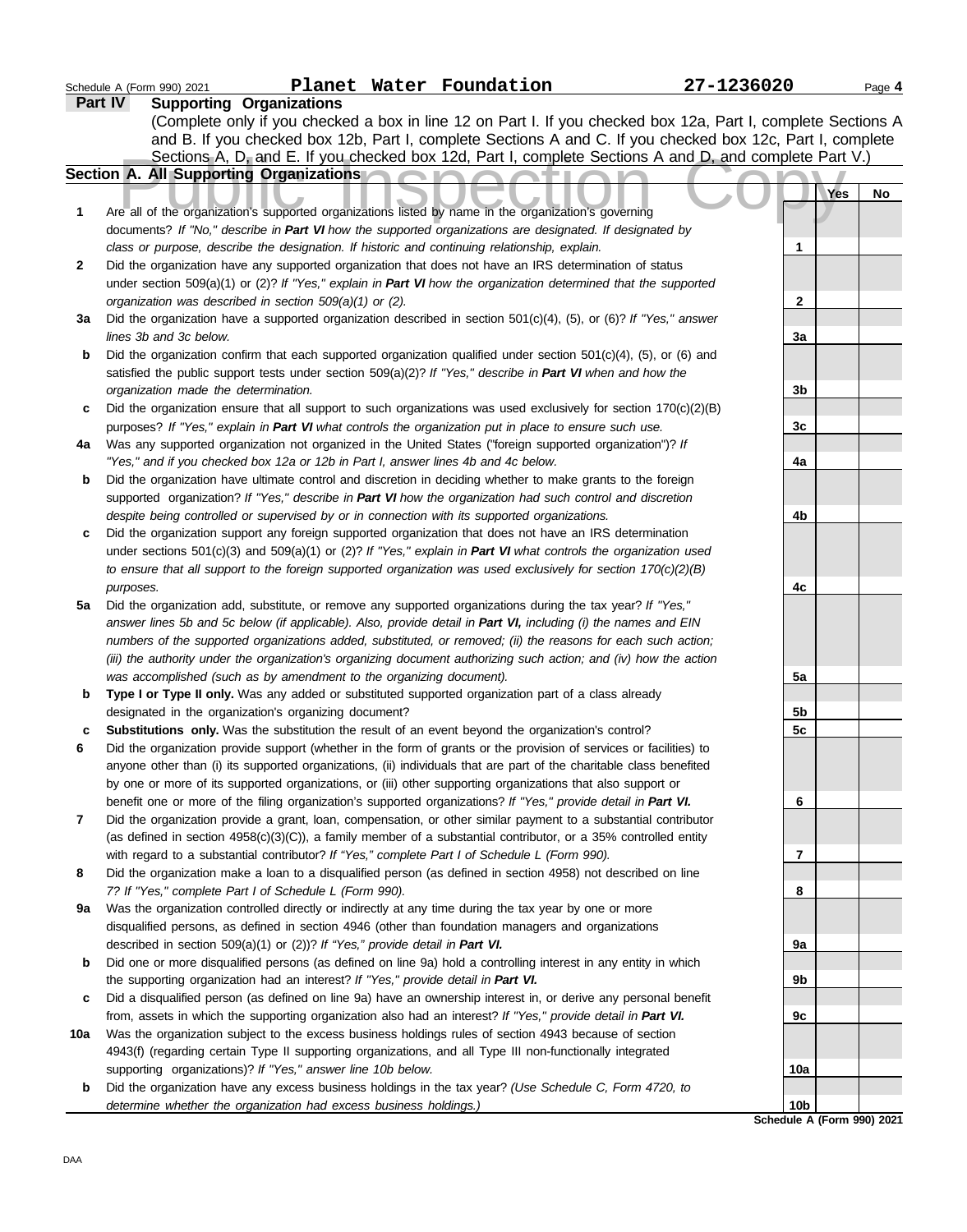|     | Planet Water Foundation<br>Schedule A (Form 990) 2021                                                               | 27-1236020                        |     | Page 4 |
|-----|---------------------------------------------------------------------------------------------------------------------|-----------------------------------|-----|--------|
|     | <b>Supporting Organizations</b><br>Part IV                                                                          |                                   |     |        |
|     | (Complete only if you checked a box in line 12 on Part I. If you checked box 12a, Part I, complete Sections A       |                                   |     |        |
|     | and B. If you checked box 12b, Part I, complete Sections A and C. If you checked box 12c, Part I, complete          |                                   |     |        |
|     | Sections A, D, and E. If you checked box 12d, Part I, complete Sections A and D, and complete Part V.)              |                                   |     |        |
|     | Section A. All Supporting Organizations                                                                             |                                   |     |        |
|     |                                                                                                                     |                                   | Yes | No     |
| 1   | Are all of the organization's supported organizations listed by name in the organization's governing                |                                   |     |        |
|     | documents? If "No," describe in Part VI how the supported organizations are designated. If designated by            |                                   |     |        |
|     | class or purpose, describe the designation. If historic and continuing relationship, explain.                       | 1                                 |     |        |
| 2   | Did the organization have any supported organization that does not have an IRS determination of status              |                                   |     |        |
|     | under section 509(a)(1) or (2)? If "Yes," explain in Part VI how the organization determined that the supported     |                                   |     |        |
|     | organization was described in section 509(a)(1) or (2).                                                             | 2                                 |     |        |
| За  | Did the organization have a supported organization described in section $501(c)(4)$ , (5), or (6)? If "Yes," answer |                                   |     |        |
|     | lines 3b and 3c below.                                                                                              | 3a                                |     |        |
| b   | Did the organization confirm that each supported organization qualified under section $501(c)(4)$ , (5), or (6) and |                                   |     |        |
|     | satisfied the public support tests under section 509(a)(2)? If "Yes," describe in Part VI when and how the          |                                   |     |        |
|     | organization made the determination.                                                                                | 3b                                |     |        |
| c   | Did the organization ensure that all support to such organizations was used exclusively for section $170(c)(2)(B)$  |                                   |     |        |
|     | purposes? If "Yes," explain in Part VI what controls the organization put in place to ensure such use.              | 3c                                |     |        |
| 4a  | Was any supported organization not organized in the United States ("foreign supported organization")? If            |                                   |     |        |
|     | "Yes," and if you checked box 12a or 12b in Part I, answer lines 4b and 4c below.                                   | 4a                                |     |        |
| b   | Did the organization have ultimate control and discretion in deciding whether to make grants to the foreign         |                                   |     |        |
|     | supported organization? If "Yes," describe in Part VI how the organization had such control and discretion          |                                   |     |        |
|     | despite being controlled or supervised by or in connection with its supported organizations.                        | 4b                                |     |        |
| c   | Did the organization support any foreign supported organization that does not have an IRS determination             |                                   |     |        |
|     | under sections $501(c)(3)$ and $509(a)(1)$ or (2)? If "Yes," explain in Part VI what controls the organization used |                                   |     |        |
|     | to ensure that all support to the foreign supported organization was used exclusively for section $170(c)(2)(B)$    |                                   |     |        |
|     | purposes.                                                                                                           | 4c                                |     |        |
| 5a  | Did the organization add, substitute, or remove any supported organizations during the tax year? If "Yes,"          |                                   |     |        |
|     | answer lines 5b and 5c below (if applicable). Also, provide detail in Part VI, including (i) the names and EIN      |                                   |     |        |
|     | numbers of the supported organizations added, substituted, or removed; (ii) the reasons for each such action;       |                                   |     |        |
|     | (iii) the authority under the organization's organizing document authorizing such action; and (iv) how the action   |                                   |     |        |
|     | was accomplished (such as by amendment to the organizing document).                                                 | 5a                                |     |        |
| b   | Type I or Type II only. Was any added or substituted supported organization part of a class already                 |                                   |     |        |
|     | designated in the organization's organizing document?                                                               | 5b                                |     |        |
|     | Substitutions only. Was the substitution the result of an event beyond the organization's control?                  | 5c                                |     |        |
|     | Did the organization provide support (whether in the form of grants or the provision of services or facilities) to  |                                   |     |        |
|     | anyone other than (i) its supported organizations, (ii) individuals that are part of the charitable class benefited |                                   |     |        |
|     | by one or more of its supported organizations, or (iii) other supporting organizations that also support or         |                                   |     |        |
|     | benefit one or more of the filing organization's supported organizations? If "Yes," provide detail in Part VI.      | 6                                 |     |        |
| 7   | Did the organization provide a grant, loan, compensation, or other similar payment to a substantial contributor     |                                   |     |        |
|     | (as defined in section $4958(c)(3)(C)$ ), a family member of a substantial contributor, or a 35% controlled entity  |                                   |     |        |
|     | with regard to a substantial contributor? If "Yes," complete Part I of Schedule L (Form 990).                       | 7                                 |     |        |
| 8   | Did the organization make a loan to a disqualified person (as defined in section 4958) not described on line        |                                   |     |        |
|     | 7? If "Yes," complete Part I of Schedule L (Form 990).                                                              | 8                                 |     |        |
| 9а  | Was the organization controlled directly or indirectly at any time during the tax year by one or more               |                                   |     |        |
|     | disqualified persons, as defined in section 4946 (other than foundation managers and organizations                  |                                   |     |        |
|     | described in section 509(a)(1) or (2))? If "Yes," provide detail in Part VI.                                        | 9а                                |     |        |
| b   | Did one or more disqualified persons (as defined on line 9a) hold a controlling interest in any entity in which     |                                   |     |        |
|     | the supporting organization had an interest? If "Yes," provide detail in Part VI.                                   | 9b                                |     |        |
| c   | Did a disqualified person (as defined on line 9a) have an ownership interest in, or derive any personal benefit     |                                   |     |        |
|     | from, assets in which the supporting organization also had an interest? If "Yes," provide detail in Part VI.        | 9с                                |     |        |
| 10a | Was the organization subject to the excess business holdings rules of section 4943 because of section               |                                   |     |        |
|     | 4943(f) (regarding certain Type II supporting organizations, and all Type III non-functionally integrated           |                                   |     |        |
|     | supporting organizations)? If "Yes," answer line 10b below.                                                         | 10a                               |     |        |
| b   | Did the organization have any excess business holdings in the tax year? (Use Schedule C, Form 4720, to              |                                   |     |        |
|     | determine whether the organization had excess business holdings.)                                                   | 10b<br>Schedule A (Form 990) 2021 |     |        |
|     |                                                                                                                     |                                   |     |        |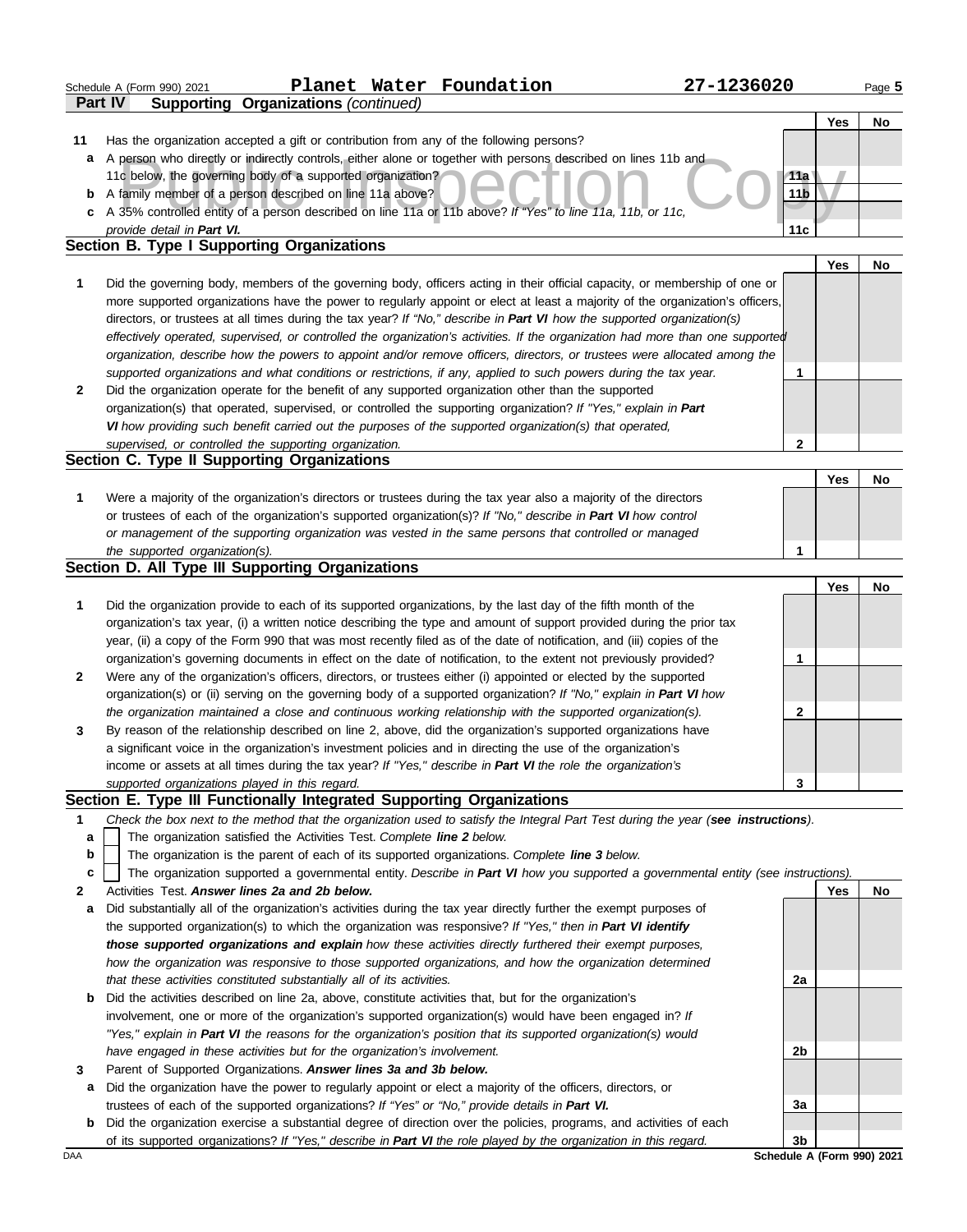|              | Schedule A (Form 990) 2021                                             |                                                                          | Planet Water Foundation                                                                                          | 27-1236020                                                                                                                        |                 |     | Page 5    |
|--------------|------------------------------------------------------------------------|--------------------------------------------------------------------------|------------------------------------------------------------------------------------------------------------------|-----------------------------------------------------------------------------------------------------------------------------------|-----------------|-----|-----------|
|              | Part IV                                                                | Supporting Organizations (continued)                                     |                                                                                                                  |                                                                                                                                   |                 |     |           |
|              |                                                                        |                                                                          |                                                                                                                  |                                                                                                                                   |                 | Yes | No        |
| 11           |                                                                        |                                                                          | Has the organization accepted a gift or contribution from any of the following persons?                          |                                                                                                                                   |                 |     |           |
|              |                                                                        |                                                                          |                                                                                                                  | a A person who directly or indirectly controls, either alone or together with persons described on lines 11b and                  |                 |     |           |
|              | 11c below, the governing body of a supported organization?             |                                                                          |                                                                                                                  |                                                                                                                                   | 11a             |     |           |
|              | <b>b</b> A family member of a person described on line 11a above?      |                                                                          |                                                                                                                  |                                                                                                                                   | 11 <sub>b</sub> |     |           |
|              | provide detail in Part VI.                                             |                                                                          | c A 35% controlled entity of a person described on line 11a or 11b above? If "Yes" to line 11a, 11b, or 11c,     |                                                                                                                                   | 11c             |     |           |
|              | <b>Section B. Type I Supporting Organizations</b>                      |                                                                          |                                                                                                                  |                                                                                                                                   |                 |     |           |
|              |                                                                        |                                                                          |                                                                                                                  |                                                                                                                                   |                 | Yes | No        |
| 1            |                                                                        |                                                                          |                                                                                                                  | Did the governing body, members of the governing body, officers acting in their official capacity, or membership of one or        |                 |     |           |
|              |                                                                        |                                                                          |                                                                                                                  | more supported organizations have the power to regularly appoint or elect at least a majority of the organization's officers,     |                 |     |           |
|              |                                                                        |                                                                          |                                                                                                                  | directors, or trustees at all times during the tax year? If "No," describe in Part VI how the supported organization(s)           |                 |     |           |
|              |                                                                        |                                                                          |                                                                                                                  | effectively operated, supervised, or controlled the organization's activities. If the organization had more than one supported    |                 |     |           |
|              |                                                                        |                                                                          |                                                                                                                  | organization, describe how the powers to appoint and/or remove officers, directors, or trustees were allocated among the          |                 |     |           |
|              |                                                                        |                                                                          |                                                                                                                  | supported organizations and what conditions or restrictions, if any, applied to such powers during the tax year.                  | 1               |     |           |
| $\mathbf{2}$ |                                                                        |                                                                          | Did the organization operate for the benefit of any supported organization other than the supported              |                                                                                                                                   |                 |     |           |
|              |                                                                        |                                                                          |                                                                                                                  | organization(s) that operated, supervised, or controlled the supporting organization? If "Yes," explain in Part                   |                 |     |           |
|              |                                                                        |                                                                          | VI how providing such benefit carried out the purposes of the supported organization(s) that operated,           |                                                                                                                                   |                 |     |           |
|              |                                                                        | supervised, or controlled the supporting organization.                   |                                                                                                                  |                                                                                                                                   | $\mathbf{2}$    |     |           |
|              | Section C. Type II Supporting Organizations                            |                                                                          |                                                                                                                  |                                                                                                                                   |                 |     |           |
|              |                                                                        |                                                                          |                                                                                                                  |                                                                                                                                   |                 | Yes | No        |
| 1            |                                                                        |                                                                          | Were a majority of the organization's directors or trustees during the tax year also a majority of the directors |                                                                                                                                   |                 |     |           |
|              |                                                                        |                                                                          | or trustees of each of the organization's supported organization(s)? If "No," describe in Part VI how control    |                                                                                                                                   |                 |     |           |
|              |                                                                        |                                                                          | or management of the supporting organization was vested in the same persons that controlled or managed           |                                                                                                                                   |                 |     |           |
|              | the supported organization(s).                                         |                                                                          |                                                                                                                  |                                                                                                                                   | 1               |     |           |
|              | Section D. All Type III Supporting Organizations                       |                                                                          |                                                                                                                  |                                                                                                                                   |                 |     |           |
|              |                                                                        |                                                                          |                                                                                                                  |                                                                                                                                   |                 | Yes | No        |
| 1            |                                                                        |                                                                          | Did the organization provide to each of its supported organizations, by the last day of the fifth month of the   |                                                                                                                                   |                 |     |           |
|              |                                                                        |                                                                          |                                                                                                                  | organization's tax year, (i) a written notice describing the type and amount of support provided during the prior tax             |                 |     |           |
|              |                                                                        |                                                                          |                                                                                                                  | year, (ii) a copy of the Form 990 that was most recently filed as of the date of notification, and (iii) copies of the            |                 |     |           |
|              |                                                                        |                                                                          |                                                                                                                  | organization's governing documents in effect on the date of notification, to the extent not previously provided?                  | 1               |     |           |
| $\mathbf{2}$ |                                                                        |                                                                          | Were any of the organization's officers, directors, or trustees either (i) appointed or elected by the supported |                                                                                                                                   |                 |     |           |
|              |                                                                        |                                                                          | the organization maintained a close and continuous working relationship with the supported organization(s).      | organization(s) or (ii) serving on the governing body of a supported organization? If "No," explain in Part VI how                | $\mathbf{2}$    |     |           |
| 3            |                                                                        |                                                                          |                                                                                                                  | By reason of the relationship described on line 2, above, did the organization's supported organizations have                     |                 |     |           |
|              |                                                                        |                                                                          | a significant voice in the organization's investment policies and in directing the use of the organization's     |                                                                                                                                   |                 |     |           |
|              |                                                                        |                                                                          | income or assets at all times during the tax year? If "Yes," describe in Part VI the role the organization's     |                                                                                                                                   |                 |     |           |
|              | supported organizations played in this regard.                         |                                                                          |                                                                                                                  |                                                                                                                                   | 3               |     |           |
|              | Section E. Type III Functionally Integrated Supporting Organizations   |                                                                          |                                                                                                                  |                                                                                                                                   |                 |     |           |
| 1            |                                                                        |                                                                          |                                                                                                                  | Check the box next to the method that the organization used to satisfy the Integral Part Test during the year (see instructions). |                 |     |           |
| a            |                                                                        | The organization satisfied the Activities Test. Complete line 2 below.   |                                                                                                                  |                                                                                                                                   |                 |     |           |
| b            |                                                                        |                                                                          | The organization is the parent of each of its supported organizations. Complete line 3 below.                    |                                                                                                                                   |                 |     |           |
| c            |                                                                        |                                                                          |                                                                                                                  | The organization supported a governmental entity. Describe in Part VI how you supported a governmental entity (see instructions). |                 |     |           |
| 2            |                                                                        | Activities Test. Answer lines 2a and 2b below.                           |                                                                                                                  |                                                                                                                                   |                 | Yes | <b>No</b> |
| a            |                                                                        |                                                                          |                                                                                                                  | Did substantially all of the organization's activities during the tax year directly further the exempt purposes of                |                 |     |           |
|              |                                                                        |                                                                          | the supported organization(s) to which the organization was responsive? If "Yes," then in Part VI identify       |                                                                                                                                   |                 |     |           |
|              |                                                                        |                                                                          | those supported organizations and explain how these activities directly furthered their exempt purposes,         |                                                                                                                                   |                 |     |           |
|              |                                                                        |                                                                          |                                                                                                                  | how the organization was responsive to those supported organizations, and how the organization determined                         |                 |     |           |
|              | that these activities constituted substantially all of its activities. |                                                                          |                                                                                                                  |                                                                                                                                   | 2a              |     |           |
| b            |                                                                        |                                                                          | Did the activities described on line 2a, above, constitute activities that, but for the organization's           |                                                                                                                                   |                 |     |           |
|              |                                                                        |                                                                          | involvement, one or more of the organization's supported organization(s) would have been engaged in? If          |                                                                                                                                   |                 |     |           |
|              |                                                                        |                                                                          | "Yes," explain in Part VI the reasons for the organization's position that its supported organization(s) would   |                                                                                                                                   |                 |     |           |
|              |                                                                        | have engaged in these activities but for the organization's involvement. |                                                                                                                  |                                                                                                                                   | 2b              |     |           |
| 3            | Parent of Supported Organizations. Answer lines 3a and 3b below.       |                                                                          |                                                                                                                  |                                                                                                                                   |                 |     |           |
| a            |                                                                        |                                                                          | Did the organization have the power to regularly appoint or elect a majority of the officers, directors, or      |                                                                                                                                   |                 |     |           |
|              |                                                                        |                                                                          | trustees of each of the supported organizations? If "Yes" or "No," provide details in Part VI.                   |                                                                                                                                   | За              |     |           |
| b            |                                                                        |                                                                          |                                                                                                                  | Did the organization exercise a substantial degree of direction over the policies, programs, and activities of each               |                 |     |           |
|              |                                                                        |                                                                          |                                                                                                                  | of its supported organizations? If "Yes," describe in Part VI the role played by the organization in this regard.                 | 3 <sub>b</sub>  |     |           |

DAA **Schedule A (Form 990) 2021**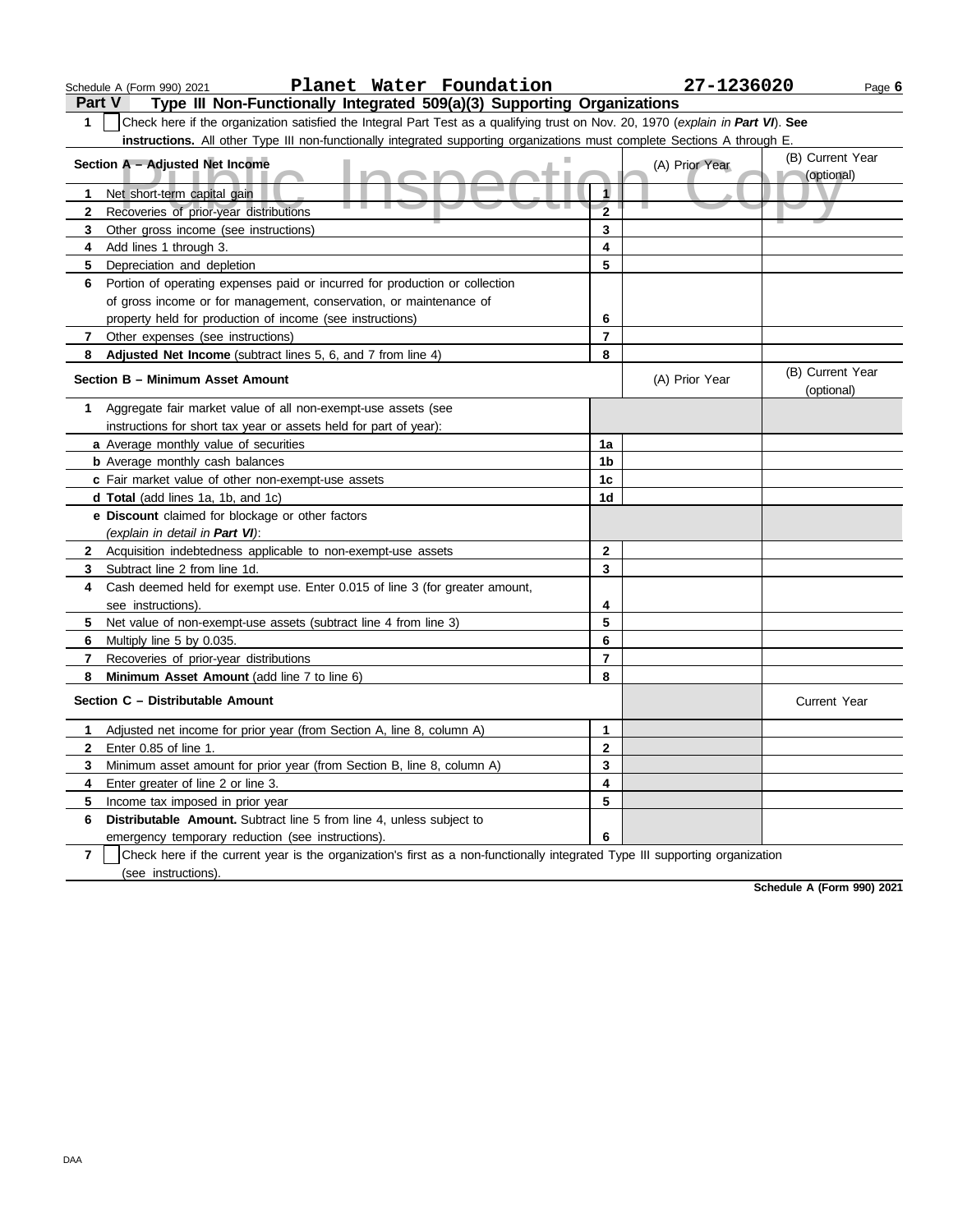|               | Planet Water Foundation<br>Schedule A (Form 990) 2021                                                                            |                         | 27-1236020     | Page 6                         |
|---------------|----------------------------------------------------------------------------------------------------------------------------------|-------------------------|----------------|--------------------------------|
| <b>Part V</b> | Type III Non-Functionally Integrated 509(a)(3) Supporting Organizations                                                          |                         |                |                                |
| 1             | Check here if the organization satisfied the Integral Part Test as a qualifying trust on Nov. 20, 1970 (explain in Part VI). See |                         |                |                                |
|               | instructions. All other Type III non-functionally integrated supporting organizations must complete Sections A through E.        |                         |                |                                |
|               | Section A - Adjusted Net Income                                                                                                  |                         | (A) Prior Year | (B) Current Year               |
|               |                                                                                                                                  |                         |                | (optional)                     |
|               | Net short-term capital gain                                                                                                      | 1                       |                |                                |
| $\mathbf{2}$  | Recoveries of prior-year distributions                                                                                           | $\overline{\mathbf{2}}$ |                |                                |
| 3             | Other gross income (see instructions)                                                                                            | 3                       |                |                                |
| 4             | Add lines 1 through 3.                                                                                                           | $\overline{\mathbf{4}}$ |                |                                |
| 5             | Depreciation and depletion                                                                                                       | 5                       |                |                                |
| 6             | Portion of operating expenses paid or incurred for production or collection                                                      |                         |                |                                |
|               | of gross income or for management, conservation, or maintenance of                                                               |                         |                |                                |
|               | property held for production of income (see instructions)                                                                        | 6                       |                |                                |
| 7             | Other expenses (see instructions)                                                                                                | $\overline{7}$          |                |                                |
| 8             | Adjusted Net Income (subtract lines 5, 6, and 7 from line 4)                                                                     | 8                       |                |                                |
|               | Section B - Minimum Asset Amount                                                                                                 |                         | (A) Prior Year | (B) Current Year<br>(optional) |
| 1             | Aggregate fair market value of all non-exempt-use assets (see                                                                    |                         |                |                                |
|               | instructions for short tax year or assets held for part of year):                                                                |                         |                |                                |
|               | a Average monthly value of securities                                                                                            | 1a                      |                |                                |
|               |                                                                                                                                  | 1b                      |                |                                |
|               | <b>b</b> Average monthly cash balances                                                                                           | 1 <sub>c</sub>          |                |                                |
|               | c Fair market value of other non-exempt-use assets                                                                               | 1 <sub>d</sub>          |                |                                |
|               | d Total (add lines 1a, 1b, and 1c)<br>e Discount claimed for blockage or other factors                                           |                         |                |                                |
|               | (explain in detail in Part VI):                                                                                                  |                         |                |                                |
| $\mathbf{2}$  | Acquisition indebtedness applicable to non-exempt-use assets                                                                     | $\mathbf{2}$            |                |                                |
| 3             | Subtract line 2 from line 1d.                                                                                                    | 3                       |                |                                |
| 4             | Cash deemed held for exempt use. Enter 0.015 of line 3 (for greater amount,                                                      |                         |                |                                |
|               | see instructions).                                                                                                               | 4                       |                |                                |
| 5             | Net value of non-exempt-use assets (subtract line 4 from line 3)                                                                 | 5                       |                |                                |
| 6             | Multiply line 5 by 0.035.                                                                                                        | 6                       |                |                                |
| 7             | Recoveries of prior-year distributions                                                                                           | $\overline{7}$          |                |                                |
| 8             | Minimum Asset Amount (add line 7 to line 6)                                                                                      | 8                       |                |                                |
|               | Section C - Distributable Amount                                                                                                 |                         |                | <b>Current Year</b>            |
|               | Adjusted net income for prior year (from Section A, line 8, column A)                                                            | 1                       |                |                                |
|               | Enter 0.85 of line 1.                                                                                                            | $\mathbf 2$             |                |                                |
| 3             | Minimum asset amount for prior year (from Section B, line 8, column A)                                                           | 3                       |                |                                |
| 4             | Enter greater of line 2 or line 3.                                                                                               | 4                       |                |                                |
| 5.            | Income tax imposed in prior year                                                                                                 | 5                       |                |                                |
| 6.            | Distributable Amount. Subtract line 5 from line 4, unless subject to                                                             |                         |                |                                |
|               | emergency temporary reduction (see instructions).                                                                                | 6                       |                |                                |
| $\mathbf{7}$  | Check here if the current year is the organization's first as a non-functionally integrated Type III supporting organization     |                         |                |                                |

(see instructions).

**Schedule A (Form 990) 2021**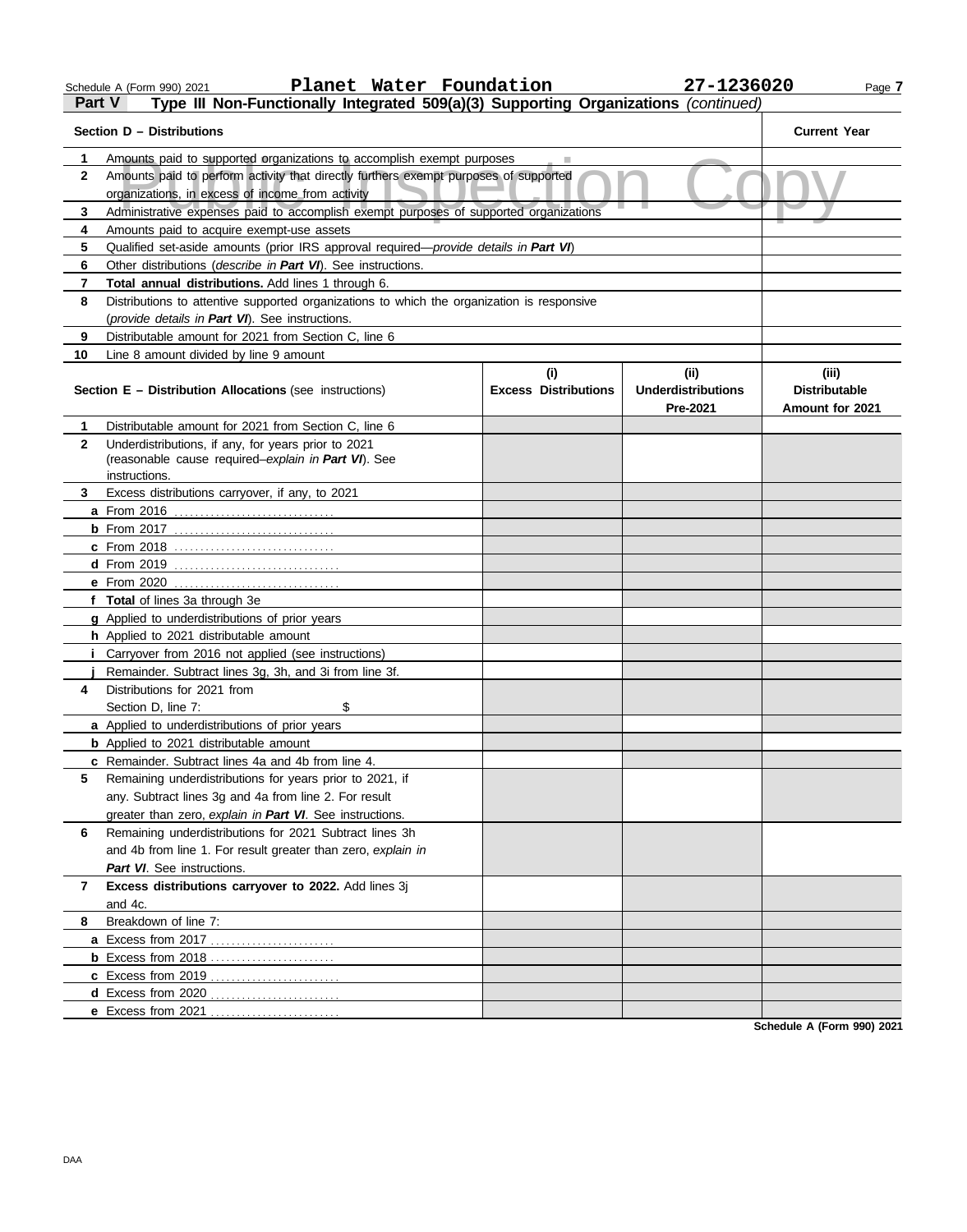**a** Excess from 2017 . . . . . . . . . . . . . . . . . . . . . . . . **b** Excess from 2018 . . . . . . . . . . . . . . . . . . . . . . . . **c** Excess from 2019 . . . . . . . . . . . . . . . . . . . . . . . . . **d** Excess from 2020 . . . . . . . . . . . . . . . . . . . . . . . . . **e** Excess from 2021 . . . . . . . . . . . . . . . . . . . . . . . . .

|              | Planet Water Foundation<br>Schedule A (Form 990) 2021                                                                                                         |                             | 27-1236020                | Page 7                 |
|--------------|---------------------------------------------------------------------------------------------------------------------------------------------------------------|-----------------------------|---------------------------|------------------------|
| Part V       | Type III Non-Functionally Integrated 509(a)(3) Supporting Organizations (continued)                                                                           |                             |                           |                        |
|              | Section D – Distributions                                                                                                                                     |                             |                           | <b>Current Year</b>    |
| 1            | Amounts paid to supported organizations to accomplish exempt purposes                                                                                         |                             |                           |                        |
| $\mathbf{2}$ | Amounts paid to perform activity that directly furthers exempt purposes of supported                                                                          |                             |                           |                        |
|              | organizations, in excess of income from activity                                                                                                              |                             |                           |                        |
| 3            | Administrative expenses paid to accomplish exempt purposes of supported organizations                                                                         |                             |                           |                        |
| 4            | Amounts paid to acquire exempt-use assets                                                                                                                     |                             |                           |                        |
| 5            | Qualified set-aside amounts (prior IRS approval required— <i>provide details in Part VI</i> )<br>Other distributions (describe in Part VI). See instructions. |                             |                           |                        |
| 6<br>7       | Total annual distributions. Add lines 1 through 6.                                                                                                            |                             |                           |                        |
| 8            | Distributions to attentive supported organizations to which the organization is responsive                                                                    |                             |                           |                        |
|              | (provide details in Part VI). See instructions.                                                                                                               |                             |                           |                        |
| 9            | Distributable amount for 2021 from Section C, line 6                                                                                                          |                             |                           |                        |
| 10           | Line 8 amount divided by line 9 amount                                                                                                                        |                             |                           |                        |
|              |                                                                                                                                                               | (i)                         | (ii)                      | (iii)                  |
|              | <b>Section E - Distribution Allocations (see instructions)</b>                                                                                                | <b>Excess Distributions</b> | <b>Underdistributions</b> | <b>Distributable</b>   |
|              |                                                                                                                                                               |                             | <b>Pre-2021</b>           | <b>Amount for 2021</b> |
| 1            |                                                                                                                                                               |                             |                           |                        |
|              | Distributable amount for 2021 from Section C, line 6                                                                                                          |                             |                           |                        |
| 2            | Underdistributions, if any, for years prior to 2021                                                                                                           |                             |                           |                        |
|              | (reasonable cause required-explain in Part VI). See                                                                                                           |                             |                           |                        |
|              | instructions.                                                                                                                                                 |                             |                           |                        |
| 3.           | Excess distributions carryover, if any, to 2021                                                                                                               |                             |                           |                        |
|              | a From 2016                                                                                                                                                   |                             |                           |                        |
|              |                                                                                                                                                               |                             |                           |                        |
|              | c From 2018                                                                                                                                                   |                             |                           |                        |
|              | e From 2020                                                                                                                                                   |                             |                           |                        |
|              | f Total of lines 3a through 3e                                                                                                                                |                             |                           |                        |
|              | g Applied to underdistributions of prior years                                                                                                                |                             |                           |                        |
|              | h Applied to 2021 distributable amount                                                                                                                        |                             |                           |                        |
|              | <i>i</i> Carryover from 2016 not applied (see instructions)                                                                                                   |                             |                           |                        |
|              | Remainder. Subtract lines 3g, 3h, and 3i from line 3f.                                                                                                        |                             |                           |                        |
| 4            | Distributions for 2021 from                                                                                                                                   |                             |                           |                        |
|              | Section D, line 7:<br>\$                                                                                                                                      |                             |                           |                        |
|              | a Applied to underdistributions of prior years                                                                                                                |                             |                           |                        |
|              | <b>b</b> Applied to 2021 distributable amount                                                                                                                 |                             |                           |                        |
| 5            | c Remainder. Subtract lines 4a and 4b from line 4.                                                                                                            |                             |                           |                        |
|              | Remaining underdistributions for years prior to 2021, if<br>any. Subtract lines 3g and 4a from line 2. For result                                             |                             |                           |                        |
|              | greater than zero, explain in Part VI. See instructions.                                                                                                      |                             |                           |                        |
| 6            | Remaining underdistributions for 2021 Subtract lines 3h                                                                                                       |                             |                           |                        |
|              | and 4b from line 1. For result greater than zero, explain in                                                                                                  |                             |                           |                        |
|              | Part VI. See instructions.                                                                                                                                    |                             |                           |                        |
| 7            | Excess distributions carryover to 2022. Add lines 3j                                                                                                          |                             |                           |                        |
| 8            | and 4c.<br>Breakdown of line 7:                                                                                                                               |                             |                           |                        |

**Schedule A (Form 990) 2021**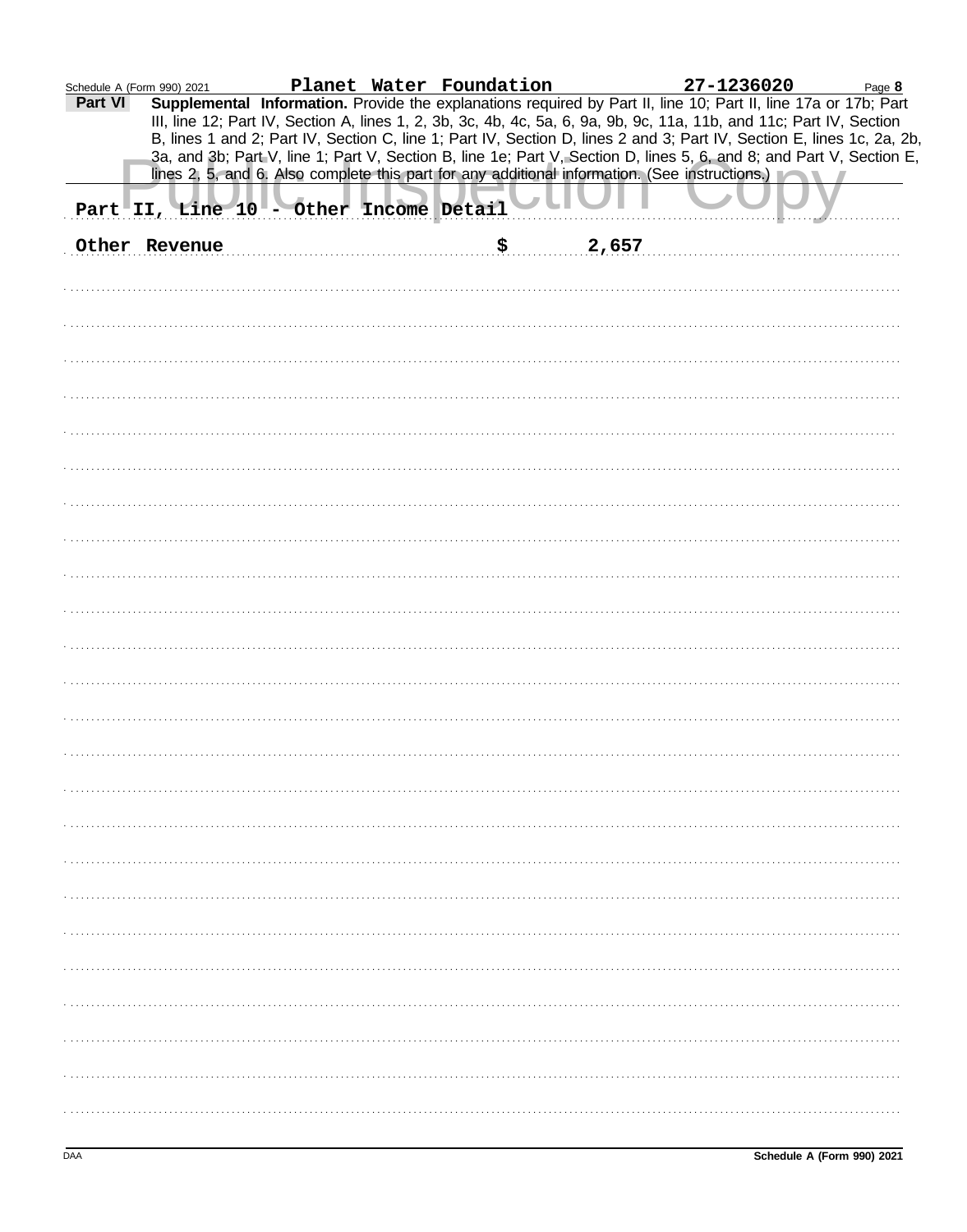| Schedule A (Form 990) 2021 |                                        |  |             | Planet Water Foundation 27-1236020                                                                                                                                                                                                      | Page 8                                                                                                                                                                                                                                         |
|----------------------------|----------------------------------------|--|-------------|-----------------------------------------------------------------------------------------------------------------------------------------------------------------------------------------------------------------------------------------|------------------------------------------------------------------------------------------------------------------------------------------------------------------------------------------------------------------------------------------------|
| Part VI                    |                                        |  |             | Supplemental Information. Provide the explanations required by Part II, line 10; Part II, line 17a or 17b; Part<br>III, line 12; Part IV, Section A, lines 1, 2, 3b, 3c, 4b, 4c, 5a, 6, 9a, 9b, 9c, 11a, 11b, and 11c; Part IV, Section | B, lines 1 and 2; Part IV, Section C, line 1; Part IV, Section D, lines 2 and 3; Part IV, Section E, lines 1c, 2a, 2b,<br>3a, and 3b; Part V, line 1; Part V, Section B, line 1e; Part V, Section D, lines 5, 6, and 8; and Part V, Section E, |
|                            |                                        |  |             | lines 2, 5, and 6. Also complete this part for any additional information. (See instructions.)                                                                                                                                          |                                                                                                                                                                                                                                                |
|                            | Part II, Line 10 - Other Income Detail |  |             |                                                                                                                                                                                                                                         |                                                                                                                                                                                                                                                |
|                            | Other Revenue                          |  | \$<br>2,657 |                                                                                                                                                                                                                                         |                                                                                                                                                                                                                                                |
|                            |                                        |  |             |                                                                                                                                                                                                                                         |                                                                                                                                                                                                                                                |
|                            |                                        |  |             |                                                                                                                                                                                                                                         |                                                                                                                                                                                                                                                |
|                            |                                        |  |             |                                                                                                                                                                                                                                         |                                                                                                                                                                                                                                                |
|                            |                                        |  |             |                                                                                                                                                                                                                                         |                                                                                                                                                                                                                                                |
|                            |                                        |  |             |                                                                                                                                                                                                                                         |                                                                                                                                                                                                                                                |
|                            |                                        |  |             |                                                                                                                                                                                                                                         |                                                                                                                                                                                                                                                |
|                            |                                        |  |             |                                                                                                                                                                                                                                         |                                                                                                                                                                                                                                                |
|                            |                                        |  |             |                                                                                                                                                                                                                                         |                                                                                                                                                                                                                                                |
|                            |                                        |  |             |                                                                                                                                                                                                                                         |                                                                                                                                                                                                                                                |
|                            |                                        |  |             |                                                                                                                                                                                                                                         |                                                                                                                                                                                                                                                |
|                            |                                        |  |             |                                                                                                                                                                                                                                         |                                                                                                                                                                                                                                                |
|                            |                                        |  |             |                                                                                                                                                                                                                                         |                                                                                                                                                                                                                                                |
|                            |                                        |  |             |                                                                                                                                                                                                                                         |                                                                                                                                                                                                                                                |
|                            |                                        |  |             |                                                                                                                                                                                                                                         |                                                                                                                                                                                                                                                |
|                            |                                        |  |             |                                                                                                                                                                                                                                         |                                                                                                                                                                                                                                                |
|                            |                                        |  |             |                                                                                                                                                                                                                                         |                                                                                                                                                                                                                                                |
|                            |                                        |  |             |                                                                                                                                                                                                                                         |                                                                                                                                                                                                                                                |
|                            |                                        |  |             |                                                                                                                                                                                                                                         |                                                                                                                                                                                                                                                |
|                            |                                        |  |             |                                                                                                                                                                                                                                         |                                                                                                                                                                                                                                                |
|                            |                                        |  |             |                                                                                                                                                                                                                                         |                                                                                                                                                                                                                                                |
|                            |                                        |  |             |                                                                                                                                                                                                                                         |                                                                                                                                                                                                                                                |
|                            |                                        |  |             |                                                                                                                                                                                                                                         |                                                                                                                                                                                                                                                |
|                            |                                        |  |             |                                                                                                                                                                                                                                         |                                                                                                                                                                                                                                                |
|                            |                                        |  |             |                                                                                                                                                                                                                                         |                                                                                                                                                                                                                                                |
|                            |                                        |  |             |                                                                                                                                                                                                                                         |                                                                                                                                                                                                                                                |
|                            |                                        |  |             |                                                                                                                                                                                                                                         |                                                                                                                                                                                                                                                |
|                            |                                        |  |             |                                                                                                                                                                                                                                         |                                                                                                                                                                                                                                                |
|                            |                                        |  |             |                                                                                                                                                                                                                                         |                                                                                                                                                                                                                                                |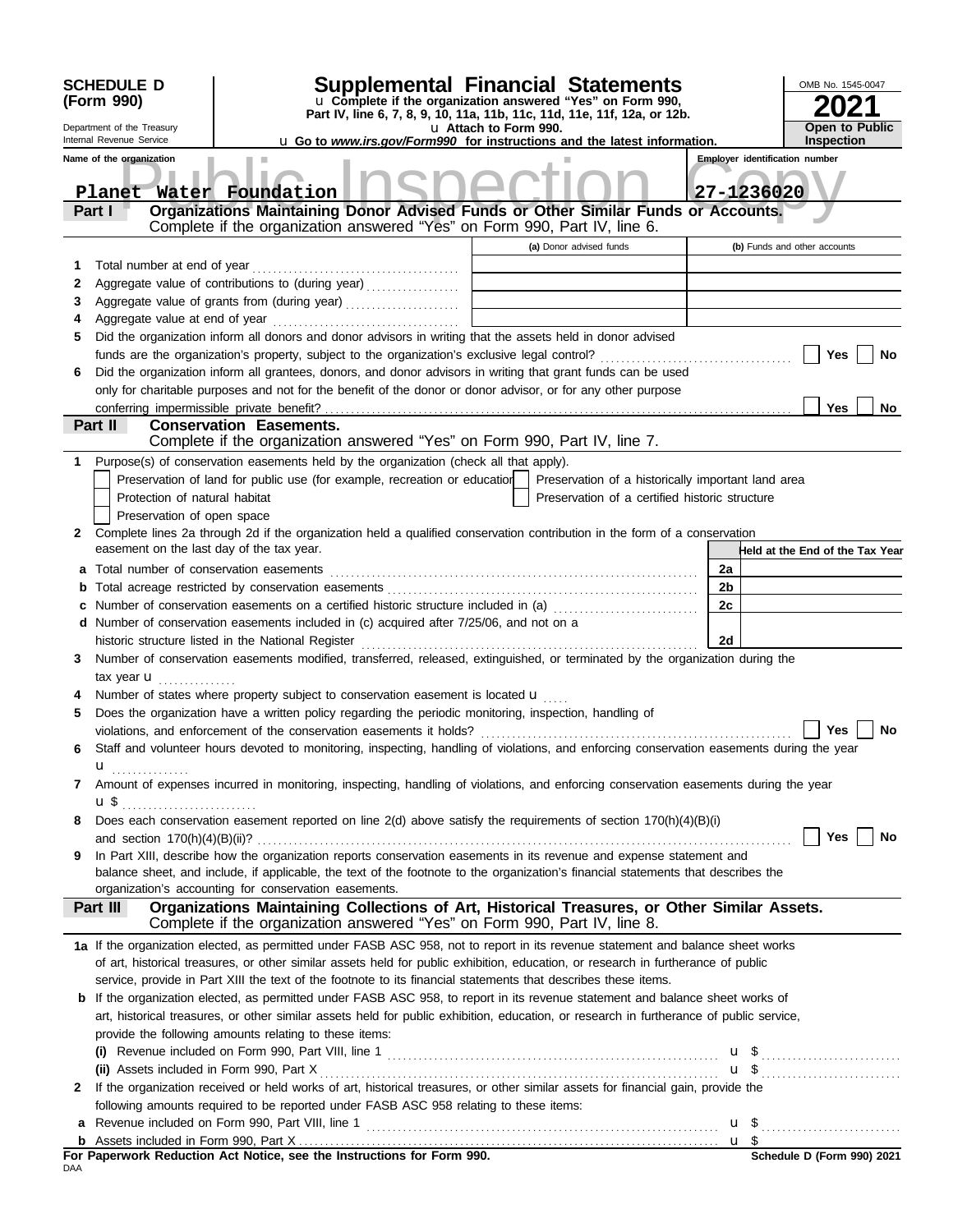|        | <b>SCHEDULE D</b>                                      |                                                                                                                                                                                                                                                                                                             | Supplemental Financial Statements                                                                               |                                       | OMB No. 1545-0047               |
|--------|--------------------------------------------------------|-------------------------------------------------------------------------------------------------------------------------------------------------------------------------------------------------------------------------------------------------------------------------------------------------------------|-----------------------------------------------------------------------------------------------------------------|---------------------------------------|---------------------------------|
|        | (Form 990)                                             |                                                                                                                                                                                                                                                                                                             | u Complete if the organization answered "Yes" on Form 990,                                                      |                                       |                                 |
|        |                                                        |                                                                                                                                                                                                                                                                                                             | Part IV, line 6, 7, 8, 9, 10, 11a, 11b, 11c, 11d, 11e, 11f, 12a, or 12b.                                        | <b>Open to Public</b>                 |                                 |
|        | Department of the Treasury<br>Internal Revenue Service |                                                                                                                                                                                                                                                                                                             | u Attach to Form 990.<br><b>u</b> Go to <i>www.irs.gov/Form990</i> for instructions and the latest information. |                                       | Inspection                      |
|        | Name of the organization                               |                                                                                                                                                                                                                                                                                                             |                                                                                                                 | <b>Employer identification number</b> |                                 |
|        | Planet                                                 | Water Foundation                                                                                                                                                                                                                                                                                            |                                                                                                                 |                                       | 27-1236020                      |
|        | Part I                                                 | Organizations Maintaining Donor Advised Funds or Other Similar Funds or Accounts.                                                                                                                                                                                                                           |                                                                                                                 |                                       |                                 |
|        |                                                        | Complete if the organization answered "Yes" on Form 990, Part IV, line 6.                                                                                                                                                                                                                                   |                                                                                                                 |                                       |                                 |
|        |                                                        |                                                                                                                                                                                                                                                                                                             | (a) Donor advised funds                                                                                         |                                       | (b) Funds and other accounts    |
| 1      |                                                        |                                                                                                                                                                                                                                                                                                             |                                                                                                                 |                                       |                                 |
| 2      |                                                        | Aggregate value of contributions to (during year) [[11][11][11][11] Aggregate value of contributions to (during year)                                                                                                                                                                                       | the control of the control of the control of the control of the                                                 |                                       |                                 |
| 3      |                                                        | Aggregate value of grants from (during year)                                                                                                                                                                                                                                                                | the control of the control of the control of the control of                                                     |                                       |                                 |
|        |                                                        | Did the organization inform all donors and donor advisors in writing that the assets held in donor advised                                                                                                                                                                                                  |                                                                                                                 |                                       |                                 |
|        |                                                        |                                                                                                                                                                                                                                                                                                             |                                                                                                                 |                                       | Yes<br>No                       |
| 6      |                                                        | Did the organization inform all grantees, donors, and donor advisors in writing that grant funds can be used                                                                                                                                                                                                |                                                                                                                 |                                       |                                 |
|        |                                                        | only for charitable purposes and not for the benefit of the donor or donor advisor, or for any other purpose                                                                                                                                                                                                |                                                                                                                 |                                       |                                 |
|        | conferring impermissible private benefit?              |                                                                                                                                                                                                                                                                                                             |                                                                                                                 |                                       | <b>Yes</b><br>No                |
|        | Part II                                                | <b>Conservation Easements.</b>                                                                                                                                                                                                                                                                              |                                                                                                                 |                                       |                                 |
|        |                                                        | Complete if the organization answered "Yes" on Form 990, Part IV, line 7.                                                                                                                                                                                                                                   |                                                                                                                 |                                       |                                 |
|        |                                                        | Purpose(s) of conservation easements held by the organization (check all that apply).                                                                                                                                                                                                                       |                                                                                                                 |                                       |                                 |
|        |                                                        | Preservation of land for public use (for example, recreation or education                                                                                                                                                                                                                                   | Preservation of a historically important land area                                                              |                                       |                                 |
|        | Protection of natural habitat                          |                                                                                                                                                                                                                                                                                                             | Preservation of a certified historic structure                                                                  |                                       |                                 |
|        | Preservation of open space                             |                                                                                                                                                                                                                                                                                                             |                                                                                                                 |                                       |                                 |
| 2      |                                                        | Complete lines 2a through 2d if the organization held a qualified conservation contribution in the form of a conservation                                                                                                                                                                                   |                                                                                                                 |                                       |                                 |
|        | easement on the last day of the tax year.              |                                                                                                                                                                                                                                                                                                             |                                                                                                                 |                                       | Held at the End of the Tax Year |
| а      | Total number of conservation easements                 |                                                                                                                                                                                                                                                                                                             |                                                                                                                 | 2a                                    |                                 |
|        |                                                        |                                                                                                                                                                                                                                                                                                             |                                                                                                                 | 2 <sub>b</sub>                        |                                 |
|        |                                                        | Number of conservation easements on a certified historic structure included in (a)                                                                                                                                                                                                                          |                                                                                                                 | 2c                                    |                                 |
|        |                                                        | d Number of conservation easements included in (c) acquired after 7/25/06, and not on a                                                                                                                                                                                                                     |                                                                                                                 |                                       |                                 |
|        |                                                        | historic structure listed in the National Register                                                                                                                                                                                                                                                          |                                                                                                                 | 2d                                    |                                 |
| 3      |                                                        | Number of conservation easements modified, transferred, released, extinguished, or terminated by the organization during the                                                                                                                                                                                |                                                                                                                 |                                       |                                 |
|        | tax year <b>u</b>                                      |                                                                                                                                                                                                                                                                                                             |                                                                                                                 |                                       |                                 |
|        |                                                        | Number of states where property subject to conservation easement is located u                                                                                                                                                                                                                               |                                                                                                                 |                                       |                                 |
|        |                                                        | Does the organization have a written policy regarding the periodic monitoring, inspection, handling of<br>violations, and enforcement of the conservation easements it holds? $\ldots$ $\ldots$ $\ldots$ $\ldots$ $\ldots$ $\ldots$ $\ldots$ $\ldots$ $\ldots$ $\ldots$ $\ldots$ $\ldots$ $\ldots$ $\ldots$ |                                                                                                                 |                                       |                                 |
| 6      |                                                        | Staff and volunteer hours devoted to monitoring, inspecting, handling of violations, and enforcing conservation easements during the year                                                                                                                                                                   |                                                                                                                 |                                       |                                 |
|        | u                                                      |                                                                                                                                                                                                                                                                                                             |                                                                                                                 |                                       |                                 |
| 7      | .                                                      | Amount of expenses incurred in monitoring, inspecting, handling of violations, and enforcing conservation easements during the year                                                                                                                                                                         |                                                                                                                 |                                       |                                 |
|        | u \$                                                   |                                                                                                                                                                                                                                                                                                             |                                                                                                                 |                                       |                                 |
| 8      |                                                        | Does each conservation easement reported on line 2(d) above satisfy the requirements of section 170(h)(4)(B)(i)                                                                                                                                                                                             |                                                                                                                 |                                       |                                 |
|        |                                                        |                                                                                                                                                                                                                                                                                                             |                                                                                                                 |                                       | Yes<br>No                       |
| 9      |                                                        | In Part XIII, describe how the organization reports conservation easements in its revenue and expense statement and                                                                                                                                                                                         |                                                                                                                 |                                       |                                 |
|        |                                                        | balance sheet, and include, if applicable, the text of the footnote to the organization's financial statements that describes the                                                                                                                                                                           |                                                                                                                 |                                       |                                 |
|        |                                                        | organization's accounting for conservation easements.                                                                                                                                                                                                                                                       |                                                                                                                 |                                       |                                 |
|        | Part III                                               | Organizations Maintaining Collections of Art, Historical Treasures, or Other Similar Assets.                                                                                                                                                                                                                |                                                                                                                 |                                       |                                 |
|        |                                                        | Complete if the organization answered "Yes" on Form 990, Part IV, line 8.                                                                                                                                                                                                                                   |                                                                                                                 |                                       |                                 |
|        |                                                        | 1a If the organization elected, as permitted under FASB ASC 958, not to report in its revenue statement and balance sheet works                                                                                                                                                                             |                                                                                                                 |                                       |                                 |
|        |                                                        | of art, historical treasures, or other similar assets held for public exhibition, education, or research in furtherance of public                                                                                                                                                                           |                                                                                                                 |                                       |                                 |
|        |                                                        | service, provide in Part XIII the text of the footnote to its financial statements that describes these items.                                                                                                                                                                                              |                                                                                                                 |                                       |                                 |
| b      |                                                        | If the organization elected, as permitted under FASB ASC 958, to report in its revenue statement and balance sheet works of                                                                                                                                                                                 |                                                                                                                 |                                       |                                 |
|        |                                                        | art, historical treasures, or other similar assets held for public exhibition, education, or research in furtherance of public service,                                                                                                                                                                     |                                                                                                                 |                                       |                                 |
|        |                                                        | provide the following amounts relating to these items:                                                                                                                                                                                                                                                      |                                                                                                                 |                                       |                                 |
|        |                                                        |                                                                                                                                                                                                                                                                                                             |                                                                                                                 |                                       |                                 |
|        | (ii) Assets included in Form 990, Part X               | If the organization received or held works of art, historical treasures, or other similar assets for financial gain, provide the                                                                                                                                                                            |                                                                                                                 |                                       |                                 |
| 2      |                                                        |                                                                                                                                                                                                                                                                                                             |                                                                                                                 |                                       |                                 |
|        |                                                        | following amounts required to be reported under FASB ASC 958 relating to these items:<br>Revenue included on Form 990, Part VIII, line 1                                                                                                                                                                    |                                                                                                                 |                                       |                                 |
| a<br>b |                                                        |                                                                                                                                                                                                                                                                                                             |                                                                                                                 | u <sub>s</sub>                        |                                 |
|        |                                                        | For Paperwork Reduction Act Notice, see the Instructions for Form 990.                                                                                                                                                                                                                                      |                                                                                                                 |                                       | Schedule D (Form 990) 2021      |
| DAA    |                                                        |                                                                                                                                                                                                                                                                                                             |                                                                                                                 |                                       |                                 |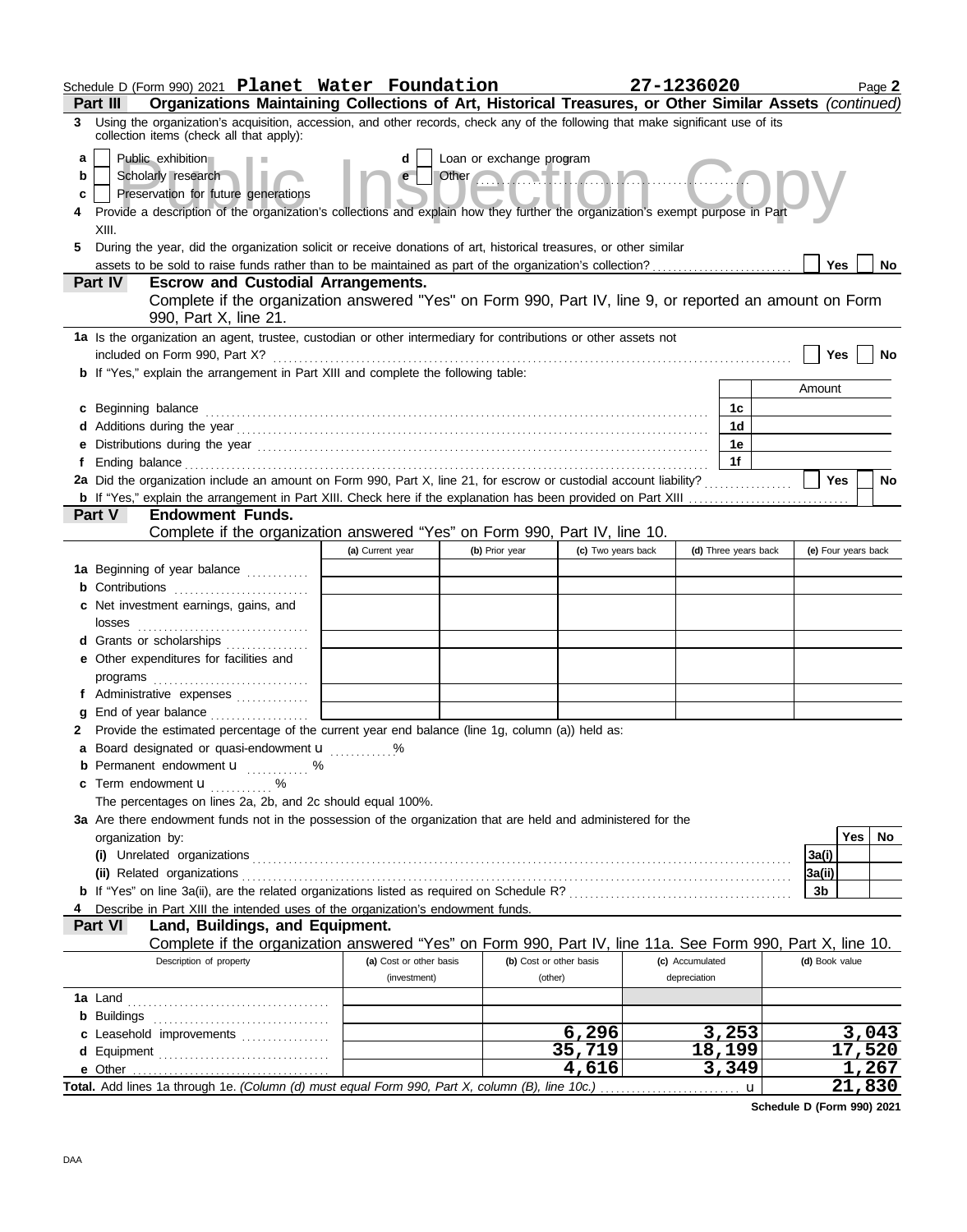|   | Schedule D (Form 990) 2021 Planet Water Foundation                                                                                                                                                                             |                         |                          |                         | 27-1236020      |                      |                | Page 2              |           |
|---|--------------------------------------------------------------------------------------------------------------------------------------------------------------------------------------------------------------------------------|-------------------------|--------------------------|-------------------------|-----------------|----------------------|----------------|---------------------|-----------|
|   | Organizations Maintaining Collections of Art, Historical Treasures, or Other Similar Assets (continued)<br><b>Part III</b>                                                                                                     |                         |                          |                         |                 |                      |                |                     |           |
| 3 | Using the organization's acquisition, accession, and other records, check any of the following that make significant use of its<br>collection items (check all that apply):                                                    |                         |                          |                         |                 |                      |                |                     |           |
| a | Public exhibition                                                                                                                                                                                                              | d                       | Loan or exchange program |                         |                 |                      |                |                     |           |
| b | Scholarly research                                                                                                                                                                                                             | e                       | Other                    | <b>Mala</b>             |                 |                      |                |                     |           |
| c | Preservation for future generations<br>Provide a description of the organization's collections and explain how they further the organization's exempt purpose in Part                                                          |                         |                          |                         |                 |                      |                |                     |           |
|   |                                                                                                                                                                                                                                |                         |                          |                         |                 |                      |                |                     |           |
|   | XIII.                                                                                                                                                                                                                          |                         |                          |                         |                 |                      |                |                     |           |
| 5 | During the year, did the organization solicit or receive donations of art, historical treasures, or other similar                                                                                                              |                         |                          |                         |                 |                      | <b>Yes</b>     |                     | <b>No</b> |
|   | <b>Escrow and Custodial Arrangements.</b><br><b>Part IV</b>                                                                                                                                                                    |                         |                          |                         |                 |                      |                |                     |           |
|   | Complete if the organization answered "Yes" on Form 990, Part IV, line 9, or reported an amount on Form                                                                                                                        |                         |                          |                         |                 |                      |                |                     |           |
|   | 990, Part X, line 21.                                                                                                                                                                                                          |                         |                          |                         |                 |                      |                |                     |           |
|   | 1a Is the organization an agent, trustee, custodian or other intermediary for contributions or other assets not                                                                                                                |                         |                          |                         |                 |                      |                |                     |           |
|   | included on Form 990, Part X?<br><b>b</b> If "Yes," explain the arrangement in Part XIII and complete the following table:                                                                                                     |                         |                          |                         |                 |                      | <b>Yes</b>     |                     | No        |
|   |                                                                                                                                                                                                                                |                         |                          |                         |                 |                      | Amount         |                     |           |
| c | Beginning balance                                                                                                                                                                                                              |                         |                          |                         |                 | 1с                   |                |                     |           |
|   |                                                                                                                                                                                                                                |                         |                          |                         |                 | 1 <sub>d</sub>       |                |                     |           |
|   | Distributions during the year manufactured contains and the year manufactured with the year manufactured with the set of the set of the set of the set of the set of the set of the set of the set of the set of the set of th |                         |                          |                         |                 | 1e                   |                |                     |           |
|   |                                                                                                                                                                                                                                |                         |                          |                         |                 | 1f                   |                |                     |           |
|   | 2a Did the organization include an amount on Form 990, Part X, line 21, for escrow or custodial account liability?                                                                                                             |                         |                          |                         |                 |                      | Yes            |                     | <b>No</b> |
|   |                                                                                                                                                                                                                                |                         |                          |                         |                 |                      |                |                     |           |
|   | Part V<br><b>Endowment Funds.</b>                                                                                                                                                                                              |                         |                          |                         |                 |                      |                |                     |           |
|   | Complete if the organization answered "Yes" on Form 990, Part IV, line 10.                                                                                                                                                     |                         |                          |                         |                 |                      |                |                     |           |
|   |                                                                                                                                                                                                                                | (a) Current year        | (b) Prior year           | (c) Two years back      |                 | (d) Three years back |                | (e) Four years back |           |
|   | 1a Beginning of year balance                                                                                                                                                                                                   |                         |                          |                         |                 |                      |                |                     |           |
|   | <b>b</b> Contributions <b>contributions</b><br>c Net investment earnings, gains, and                                                                                                                                           |                         |                          |                         |                 |                      |                |                     |           |
|   | losses                                                                                                                                                                                                                         |                         |                          |                         |                 |                      |                |                     |           |
|   | Grants or scholarships                                                                                                                                                                                                         |                         |                          |                         |                 |                      |                |                     |           |
|   | e Other expenditures for facilities and                                                                                                                                                                                        |                         |                          |                         |                 |                      |                |                     |           |
|   |                                                                                                                                                                                                                                |                         |                          |                         |                 |                      |                |                     |           |
|   | f Administrative expenses                                                                                                                                                                                                      |                         |                          |                         |                 |                      |                |                     |           |
|   |                                                                                                                                                                                                                                |                         |                          |                         |                 |                      |                |                     |           |
| 2 | Provide the estimated percentage of the current year end balance (line 1g, column (a)) held as:                                                                                                                                |                         |                          |                         |                 |                      |                |                     |           |
|   | Board designated or quasi-endowment <b>u</b> %                                                                                                                                                                                 |                         |                          |                         |                 |                      |                |                     |           |
|   | Permanent endowment <b>u</b> %<br>Term endowment <b>u</b>                                                                                                                                                                      |                         |                          |                         |                 |                      |                |                     |           |
|   | .<br>The percentages on lines 2a, 2b, and 2c should equal 100%.                                                                                                                                                                |                         |                          |                         |                 |                      |                |                     |           |
|   | 3a Are there endowment funds not in the possession of the organization that are held and administered for the                                                                                                                  |                         |                          |                         |                 |                      |                |                     |           |
|   | organization by:                                                                                                                                                                                                               |                         |                          |                         |                 |                      |                | <b>Yes</b>          | No        |
|   | (i) Unrelated organizations                                                                                                                                                                                                    |                         |                          |                         |                 |                      | 3a(i)          |                     |           |
|   | (ii) Related organizations                                                                                                                                                                                                     |                         |                          |                         |                 |                      | 3a(ii)         |                     |           |
|   | <b>b</b> If "Yes" on line 3a(ii), are the related organizations listed as required on Schedule R? [[[[[[[[[[[[[[[[[[[[[[[[]]]]]]]]]]                                                                                           |                         |                          |                         |                 |                      | 3b             |                     |           |
|   | Describe in Part XIII the intended uses of the organization's endowment funds.                                                                                                                                                 |                         |                          |                         |                 |                      |                |                     |           |
|   | Land, Buildings, and Equipment.<br><b>Part VI</b>                                                                                                                                                                              |                         |                          |                         |                 |                      |                |                     |           |
|   | Complete if the organization answered "Yes" on Form 990, Part IV, line 11a. See Form 990, Part X, line 10.<br>Description of property                                                                                          | (a) Cost or other basis |                          | (b) Cost or other basis | (c) Accumulated |                      | (d) Book value |                     |           |
|   |                                                                                                                                                                                                                                | (investment)            | (other)                  |                         | depreciation    |                      |                |                     |           |
|   |                                                                                                                                                                                                                                |                         |                          |                         |                 |                      |                |                     |           |
|   | <b>b</b> Buildings                                                                                                                                                                                                             |                         |                          |                         |                 |                      |                |                     |           |
|   | c Leasehold improvements                                                                                                                                                                                                       |                         |                          | 6,296                   |                 | 3,253                |                | <u>3,043</u>        |           |
|   | d Equipment                                                                                                                                                                                                                    |                         |                          | 35,719                  |                 | <u>18,199</u>        |                | 17,520              |           |
|   | e Other                                                                                                                                                                                                                        |                         |                          | 4,616                   |                 | 3,349                |                | 1,267               |           |
|   |                                                                                                                                                                                                                                |                         |                          |                         |                 | u                    |                | 21,830              |           |

**Schedule D (Form 990) 2021**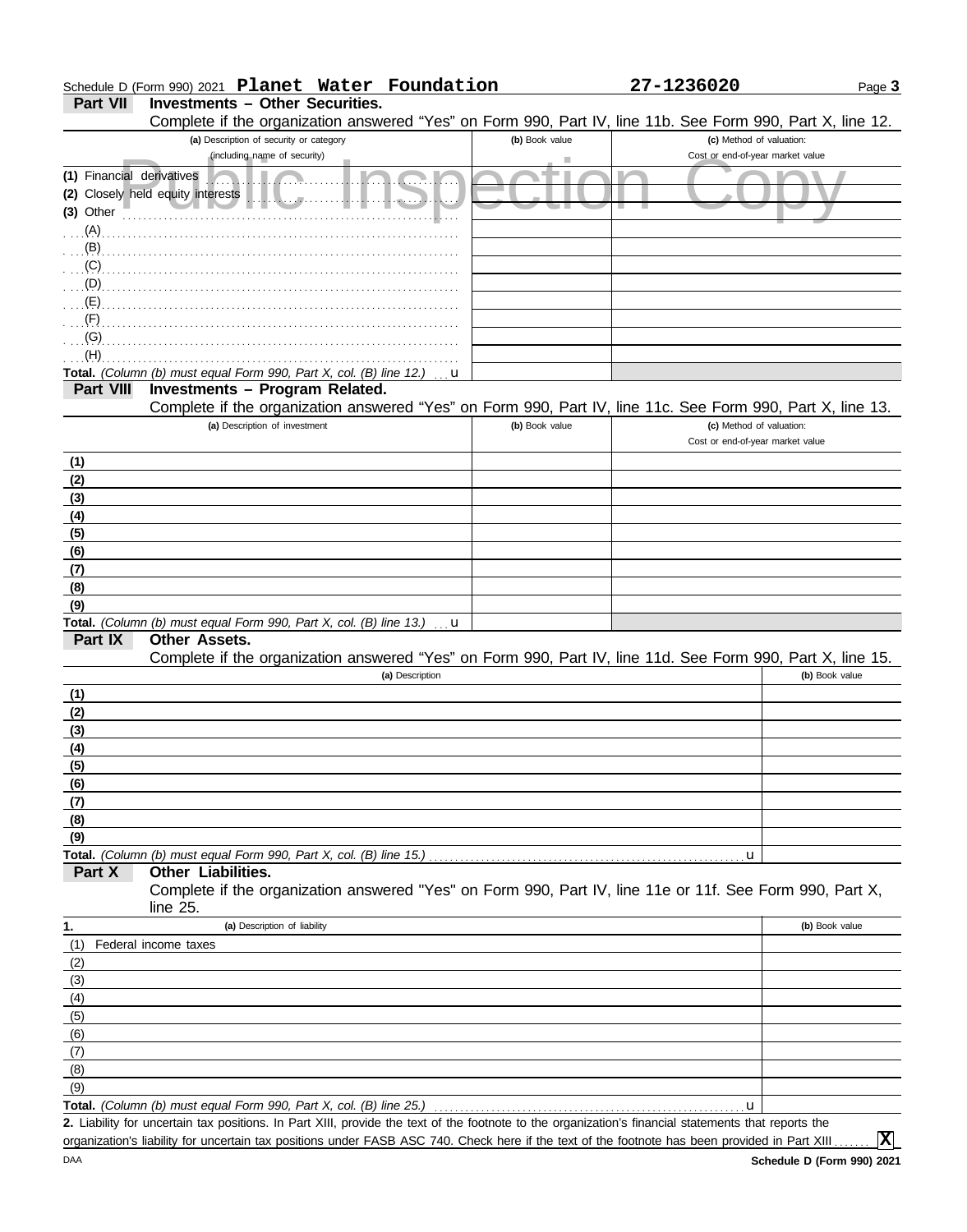# Schedule D (Form 990) 2021 **Planet Water Foundation 27-1236020**

**Part VII Investments – Other Securities.**

Complete if the organization answered "Yes" on Form 990, Part IV, line 11b. See Form 990, Part X, line 12.

| bompiolo in the organization anowered a research only boo, I are ry, line this. Occur only boo, I are $\lambda$ , line i.e.                          |                |                                  |
|------------------------------------------------------------------------------------------------------------------------------------------------------|----------------|----------------------------------|
| (a) Description of security or category                                                                                                              | (b) Book value | (c) Method of valuation:         |
| (including name of security)                                                                                                                         |                | Cost or end-of-year market value |
| (1) Financial derivatives                                                                                                                            |                |                                  |
| (2) Closely held equity interests<br>$\sqrt{2}$ .                                                                                                    |                |                                  |
| (3) Other                                                                                                                                            |                |                                  |
| (A)                                                                                                                                                  |                |                                  |
| (B)                                                                                                                                                  |                |                                  |
| (C)                                                                                                                                                  |                |                                  |
| (D)                                                                                                                                                  |                |                                  |
| (E)                                                                                                                                                  |                |                                  |
| (F)                                                                                                                                                  |                |                                  |
| (G)                                                                                                                                                  |                |                                  |
| (H)                                                                                                                                                  |                |                                  |
| Total. (Column (b) must equal Form 990, Part X, col. (B) line 12.)                                                                                   | u              |                                  |
| Investments - Program Related.<br>Part VIII                                                                                                          |                |                                  |
| Complete if the organization answered "Yes" on Form 990, Part IV, line 11c. See Form 990, Part X, line 13.                                           |                |                                  |
| (a) Description of investment                                                                                                                        | (b) Book value | (c) Method of valuation:         |
|                                                                                                                                                      |                | Cost or end-of-year market value |
| (1)                                                                                                                                                  |                |                                  |
| (2)                                                                                                                                                  |                |                                  |
| (3)                                                                                                                                                  |                |                                  |
|                                                                                                                                                      |                |                                  |
| (4)                                                                                                                                                  |                |                                  |
| (5)                                                                                                                                                  |                |                                  |
| (6)                                                                                                                                                  |                |                                  |
| (7)                                                                                                                                                  |                |                                  |
| (8)                                                                                                                                                  |                |                                  |
| (9)                                                                                                                                                  |                |                                  |
| Total. (Column (b) must equal Form 990, Part X, col. (B) line 13.)                                                                                   | u              |                                  |
| Other Assets.<br>Part IX                                                                                                                             |                |                                  |
| Complete if the organization answered "Yes" on Form 990, Part IV, line 11d. See Form 990, Part X, line 15.                                           |                |                                  |
| (a) Description                                                                                                                                      |                | (b) Book value                   |
| (1)                                                                                                                                                  |                |                                  |
| (2)                                                                                                                                                  |                |                                  |
| (3)                                                                                                                                                  |                |                                  |
| (4)                                                                                                                                                  |                |                                  |
| (5)                                                                                                                                                  |                |                                  |
| (6)                                                                                                                                                  |                |                                  |
| (7)                                                                                                                                                  |                |                                  |
| (8)                                                                                                                                                  |                |                                  |
| (9)                                                                                                                                                  |                |                                  |
| Total. (Column (b) must equal Form 990, Part X, col. (B) line 15.)                                                                                   |                | u                                |
| Other Liabilities.<br>Part X                                                                                                                         |                |                                  |
| Complete if the organization answered "Yes" on Form 990, Part IV, line 11e or 11f. See Form 990, Part X,                                             |                |                                  |
| line 25.                                                                                                                                             |                |                                  |
| 1.<br>(a) Description of liability                                                                                                                   |                | (b) Book value                   |
| (1)<br>Federal income taxes                                                                                                                          |                |                                  |
| (2)                                                                                                                                                  |                |                                  |
| (3)                                                                                                                                                  |                |                                  |
| (4)                                                                                                                                                  |                |                                  |
| (5)                                                                                                                                                  |                |                                  |
| (6)                                                                                                                                                  |                |                                  |
| (7)                                                                                                                                                  |                |                                  |
| (8)                                                                                                                                                  |                |                                  |
| (9)                                                                                                                                                  |                |                                  |
| Total. (Column (b) must equal Form 990, Part X, col. (B) line 25.)                                                                                   |                | $\mathbf u$                      |
| 2. Liability for uncertain tax positions. In Part XIII, provide the text of the footnote to the organization's financial statements that reports the |                |                                  |
|                                                                                                                                                      |                |                                  |

organization's liability for uncertain tax positions under FASB ASC 740. Check here if the text of the footnote has been provided in Part XIII ..

**X**

Page **3**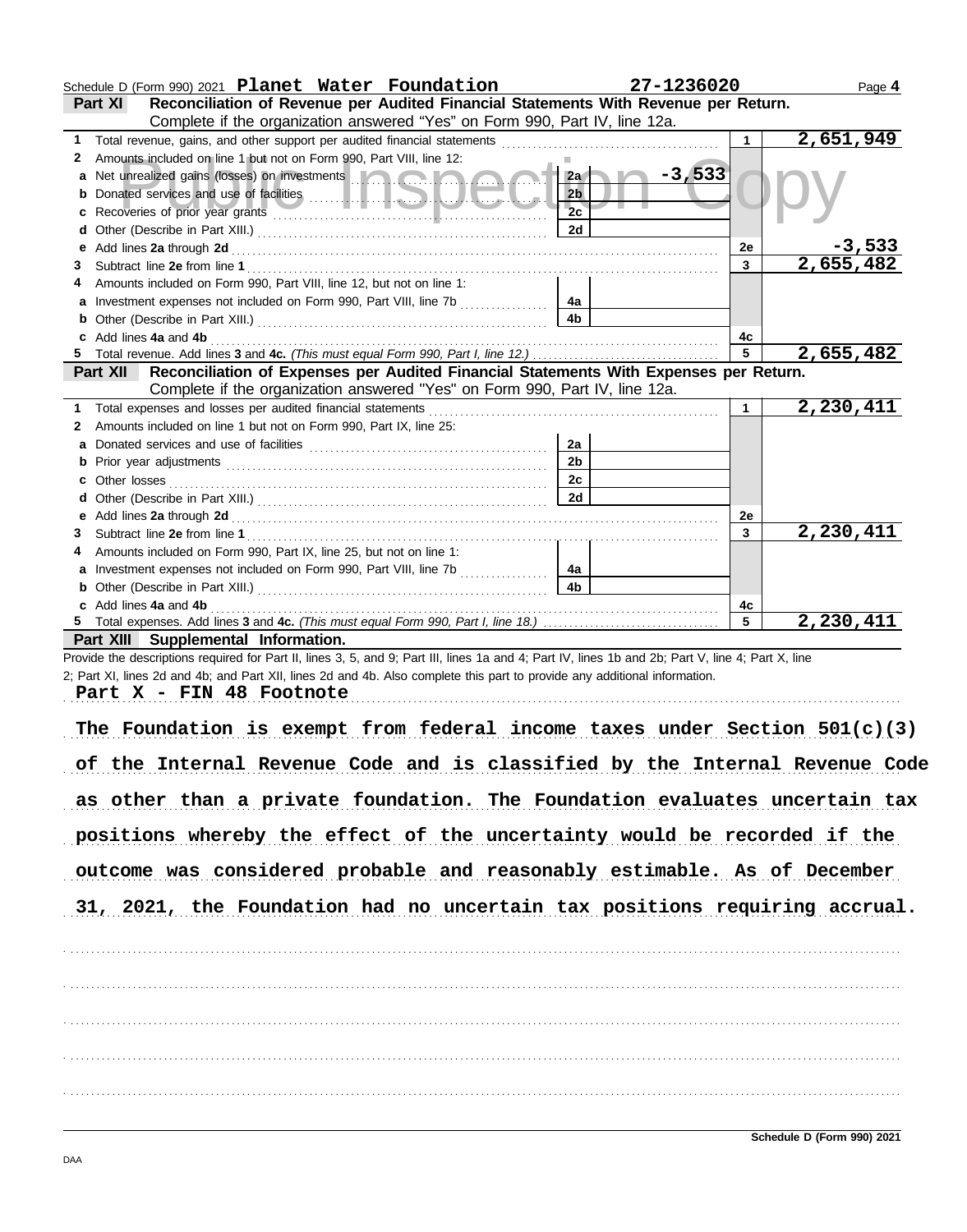|        | Schedule D (Form 990) 2021 Planet Water Foundation                                                                                                                                                                                   | 27-1236020     |                    | Page 4    |
|--------|--------------------------------------------------------------------------------------------------------------------------------------------------------------------------------------------------------------------------------------|----------------|--------------------|-----------|
|        | Reconciliation of Revenue per Audited Financial Statements With Revenue per Return.<br>Part XI                                                                                                                                       |                |                    |           |
|        | Complete if the organization answered "Yes" on Form 990, Part IV, line 12a.                                                                                                                                                          |                |                    |           |
|        |                                                                                                                                                                                                                                      |                | 1                  | 2,651,949 |
|        | 2 Amounts included on line 1 but not on Form 990, Part VIII, line 12:                                                                                                                                                                |                |                    |           |
|        | a Net unrealized gains (losses) on investments <b>and a strategie of the strategie of the strategie of the strategie of the strategie of the strategie of the strategie of the strategie of the strategie of the strategie of th</b> | $-3,533$<br>2a |                    |           |
|        |                                                                                                                                                                                                                                      | 2 <sub>b</sub> |                    |           |
| c      |                                                                                                                                                                                                                                      | 2c             |                    |           |
| d      |                                                                                                                                                                                                                                      | 2d             |                    | $-3,533$  |
| е<br>3 |                                                                                                                                                                                                                                      |                | 2e<br>$\mathbf{3}$ | 2,655,482 |
|        | Amounts included on Form 990, Part VIII, line 12, but not on line 1:                                                                                                                                                                 |                |                    |           |
|        | a Investment expenses not included on Form 990, Part VIII, line 7b                                                                                                                                                                   | 4a             |                    |           |
| b      |                                                                                                                                                                                                                                      | 4b             |                    |           |
|        | c Add lines 4a and 4b                                                                                                                                                                                                                |                | 4с                 |           |
|        |                                                                                                                                                                                                                                      |                | 5                  | 2,655,482 |
|        | Part XII Reconciliation of Expenses per Audited Financial Statements With Expenses per Return.                                                                                                                                       |                |                    |           |
|        | Complete if the organization answered "Yes" on Form 990, Part IV, line 12a.                                                                                                                                                          |                |                    |           |
|        | 1 Total expenses and losses per audited financial statements [11] [11] Total expenses and losses per audited financial statements [11] Total expenses and losses                                                                     |                | $\mathbf{1}$       | 2,230,411 |
|        | 2 Amounts included on line 1 but not on Form 990, Part IX, line 25:                                                                                                                                                                  |                |                    |           |
| a      |                                                                                                                                                                                                                                      | 2a             |                    |           |
|        |                                                                                                                                                                                                                                      | 2 <sub>b</sub> |                    |           |
| с      |                                                                                                                                                                                                                                      | 2c             |                    |           |
| d      |                                                                                                                                                                                                                                      | 2d             |                    |           |
|        |                                                                                                                                                                                                                                      |                | 2e                 |           |
| 3      | Amounts included on Form 990, Part IX, line 25, but not on line 1:                                                                                                                                                                   |                | 3                  | 2,230,411 |
|        | a Investment expenses not included on Form 990, Part VIII, line 7b                                                                                                                                                                   | 4a             |                    |           |
|        | <b>b</b> Other (Describe in Part XIII.) <b>CONSERVING (2018)</b>                                                                                                                                                                     | 4 <sub>b</sub> |                    |           |
|        | c Add lines 4a and 4b                                                                                                                                                                                                                |                | 4c                 |           |
|        |                                                                                                                                                                                                                                      |                | $5\overline{5}$    | 2,230,411 |
|        | Part XIII Supplemental Information.                                                                                                                                                                                                  |                |                    |           |
|        | Provide the descriptions required for Part II, lines 3, 5, and 9; Part III, lines 1a and 4; Part IV, lines 1b and 2b; Part V, line 4; Part X, line                                                                                   |                |                    |           |
|        | 2; Part XI, lines 2d and 4b; and Part XII, lines 2d and 4b. Also complete this part to provide any additional information.                                                                                                           |                |                    |           |
|        | Part X - FIN 48 Footnote                                                                                                                                                                                                             |                |                    |           |
|        |                                                                                                                                                                                                                                      |                |                    |           |
|        | The Foundation is exempt from federal income taxes under Section $501(c)(3)$                                                                                                                                                         |                |                    |           |
|        |                                                                                                                                                                                                                                      |                |                    |           |
|        | of the Internal Revenue Code and is classified by the Internal Revenue Code                                                                                                                                                          |                |                    |           |
|        | as other than a private foundation. The Foundation evaluates uncertain tax                                                                                                                                                           |                |                    |           |
|        |                                                                                                                                                                                                                                      |                |                    |           |
|        | positions whereby the effect of the uncertainty would be recorded if the                                                                                                                                                             |                |                    |           |
|        |                                                                                                                                                                                                                                      |                |                    |           |
|        | outcome was considered probable and reasonably estimable. As of December                                                                                                                                                             |                |                    |           |
|        |                                                                                                                                                                                                                                      |                |                    |           |
|        | 31, 2021, the Foundation had no uncertain tax positions requiring accrual.                                                                                                                                                           |                |                    |           |
|        |                                                                                                                                                                                                                                      |                |                    |           |
|        |                                                                                                                                                                                                                                      |                |                    |           |
|        |                                                                                                                                                                                                                                      |                |                    |           |
|        |                                                                                                                                                                                                                                      |                |                    |           |
|        |                                                                                                                                                                                                                                      |                |                    |           |
|        |                                                                                                                                                                                                                                      |                |                    |           |
|        |                                                                                                                                                                                                                                      |                |                    |           |
|        |                                                                                                                                                                                                                                      |                |                    |           |
|        |                                                                                                                                                                                                                                      |                |                    |           |
|        |                                                                                                                                                                                                                                      |                |                    |           |
|        |                                                                                                                                                                                                                                      |                |                    |           |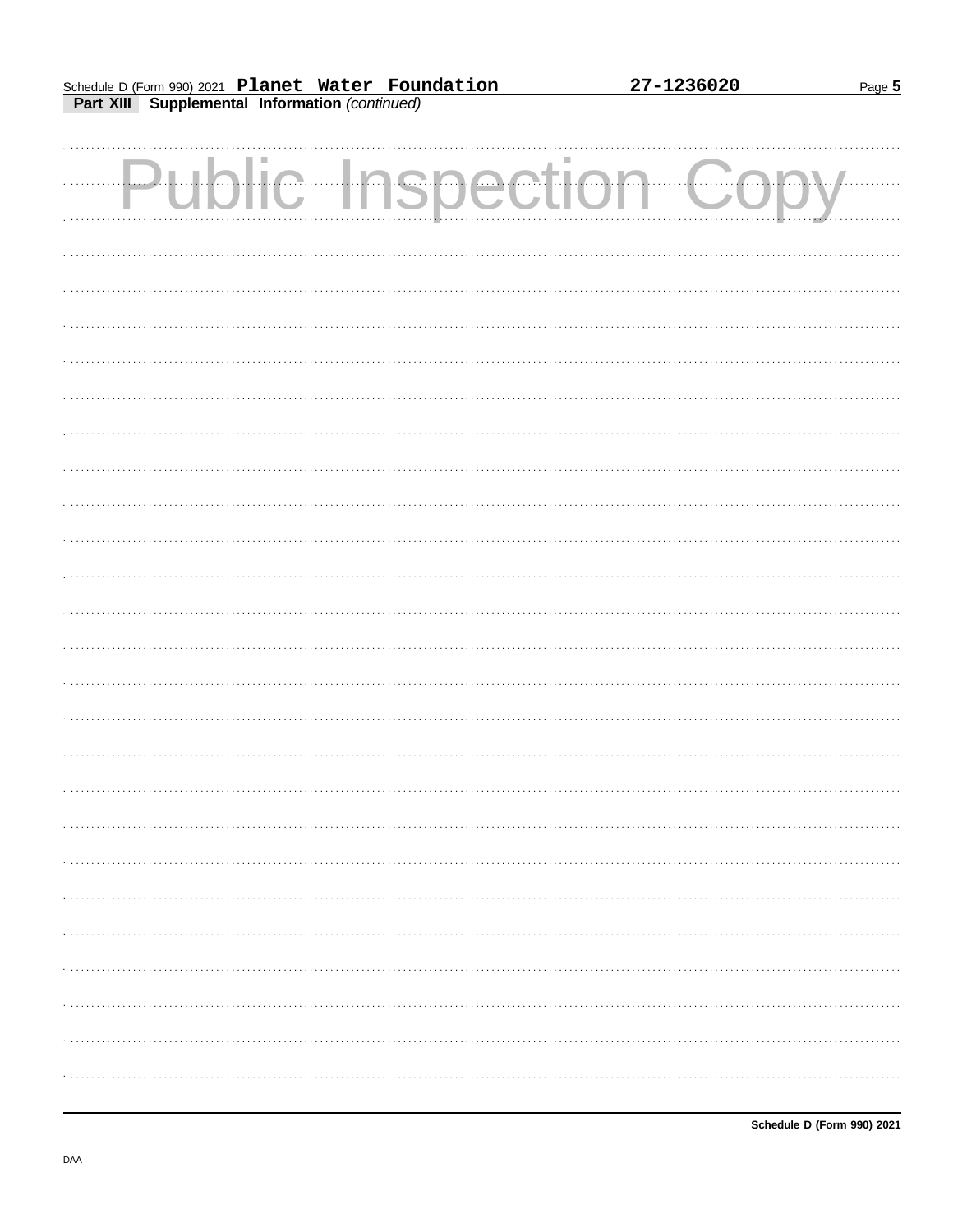Page 5

| <b>Public Inspection Copy</b> |  |  |
|-------------------------------|--|--|
|                               |  |  |
|                               |  |  |
|                               |  |  |
|                               |  |  |
|                               |  |  |
|                               |  |  |
|                               |  |  |
|                               |  |  |
|                               |  |  |
|                               |  |  |
|                               |  |  |
|                               |  |  |
|                               |  |  |
|                               |  |  |
|                               |  |  |
|                               |  |  |
|                               |  |  |
|                               |  |  |
|                               |  |  |
|                               |  |  |
|                               |  |  |
|                               |  |  |
|                               |  |  |
|                               |  |  |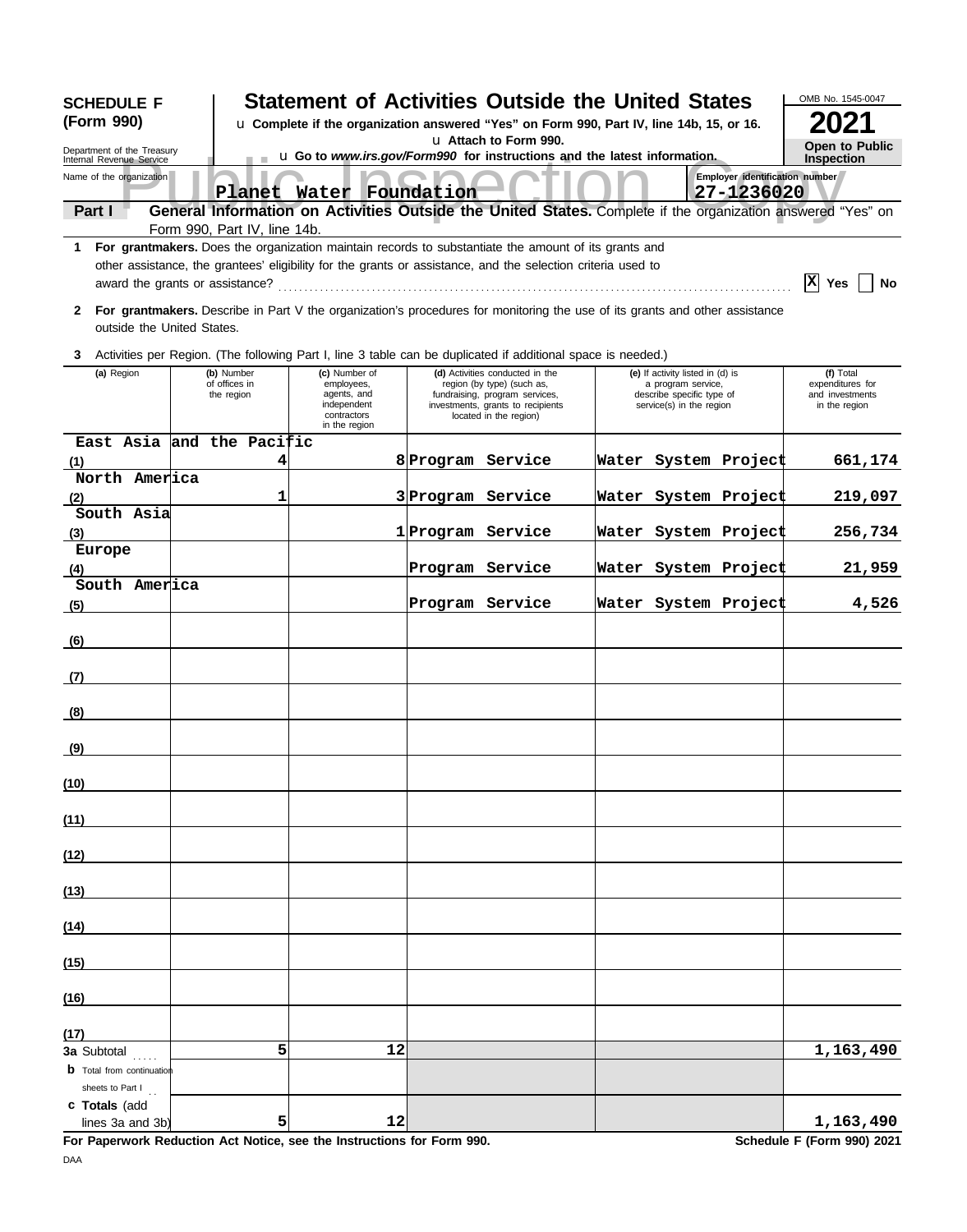| <b>SCHEDULE F</b><br>(Form 990)                           |                                           |                                                                                           |    | <b>Statement of Activities Outside the United States</b><br>u Complete if the organization answered "Yes" on Form 990, Part IV, line 14b, 15, or 16. |                                                                                                                                                                                                                      | OMB No. 1545-0047                                                                                               |                                              |                                                                                                             |  |
|-----------------------------------------------------------|-------------------------------------------|-------------------------------------------------------------------------------------------|----|------------------------------------------------------------------------------------------------------------------------------------------------------|----------------------------------------------------------------------------------------------------------------------------------------------------------------------------------------------------------------------|-----------------------------------------------------------------------------------------------------------------|----------------------------------------------|-------------------------------------------------------------------------------------------------------------|--|
| Department of the Treasury<br>Internal Revenue Service    |                                           |                                                                                           |    |                                                                                                                                                      | u Attach to Form 990.<br>u Go to www.irs.gov/Form990 for instructions and the latest information.                                                                                                                    |                                                                                                                 |                                              | <b>Open to Public</b><br><b>Inspection</b>                                                                  |  |
| Name of the organization                                  |                                           |                                                                                           |    | Planet Water Foundation                                                                                                                              |                                                                                                                                                                                                                      |                                                                                                                 | Employer identification number<br>27-1236020 |                                                                                                             |  |
| Part I                                                    |                                           |                                                                                           |    |                                                                                                                                                      |                                                                                                                                                                                                                      |                                                                                                                 |                                              | General Information on Activities Outside the United States. Complete if the organization answered "Yes" on |  |
|                                                           | Form 990, Part IV, line 14b.              |                                                                                           |    |                                                                                                                                                      |                                                                                                                                                                                                                      |                                                                                                                 |                                              |                                                                                                             |  |
|                                                           |                                           |                                                                                           |    |                                                                                                                                                      | For grantmakers. Does the organization maintain records to substantiate the amount of its grants and<br>other assistance, the grantees' eligibility for the grants or assistance, and the selection criteria used to |                                                                                                                 |                                              | X Yes<br>No                                                                                                 |  |
| $\mathbf{2}$<br>outside the United States.                |                                           |                                                                                           |    |                                                                                                                                                      | For grantmakers. Describe in Part V the organization's procedures for monitoring the use of its grants and other assistance                                                                                          |                                                                                                                 |                                              |                                                                                                             |  |
|                                                           |                                           |                                                                                           |    |                                                                                                                                                      | 3 Activities per Region. (The following Part I, line 3 table can be duplicated if additional space is needed.)                                                                                                       |                                                                                                                 |                                              |                                                                                                             |  |
| (a) Region                                                | (b) Number<br>of offices in<br>the region | (c) Number of<br>employees,<br>agents, and<br>independent<br>contractors<br>in the region |    |                                                                                                                                                      | (d) Activities conducted in the<br>region (by type) (such as,<br>fundraising, program services,<br>investments, grants to recipients<br>located in the region)                                                       | (e) If activity listed in (d) is<br>a program service,<br>describe specific type of<br>service(s) in the region |                                              | (f) Total<br>expenditures for<br>and investments<br>in the region                                           |  |
| East Asia and the Pacific                                 |                                           |                                                                                           |    |                                                                                                                                                      |                                                                                                                                                                                                                      |                                                                                                                 |                                              |                                                                                                             |  |
| (1)                                                       | 4                                         |                                                                                           |    | 8 Program Service                                                                                                                                    |                                                                                                                                                                                                                      |                                                                                                                 | Water System Project                         | 661,174                                                                                                     |  |
| North America                                             | 1                                         |                                                                                           |    | 3 Program Service                                                                                                                                    |                                                                                                                                                                                                                      |                                                                                                                 |                                              |                                                                                                             |  |
| (2)<br>South Asia                                         |                                           |                                                                                           |    |                                                                                                                                                      |                                                                                                                                                                                                                      |                                                                                                                 | Water System Project                         | 219,097                                                                                                     |  |
| (3)                                                       |                                           |                                                                                           |    | 1 Program Service                                                                                                                                    |                                                                                                                                                                                                                      |                                                                                                                 | Water System Project                         | 256,734                                                                                                     |  |
| Europe                                                    |                                           |                                                                                           |    |                                                                                                                                                      |                                                                                                                                                                                                                      |                                                                                                                 |                                              |                                                                                                             |  |
| (4)                                                       |                                           |                                                                                           |    |                                                                                                                                                      | Program Service                                                                                                                                                                                                      |                                                                                                                 | Water System Project                         | 21,959                                                                                                      |  |
| South America                                             |                                           |                                                                                           |    |                                                                                                                                                      |                                                                                                                                                                                                                      |                                                                                                                 |                                              |                                                                                                             |  |
| (5)                                                       |                                           |                                                                                           |    |                                                                                                                                                      | Program Service                                                                                                                                                                                                      |                                                                                                                 | Water System Project                         | 4,526                                                                                                       |  |
| (6)                                                       |                                           |                                                                                           |    |                                                                                                                                                      |                                                                                                                                                                                                                      |                                                                                                                 |                                              |                                                                                                             |  |
| (7)                                                       |                                           |                                                                                           |    |                                                                                                                                                      |                                                                                                                                                                                                                      |                                                                                                                 |                                              |                                                                                                             |  |
| (8)                                                       |                                           |                                                                                           |    |                                                                                                                                                      |                                                                                                                                                                                                                      |                                                                                                                 |                                              |                                                                                                             |  |
| (9)                                                       |                                           |                                                                                           |    |                                                                                                                                                      |                                                                                                                                                                                                                      |                                                                                                                 |                                              |                                                                                                             |  |
| (10)                                                      |                                           |                                                                                           |    |                                                                                                                                                      |                                                                                                                                                                                                                      |                                                                                                                 |                                              |                                                                                                             |  |
| (11)                                                      |                                           |                                                                                           |    |                                                                                                                                                      |                                                                                                                                                                                                                      |                                                                                                                 |                                              |                                                                                                             |  |
| (12)                                                      |                                           |                                                                                           |    |                                                                                                                                                      |                                                                                                                                                                                                                      |                                                                                                                 |                                              |                                                                                                             |  |
| (13)                                                      |                                           |                                                                                           |    |                                                                                                                                                      |                                                                                                                                                                                                                      |                                                                                                                 |                                              |                                                                                                             |  |
| (14)                                                      |                                           |                                                                                           |    |                                                                                                                                                      |                                                                                                                                                                                                                      |                                                                                                                 |                                              |                                                                                                             |  |
| (15)                                                      |                                           |                                                                                           |    |                                                                                                                                                      |                                                                                                                                                                                                                      |                                                                                                                 |                                              |                                                                                                             |  |
| (16)                                                      |                                           |                                                                                           |    |                                                                                                                                                      |                                                                                                                                                                                                                      |                                                                                                                 |                                              |                                                                                                             |  |
|                                                           |                                           |                                                                                           |    |                                                                                                                                                      |                                                                                                                                                                                                                      |                                                                                                                 |                                              |                                                                                                             |  |
| (17)<br>3a Subtotal                                       | 5                                         |                                                                                           | 12 |                                                                                                                                                      |                                                                                                                                                                                                                      |                                                                                                                 |                                              | 1,163,490                                                                                                   |  |
| .<br><b>b</b> Total from continuation<br>sheets to Part I |                                           |                                                                                           |    |                                                                                                                                                      |                                                                                                                                                                                                                      |                                                                                                                 |                                              |                                                                                                             |  |
| c Totals (add<br>lines 3a and 3b)                         | 5                                         |                                                                                           | 12 |                                                                                                                                                      |                                                                                                                                                                                                                      |                                                                                                                 |                                              | 1,163,490                                                                                                   |  |

**For Paperwork Reduction Act Notice, see the Instructions for Form 990. Schedule F (Form 990) 2021** DAA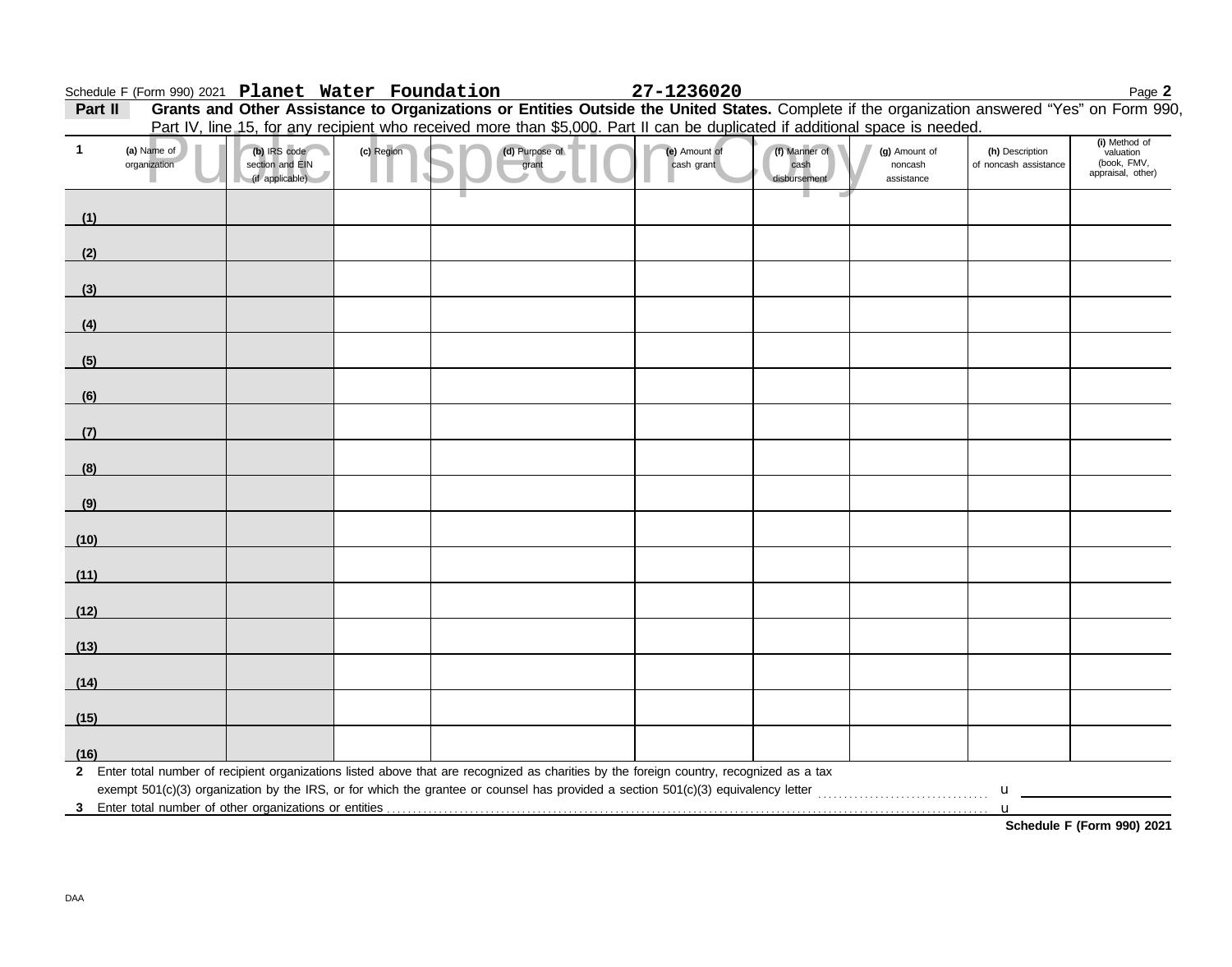|              | Schedule F (Form 990) 2021 Planet Water Foundation |                                                    |            |                | 27-1236020                                                                                                                                   |                                       |                                        |                                                | Page 2                                                         |
|--------------|----------------------------------------------------|----------------------------------------------------|------------|----------------|----------------------------------------------------------------------------------------------------------------------------------------------|---------------------------------------|----------------------------------------|------------------------------------------------|----------------------------------------------------------------|
| Part II      |                                                    |                                                    |            |                | Grants and Other Assistance to Organizations or Entities Outside the United States. Complete if the organization answered "Yes" on Form 990, |                                       |                                        |                                                |                                                                |
|              |                                                    |                                                    |            |                | Part IV, line 15, for any recipient who received more than \$5,000. Part II can be duplicated if additional space is needed.                 |                                       |                                        |                                                |                                                                |
| $\mathbf{1}$ | (a) Name of<br>organization                        | (b) IRS code<br>section and EIN<br>(if applicable) | (c) Region | (d) Purpose of | (e) Amount of<br>cash grant                                                                                                                  | (f) Manner of<br>cash<br>disbursement | (g) Amount of<br>noncash<br>assistance | (h) Description<br>of noncash assistance       | (i) Method of<br>valuation<br>(book, FMV,<br>appraisal, other) |
| (1)          |                                                    |                                                    |            |                |                                                                                                                                              |                                       |                                        |                                                |                                                                |
| (2)          |                                                    |                                                    |            |                |                                                                                                                                              |                                       |                                        |                                                |                                                                |
| (3)          |                                                    |                                                    |            |                |                                                                                                                                              |                                       |                                        |                                                |                                                                |
| (4)          |                                                    |                                                    |            |                |                                                                                                                                              |                                       |                                        |                                                |                                                                |
| (5)          |                                                    |                                                    |            |                |                                                                                                                                              |                                       |                                        |                                                |                                                                |
| (6)          |                                                    |                                                    |            |                |                                                                                                                                              |                                       |                                        |                                                |                                                                |
| (7)          |                                                    |                                                    |            |                |                                                                                                                                              |                                       |                                        |                                                |                                                                |
| (8)          |                                                    |                                                    |            |                |                                                                                                                                              |                                       |                                        |                                                |                                                                |
| (9)          |                                                    |                                                    |            |                |                                                                                                                                              |                                       |                                        |                                                |                                                                |
| (10)         |                                                    |                                                    |            |                |                                                                                                                                              |                                       |                                        |                                                |                                                                |
| (11)         |                                                    |                                                    |            |                |                                                                                                                                              |                                       |                                        |                                                |                                                                |
| (12)         |                                                    |                                                    |            |                |                                                                                                                                              |                                       |                                        |                                                |                                                                |
| (13)         |                                                    |                                                    |            |                |                                                                                                                                              |                                       |                                        |                                                |                                                                |
| (14)         |                                                    |                                                    |            |                |                                                                                                                                              |                                       |                                        |                                                |                                                                |
| (15)         |                                                    |                                                    |            |                |                                                                                                                                              |                                       |                                        |                                                |                                                                |
| (16)         |                                                    |                                                    |            |                | 2 Enter total number of recipient organizations listed above that are recognized as charities by the foreign country, recognized as a tax    |                                       |                                        |                                                |                                                                |
|              |                                                    |                                                    |            |                |                                                                                                                                              |                                       |                                        | $\mathbf{u}$ and $\mathbf{u}$ and $\mathbf{u}$ |                                                                |
| - 3          |                                                    |                                                    |            |                |                                                                                                                                              |                                       |                                        | u                                              | Schedule F (Form 990) 2021                                     |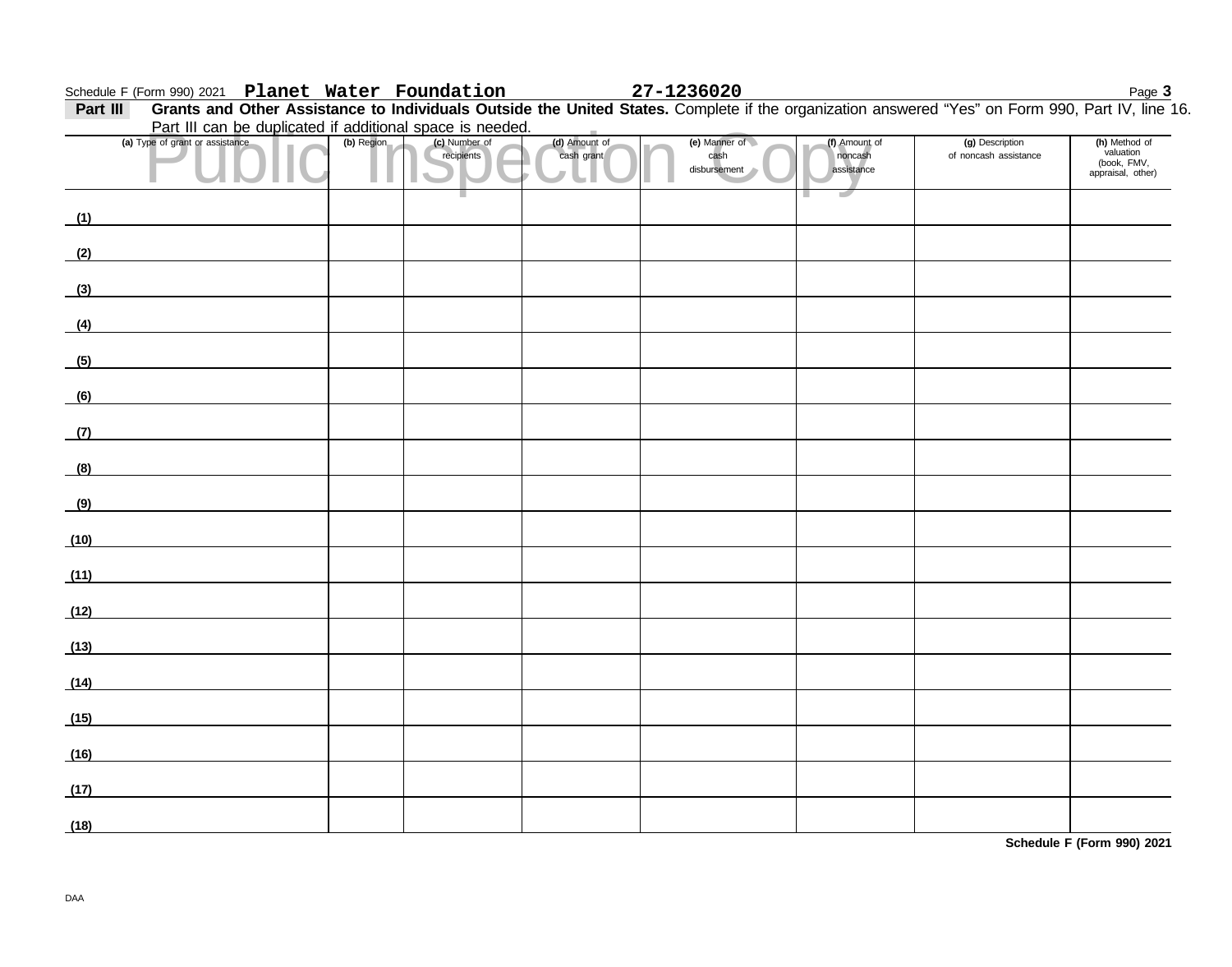### **Schedule F (Form 990) 2021 Planet Water Foundation 27-1236020** Page 3

Part III Grants and Other Assistance to Individuals Outside the United States. Complete if the organization answered "Yes" on Form 990, Part IV, line 16. Part III can be duplicated if additional space is needed.

|      | Part in can be duplicated if additional space is needed.                                                             |            |                             |                             |                                       |                                        |                                          |                                                                |
|------|----------------------------------------------------------------------------------------------------------------------|------------|-----------------------------|-----------------------------|---------------------------------------|----------------------------------------|------------------------------------------|----------------------------------------------------------------|
|      | (a) Type of grant or assistance                                                                                      | (b) Region | (c) Number of<br>recipients | (d) Amount of<br>cash grant | (e) Manner of<br>cash<br>disbursement | (f) Amount of<br>noncash<br>assistance | (g) Description<br>of noncash assistance | (h) Method of<br>valuation<br>(book, FMV,<br>appraisal, other) |
| (1)  |                                                                                                                      |            |                             |                             |                                       |                                        |                                          |                                                                |
| (2)  | <u> 1980 - Andrea Station Barbara, amerikan personal (h. 1980).</u>                                                  |            |                             |                             |                                       |                                        |                                          |                                                                |
| (3)  |                                                                                                                      |            |                             |                             |                                       |                                        |                                          |                                                                |
| (4)  |                                                                                                                      |            |                             |                             |                                       |                                        |                                          |                                                                |
| (5)  |                                                                                                                      |            |                             |                             |                                       |                                        |                                          |                                                                |
| (6)  |                                                                                                                      |            |                             |                             |                                       |                                        |                                          |                                                                |
| (7)  | <u> 1990 - Jan Barbara Barbara, manazarta da kasas da kasas da kasas da kasas da kasas da kasas da kasas da kasa</u> |            |                             |                             |                                       |                                        |                                          |                                                                |
| (8)  | and the control of the control of the                                                                                |            |                             |                             |                                       |                                        |                                          |                                                                |
| (9)  |                                                                                                                      |            |                             |                             |                                       |                                        |                                          |                                                                |
| (10) | <u> 1989 - John Harry Harry Harry Harry Harry Harry Harry Harry Harry Harry Harry Harry Harry Harry Harry Harry</u>  |            |                             |                             |                                       |                                        |                                          |                                                                |
| (11) |                                                                                                                      |            |                             |                             |                                       |                                        |                                          |                                                                |
|      | (12)                                                                                                                 |            |                             |                             |                                       |                                        |                                          |                                                                |
|      | (13)                                                                                                                 |            |                             |                             |                                       |                                        |                                          |                                                                |
| (14) | <u> 1980 - Jan Barbara Barbara, prima popular popular popular popular popular popular popular popular popular po</u> |            |                             |                             |                                       |                                        |                                          |                                                                |
| (15) |                                                                                                                      |            |                             |                             |                                       |                                        |                                          |                                                                |
| (16) |                                                                                                                      |            |                             |                             |                                       |                                        |                                          |                                                                |
| (17) |                                                                                                                      |            |                             |                             |                                       |                                        |                                          |                                                                |
| (18) |                                                                                                                      |            |                             |                             |                                       |                                        |                                          |                                                                |

**Schedule F (Form 990) 2021**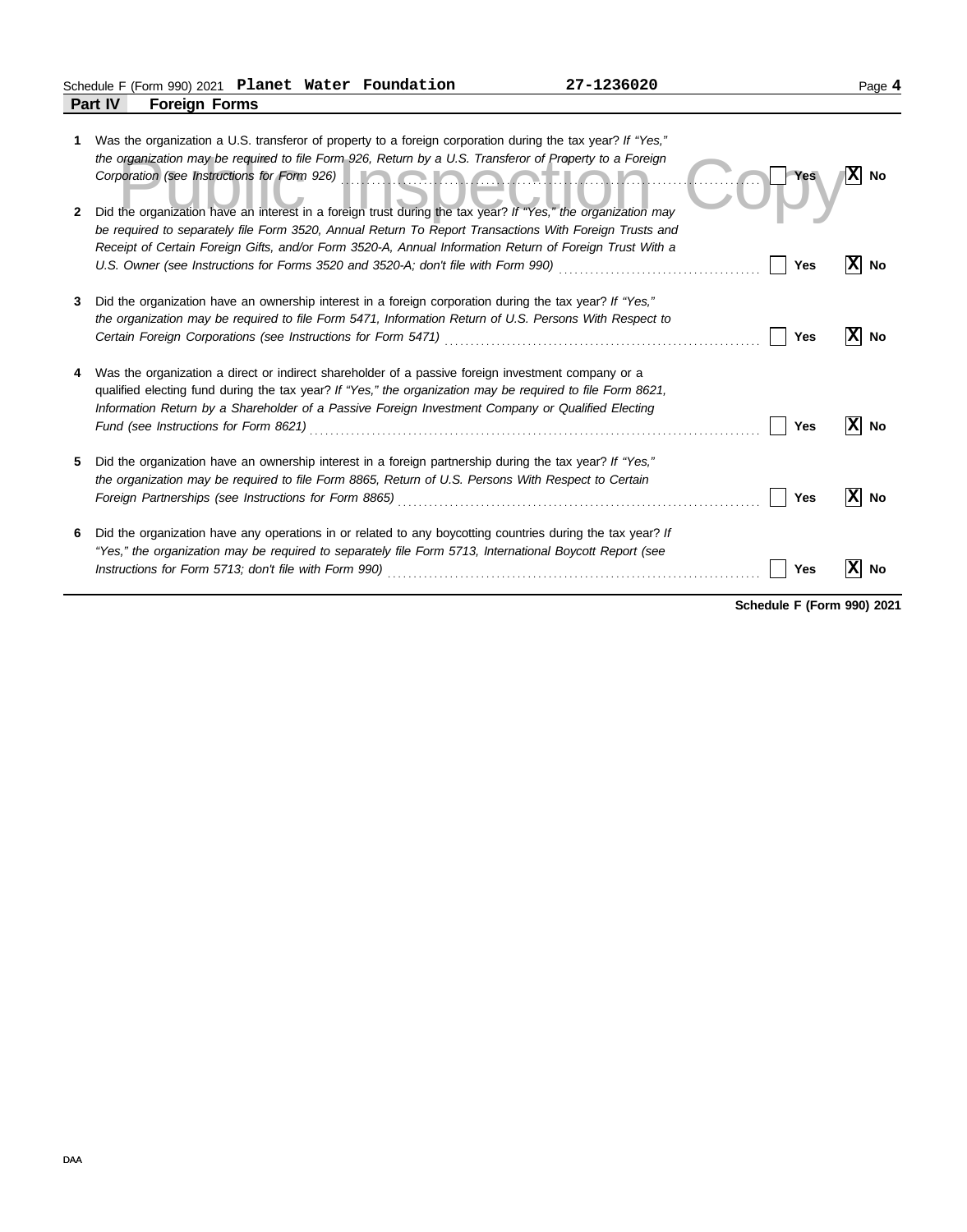| 2 | Was the organization a U.S. transferor of property to a foreign corporation during the tax year? If "Yes,"<br>the organization may be required to file Form 926, Return by a U.S. Transferor of Property to a Foreign<br>Corporation (see Instructions for Form 926) <b>Alternative Corporation Control of Corporation</b><br>Did the organization have an interest in a foreign trust during the tax year? If "Yes," the organization may<br>be required to separately file Form 3520, Annual Return To Report Transactions With Foreign Trusts and | <b>Yes</b> | $ X $ No  |
|---|------------------------------------------------------------------------------------------------------------------------------------------------------------------------------------------------------------------------------------------------------------------------------------------------------------------------------------------------------------------------------------------------------------------------------------------------------------------------------------------------------------------------------------------------------|------------|-----------|
|   | Receipt of Certain Foreign Gifts, and/or Form 3520-A, Annual Information Return of Foreign Trust With a                                                                                                                                                                                                                                                                                                                                                                                                                                              | Yes        | ΙXΙ<br>No |
| 3 | Did the organization have an ownership interest in a foreign corporation during the tax year? If "Yes,"<br>the organization may be required to file Form 5471, Information Return of U.S. Persons With Respect to                                                                                                                                                                                                                                                                                                                                    | Yes        | No        |
|   | Was the organization a direct or indirect shareholder of a passive foreign investment company or a<br>qualified electing fund during the tax year? If "Yes," the organization may be required to file Form 8621,<br>Information Return by a Shareholder of a Passive Foreign Investment Company or Qualified Electing<br>Fund (see Instructions for Form 8621)                                                                                                                                                                                       | Yes        | ΙXΙ<br>No |
| 5 | Did the organization have an ownership interest in a foreign partnership during the tax year? If "Yes,"<br>the organization may be required to file Form 8865, Return of U.S. Persons With Respect to Certain<br>Foreign Partnerships (see Instructions for Form 8865) [[20] Case Conservation Conservation Conservation Conservation Conservation Conservation Conservation Conservation Conservation Conservation Conservation Conservation C                                                                                                      | Yes        | No        |
| 6 | Did the organization have any operations in or related to any boycotting countries during the tax year? If<br>"Yes," the organization may be required to separately file Form 5713, International Boycott Report (see<br>Instructions for Form 5713; don't file with Form 990) <i>[[[[[[[[[[[[[[[[[[[[[[[[[]]]]]</i> ]]                                                                                                                                                                                                                              | Yes        | No        |

**Schedule F (Form 990) 2021**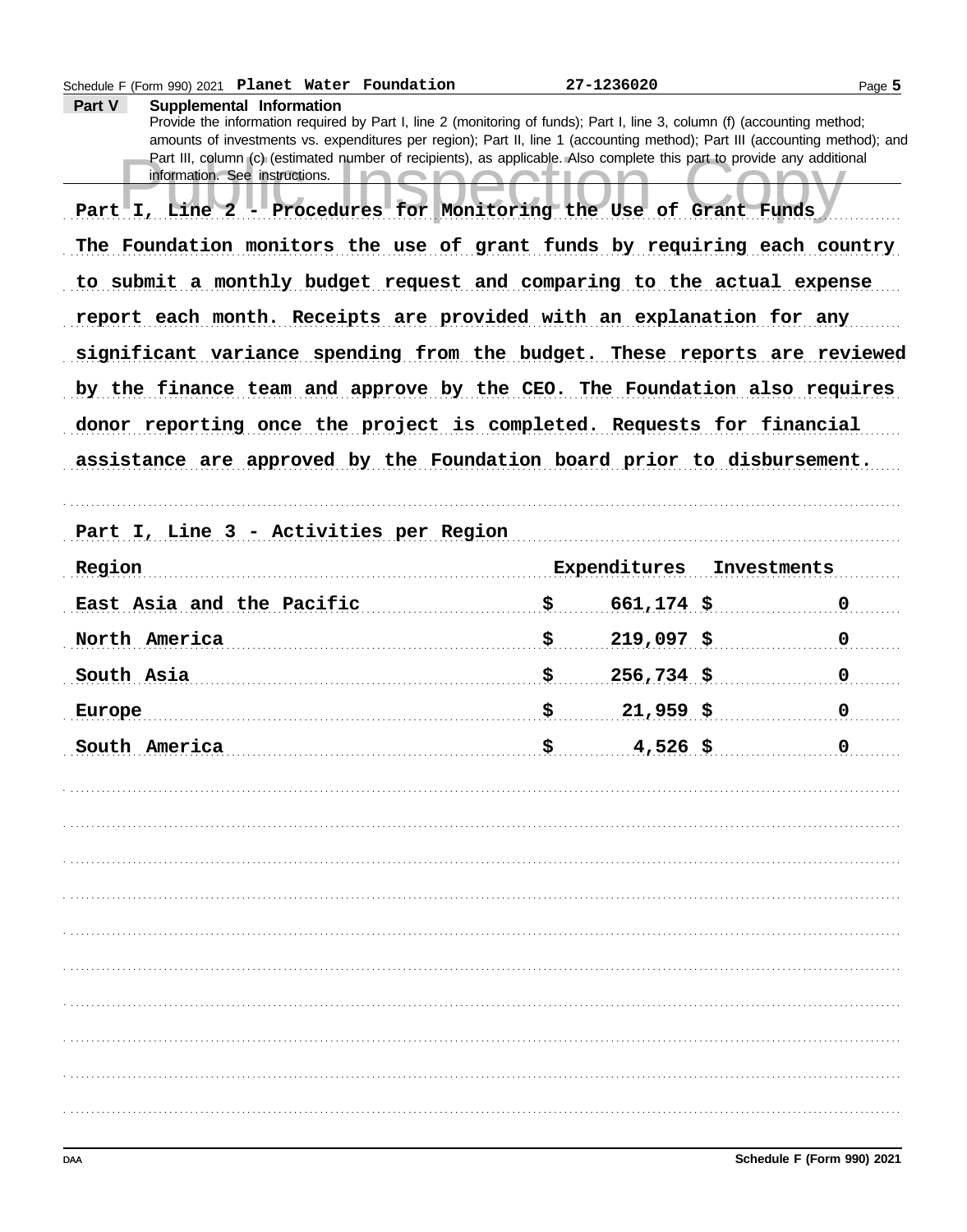| Schedule F (Form 990) 2021 Planet Water Foundation                                                                                                                                                                                                                                                                                                                                                                                                         | 27-1236020         | Page 5      |
|------------------------------------------------------------------------------------------------------------------------------------------------------------------------------------------------------------------------------------------------------------------------------------------------------------------------------------------------------------------------------------------------------------------------------------------------------------|--------------------|-------------|
| Part V<br>Supplemental Information<br>Provide the information required by Part I, line 2 (monitoring of funds); Part I, line 3, column (f) (accounting method;<br>amounts of investments vs. expenditures per region); Part II, line 1 (accounting method); Part III (accounting method); and<br>Part III, column (c) (estimated number of recipients), as applicable. Also complete this part to provide any additional<br>information. See instructions. |                    |             |
| Part I, Line 2 - Procedures for Monitoring the Use of Grant Funds                                                                                                                                                                                                                                                                                                                                                                                          |                    |             |
| The Foundation monitors the use of grant funds by requiring each country                                                                                                                                                                                                                                                                                                                                                                                   |                    |             |
| to submit a monthly budget request and comparing to the actual expense                                                                                                                                                                                                                                                                                                                                                                                     |                    |             |
| report each month. Receipts are provided with an explanation for any                                                                                                                                                                                                                                                                                                                                                                                       |                    |             |
| significant variance spending from the budget. These reports are reviewed                                                                                                                                                                                                                                                                                                                                                                                  |                    |             |
| by the finance team and approve by the CEO. The Foundation also requires                                                                                                                                                                                                                                                                                                                                                                                   |                    |             |
| donor reporting once the project is completed. Requests for financial                                                                                                                                                                                                                                                                                                                                                                                      |                    |             |
| assistance are approved by the Foundation board prior to disbursement.                                                                                                                                                                                                                                                                                                                                                                                     |                    |             |
|                                                                                                                                                                                                                                                                                                                                                                                                                                                            |                    |             |
| Part I, Line 3 - Activities per Region                                                                                                                                                                                                                                                                                                                                                                                                                     |                    |             |
| Region                                                                                                                                                                                                                                                                                                                                                                                                                                                     | Expenditures       | Investments |
| East Asia and the Pacific                                                                                                                                                                                                                                                                                                                                                                                                                                  | \$<br>$661,174$ \$ | $\mathbf 0$ |
| North America                                                                                                                                                                                                                                                                                                                                                                                                                                              | \$<br>$219,097$ \$ | $\mathbf 0$ |
| South Asia                                                                                                                                                                                                                                                                                                                                                                                                                                                 | \$<br>$256,734$ \$ | $\mathbf 0$ |
| Europe                                                                                                                                                                                                                                                                                                                                                                                                                                                     | \$<br>$21,959$ \$  | 0           |
| South America                                                                                                                                                                                                                                                                                                                                                                                                                                              | $4,526$ \$         | 0           |
|                                                                                                                                                                                                                                                                                                                                                                                                                                                            |                    |             |
|                                                                                                                                                                                                                                                                                                                                                                                                                                                            |                    |             |
|                                                                                                                                                                                                                                                                                                                                                                                                                                                            |                    |             |
|                                                                                                                                                                                                                                                                                                                                                                                                                                                            |                    |             |
|                                                                                                                                                                                                                                                                                                                                                                                                                                                            |                    |             |
|                                                                                                                                                                                                                                                                                                                                                                                                                                                            |                    |             |
|                                                                                                                                                                                                                                                                                                                                                                                                                                                            |                    |             |
|                                                                                                                                                                                                                                                                                                                                                                                                                                                            |                    |             |
|                                                                                                                                                                                                                                                                                                                                                                                                                                                            |                    |             |
|                                                                                                                                                                                                                                                                                                                                                                                                                                                            |                    |             |
|                                                                                                                                                                                                                                                                                                                                                                                                                                                            |                    |             |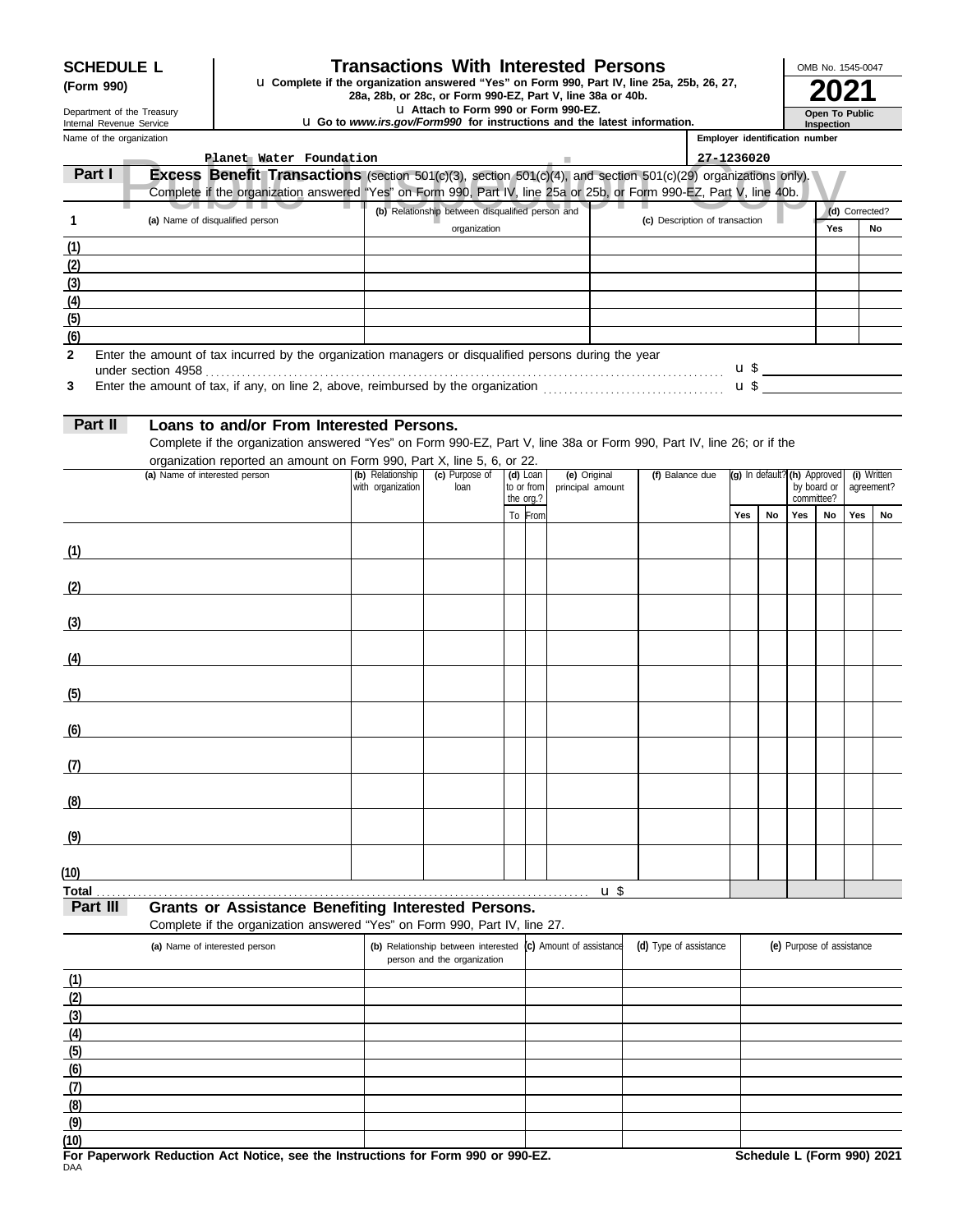# **SCHEDULE L Transactions With Interested Persons**

**(Form 990) a 28a, 28b, or 28c, or Form 990-EZ, Part V, line 25a, 25b, 26, 27, <b>2021**<br>28a, 28b, or 28c, or Form 990-EZ, Part V, line 38a or 40b. **2021** 

u **Attach to Form 990 or Form 990-EZ.**

| Department of the Treasury<br>Internal Revenue Service |                                                                            | La Attach to Form 990 or Form 990-EZ.<br><b>u</b> Go to <i>www.irs.gov/Form990</i> for instructions and the latest information.                                                                                                               |                                       |                                                  |                          |                                  |                 |                        |                                |            | Open To Public<br>Inspection   |                                             |             |                |                           |  |
|--------------------------------------------------------|----------------------------------------------------------------------------|-----------------------------------------------------------------------------------------------------------------------------------------------------------------------------------------------------------------------------------------------|---------------------------------------|--------------------------------------------------|--------------------------|----------------------------------|-----------------|------------------------|--------------------------------|------------|--------------------------------|---------------------------------------------|-------------|----------------|---------------------------|--|
| Name of the organization                               |                                                                            |                                                                                                                                                                                                                                               |                                       |                                                  |                          |                                  |                 |                        |                                |            | Employer identification number |                                             |             |                |                           |  |
|                                                        |                                                                            | Planet Water Foundation                                                                                                                                                                                                                       |                                       |                                                  |                          |                                  |                 |                        |                                | 27-1236020 |                                |                                             |             |                |                           |  |
| Part I                                                 |                                                                            | <b>Excess Benefit Transactions</b> (section 501(c)(3), section 501(c)(4), and section 501(c)(29) organizations only).<br>Complete if the organization answered "Yes" on Form 990, Part IV, line 25a or 25b, or Form 990-EZ, Part V, line 40b. |                                       |                                                  |                          |                                  |                 |                        |                                |            |                                |                                             |             |                |                           |  |
| 1                                                      |                                                                            | (a) Name of disqualified person                                                                                                                                                                                                               |                                       | (b) Relationship between disqualified person and |                          |                                  |                 |                        | (c) Description of transaction |            |                                |                                             |             | (d) Corrected? |                           |  |
|                                                        |                                                                            |                                                                                                                                                                                                                                               |                                       | organization                                     |                          |                                  |                 |                        |                                |            |                                |                                             | Yes         |                | No                        |  |
| (1)                                                    |                                                                            |                                                                                                                                                                                                                                               |                                       |                                                  |                          |                                  |                 |                        |                                |            |                                |                                             |             |                |                           |  |
| (2)<br>(3)                                             |                                                                            |                                                                                                                                                                                                                                               |                                       |                                                  |                          |                                  |                 |                        |                                |            |                                |                                             |             |                |                           |  |
| (4)                                                    |                                                                            |                                                                                                                                                                                                                                               |                                       |                                                  |                          |                                  |                 |                        |                                |            |                                |                                             |             |                |                           |  |
| (5)                                                    |                                                                            |                                                                                                                                                                                                                                               |                                       |                                                  |                          |                                  |                 |                        |                                |            |                                |                                             |             |                |                           |  |
| (6)                                                    |                                                                            |                                                                                                                                                                                                                                               |                                       |                                                  |                          |                                  |                 |                        |                                |            |                                |                                             |             |                |                           |  |
| $\mathbf{2}$                                           |                                                                            | Enter the amount of tax incurred by the organization managers or disqualified persons during the year                                                                                                                                         |                                       |                                                  |                          |                                  |                 |                        |                                |            |                                |                                             |             |                |                           |  |
| 3                                                      |                                                                            |                                                                                                                                                                                                                                               |                                       |                                                  |                          |                                  |                 |                        |                                |            |                                | $\mathbf{u} \mathbf{\$}$<br>$\mathbf{u}$ \$ |             |                |                           |  |
|                                                        |                                                                            |                                                                                                                                                                                                                                               |                                       |                                                  |                          |                                  |                 |                        |                                |            |                                |                                             |             |                |                           |  |
| Part II                                                |                                                                            | Loans to and/or From Interested Persons.                                                                                                                                                                                                      |                                       |                                                  |                          |                                  |                 |                        |                                |            |                                |                                             |             |                |                           |  |
|                                                        |                                                                            | Complete if the organization answered "Yes" on Form 990-EZ, Part V, line 38a or Form 990, Part IV, line 26; or if the                                                                                                                         |                                       |                                                  |                          |                                  |                 |                        |                                |            |                                |                                             |             |                |                           |  |
|                                                        |                                                                            | organization reported an amount on Form 990, Part X, line 5, 6, or 22.                                                                                                                                                                        |                                       |                                                  |                          |                                  |                 |                        |                                |            |                                |                                             |             |                |                           |  |
|                                                        | (a) Name of interested person                                              |                                                                                                                                                                                                                                               | (b) Relationship<br>with organization | (c) Purpose of<br>loan                           | $(d)$ Loan<br>to or from | (e) Original<br>principal amount |                 |                        | (f) Balance due                |            |                                | (g) In default? (h) Approved                | by board or |                | (i) Written<br>agreement? |  |
|                                                        |                                                                            |                                                                                                                                                                                                                                               |                                       |                                                  | the org.?                |                                  |                 |                        |                                |            |                                | Yes                                         | committee?  | Yes            |                           |  |
|                                                        |                                                                            |                                                                                                                                                                                                                                               |                                       |                                                  | To From                  |                                  |                 |                        |                                | Yes        | No                             |                                             | No          |                | No                        |  |
| (1)                                                    |                                                                            |                                                                                                                                                                                                                                               |                                       |                                                  |                          |                                  |                 |                        |                                |            |                                |                                             |             |                |                           |  |
|                                                        |                                                                            |                                                                                                                                                                                                                                               |                                       |                                                  |                          |                                  |                 |                        |                                |            |                                |                                             |             |                |                           |  |
| (2)                                                    |                                                                            | <u> 1980 - Jan James James Barbara, politik eta politik eta politik eta politik eta politik eta politik eta poli</u>                                                                                                                          |                                       |                                                  |                          |                                  |                 |                        |                                |            |                                |                                             |             |                |                           |  |
|                                                        |                                                                            |                                                                                                                                                                                                                                               |                                       |                                                  |                          |                                  |                 |                        |                                |            |                                |                                             |             |                |                           |  |
| (3)                                                    |                                                                            | <u> 1989 - Jan Stein Stein, fransk politik (f. 1918)</u>                                                                                                                                                                                      |                                       |                                                  |                          |                                  |                 |                        |                                |            |                                |                                             |             |                |                           |  |
|                                                        |                                                                            |                                                                                                                                                                                                                                               |                                       |                                                  |                          |                                  |                 |                        |                                |            |                                |                                             |             |                |                           |  |
| (4)                                                    |                                                                            | <u> 1989 - Jan Sterling Sterling van die Sterling van die Sterling van die Sterling van die Sterling van die Ste</u>                                                                                                                          |                                       |                                                  |                          |                                  |                 |                        |                                |            |                                |                                             |             |                |                           |  |
| (5)                                                    | <u> 1989 - Johann Harry Barn, mars ar breist fan de Fryske kommunent (</u> |                                                                                                                                                                                                                                               |                                       |                                                  |                          |                                  |                 |                        |                                |            |                                |                                             |             |                |                           |  |
|                                                        |                                                                            |                                                                                                                                                                                                                                               |                                       |                                                  |                          |                                  |                 |                        |                                |            |                                |                                             |             |                |                           |  |
| (6)                                                    |                                                                            |                                                                                                                                                                                                                                               |                                       |                                                  |                          |                                  |                 |                        |                                |            |                                |                                             |             |                |                           |  |
|                                                        |                                                                            |                                                                                                                                                                                                                                               |                                       |                                                  |                          |                                  |                 |                        |                                |            |                                |                                             |             |                |                           |  |
| (7)                                                    |                                                                            |                                                                                                                                                                                                                                               |                                       |                                                  |                          |                                  |                 |                        |                                |            |                                |                                             |             |                |                           |  |
| (8)                                                    |                                                                            |                                                                                                                                                                                                                                               |                                       |                                                  |                          |                                  |                 |                        |                                |            |                                |                                             |             |                |                           |  |
|                                                        |                                                                            |                                                                                                                                                                                                                                               |                                       |                                                  |                          |                                  |                 |                        |                                |            |                                |                                             |             |                |                           |  |
| (9)                                                    |                                                                            |                                                                                                                                                                                                                                               |                                       |                                                  |                          |                                  |                 |                        |                                |            |                                |                                             |             |                |                           |  |
|                                                        |                                                                            |                                                                                                                                                                                                                                               |                                       |                                                  |                          |                                  |                 |                        |                                |            |                                |                                             |             |                |                           |  |
| (10)                                                   |                                                                            |                                                                                                                                                                                                                                               |                                       |                                                  |                          |                                  |                 |                        |                                |            |                                |                                             |             |                |                           |  |
| Total<br>Part III                                      |                                                                            | <b>Grants or Assistance Benefiting Interested Persons.</b>                                                                                                                                                                                    |                                       |                                                  |                          |                                  | $\mathbf{u}$ \$ |                        |                                |            |                                |                                             |             |                |                           |  |
|                                                        |                                                                            | Complete if the organization answered "Yes" on Form 990, Part IV, line 27.                                                                                                                                                                    |                                       |                                                  |                          |                                  |                 |                        |                                |            |                                |                                             |             |                |                           |  |
|                                                        |                                                                            | (a) Name of interested person                                                                                                                                                                                                                 |                                       | (b) Relationship between interested              |                          | (c) Amount of assistance         |                 | (d) Type of assistance |                                |            |                                | (e) Purpose of assistance                   |             |                |                           |  |
|                                                        |                                                                            |                                                                                                                                                                                                                                               |                                       | person and the organization                      |                          |                                  |                 |                        |                                |            |                                |                                             |             |                |                           |  |
| (1)                                                    |                                                                            |                                                                                                                                                                                                                                               |                                       |                                                  |                          |                                  |                 |                        |                                |            |                                |                                             |             |                |                           |  |
| (2)                                                    |                                                                            |                                                                                                                                                                                                                                               |                                       |                                                  |                          |                                  |                 |                        |                                |            |                                |                                             |             |                |                           |  |
| (3)                                                    |                                                                            |                                                                                                                                                                                                                                               |                                       |                                                  |                          |                                  |                 |                        |                                |            |                                |                                             |             |                |                           |  |
| (4)<br>(5)                                             |                                                                            |                                                                                                                                                                                                                                               |                                       |                                                  |                          |                                  |                 |                        |                                |            |                                |                                             |             |                |                           |  |
| (6)                                                    |                                                                            |                                                                                                                                                                                                                                               |                                       |                                                  |                          |                                  |                 |                        |                                |            |                                |                                             |             |                |                           |  |
| (7)                                                    |                                                                            |                                                                                                                                                                                                                                               |                                       |                                                  |                          |                                  |                 |                        |                                |            |                                |                                             |             |                |                           |  |
| (8)                                                    |                                                                            |                                                                                                                                                                                                                                               |                                       |                                                  |                          |                                  |                 |                        |                                |            |                                |                                             |             |                |                           |  |
| (9)                                                    |                                                                            |                                                                                                                                                                                                                                               |                                       |                                                  |                          |                                  |                 |                        |                                |            |                                |                                             |             |                |                           |  |
| (10)                                                   |                                                                            |                                                                                                                                                                                                                                               |                                       |                                                  |                          |                                  |                 |                        |                                |            |                                |                                             |             |                |                           |  |

OMB No. 1545-0047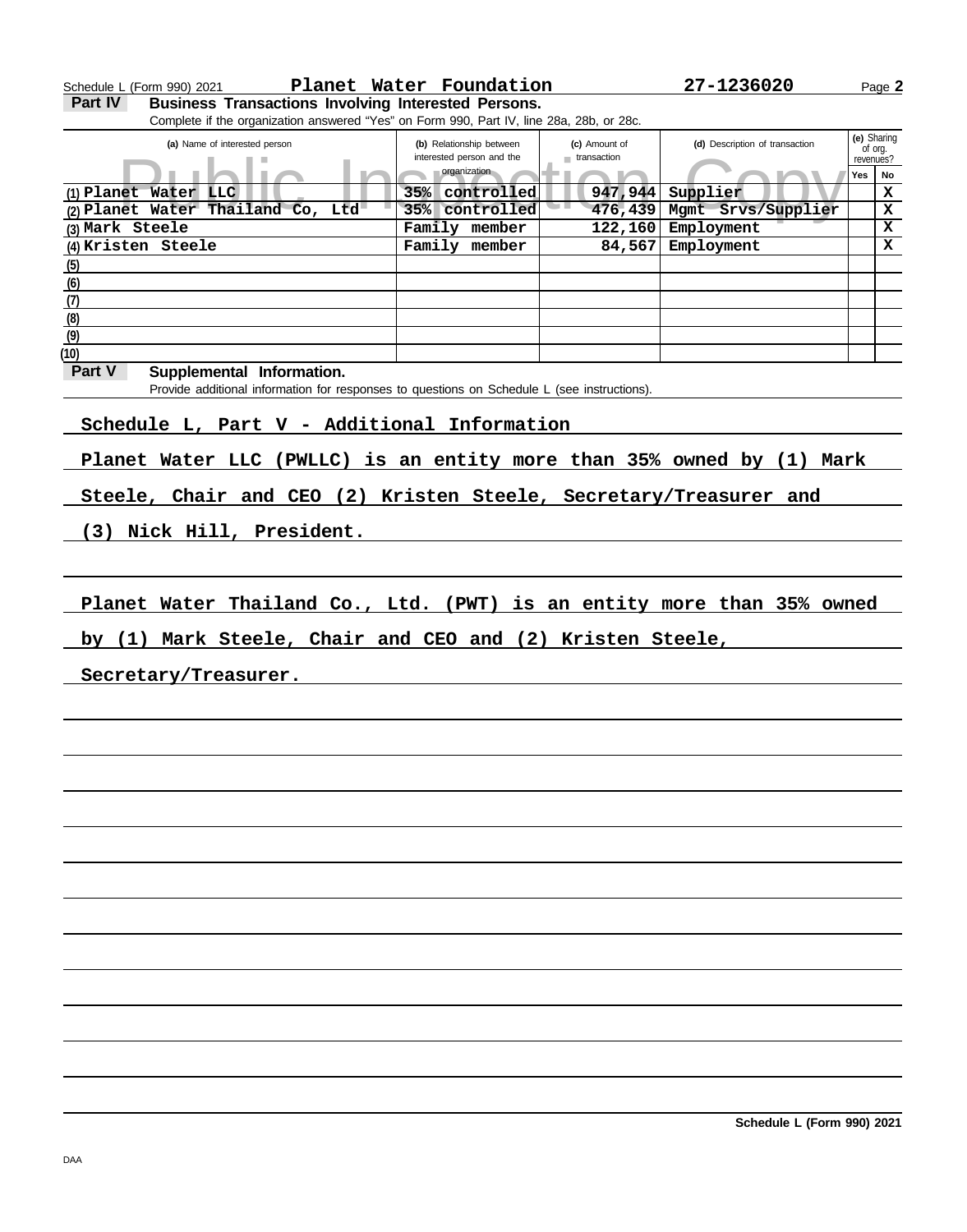| Schedule L (Form 990) 2021                                                                  | Planet Water Foundation                               |                              | 27-1236020                     | Page 2               |
|---------------------------------------------------------------------------------------------|-------------------------------------------------------|------------------------------|--------------------------------|----------------------|
| <b>Business Transactions Involving Interested Persons.</b><br>Part IV                       |                                                       |                              |                                |                      |
| Complete if the organization answered "Yes" on Form 990, Part IV, line 28a, 28b, or 28c.    |                                                       |                              |                                |                      |
|                                                                                             |                                                       |                              |                                | (e) Sharing          |
| (a) Name of interested person                                                               | (b) Relationship between<br>interested person and the | (c) Amount of<br>transaction | (d) Description of transaction | of org.<br>revenues? |
|                                                                                             | organization                                          |                              |                                | Yes<br>No            |
|                                                                                             |                                                       |                              |                                |                      |
| (1) Planet Water LLC                                                                        | 35% controlled                                        | 947,944                      | Supplier                       | $\mathbf x$          |
| (2) Planet Water Thailand Co, Ltd                                                           | 35% controlled                                        | 476,439                      | Mgmt Srvs/Supplier             | X                    |
| (3) Mark Steele                                                                             | Family member                                         | 122, 160                     | Employment                     | X                    |
| $(4)$ Kristen Steele                                                                        | Family member                                         | 84,567                       | Employment                     | x                    |
| (5)                                                                                         |                                                       |                              |                                |                      |
| (6)                                                                                         |                                                       |                              |                                |                      |
| (7)                                                                                         |                                                       |                              |                                |                      |
| (8)                                                                                         |                                                       |                              |                                |                      |
| (9)                                                                                         |                                                       |                              |                                |                      |
| (10)                                                                                        |                                                       |                              |                                |                      |
| Part V                                                                                      |                                                       |                              |                                |                      |
| Supplemental Information.                                                                   |                                                       |                              |                                |                      |
| Provide additional information for responses to questions on Schedule L (see instructions). |                                                       |                              |                                |                      |
|                                                                                             |                                                       |                              |                                |                      |
| Schedule L, Part V - Additional Information                                                 |                                                       |                              |                                |                      |
|                                                                                             |                                                       |                              |                                |                      |
| Planet Water LLC (PWLLC) is an entity more than 35% owned by (1) Mark                       |                                                       |                              |                                |                      |
|                                                                                             |                                                       |                              |                                |                      |
| Steele, Chair and CEO (2) Kristen Steele, Secretary/Treasurer and                           |                                                       |                              |                                |                      |
|                                                                                             |                                                       |                              |                                |                      |
|                                                                                             |                                                       |                              |                                |                      |
| (3) Nick Hill, President.                                                                   |                                                       |                              |                                |                      |
|                                                                                             |                                                       |                              |                                |                      |
|                                                                                             |                                                       |                              |                                |                      |
|                                                                                             |                                                       |                              |                                |                      |
| Planet Water Thailand Co., Ltd. (PWT) is an entity more than 35% owned                      |                                                       |                              |                                |                      |
|                                                                                             |                                                       |                              |                                |                      |
| by (1) Mark Steele, Chair and CEO and (2) Kristen Steele,                                   |                                                       |                              |                                |                      |
|                                                                                             |                                                       |                              |                                |                      |
| Secretary/Treasurer.                                                                        |                                                       |                              |                                |                      |
|                                                                                             |                                                       |                              |                                |                      |
|                                                                                             |                                                       |                              |                                |                      |
|                                                                                             |                                                       |                              |                                |                      |
|                                                                                             |                                                       |                              |                                |                      |
|                                                                                             |                                                       |                              |                                |                      |
|                                                                                             |                                                       |                              |                                |                      |
|                                                                                             |                                                       |                              |                                |                      |
|                                                                                             |                                                       |                              |                                |                      |
|                                                                                             |                                                       |                              |                                |                      |
|                                                                                             |                                                       |                              |                                |                      |
|                                                                                             |                                                       |                              |                                |                      |
|                                                                                             |                                                       |                              |                                |                      |
|                                                                                             |                                                       |                              |                                |                      |
|                                                                                             |                                                       |                              |                                |                      |
|                                                                                             |                                                       |                              |                                |                      |
|                                                                                             |                                                       |                              |                                |                      |
|                                                                                             |                                                       |                              |                                |                      |
|                                                                                             |                                                       |                              |                                |                      |
|                                                                                             |                                                       |                              |                                |                      |
|                                                                                             |                                                       |                              |                                |                      |
|                                                                                             |                                                       |                              |                                |                      |
|                                                                                             |                                                       |                              |                                |                      |
|                                                                                             |                                                       |                              |                                |                      |
|                                                                                             |                                                       |                              |                                |                      |
|                                                                                             |                                                       |                              |                                |                      |
|                                                                                             |                                                       |                              |                                |                      |
|                                                                                             |                                                       |                              |                                |                      |
|                                                                                             |                                                       |                              | Schedule L (Form 990) 2021     |                      |
|                                                                                             |                                                       |                              |                                |                      |
|                                                                                             |                                                       |                              |                                |                      |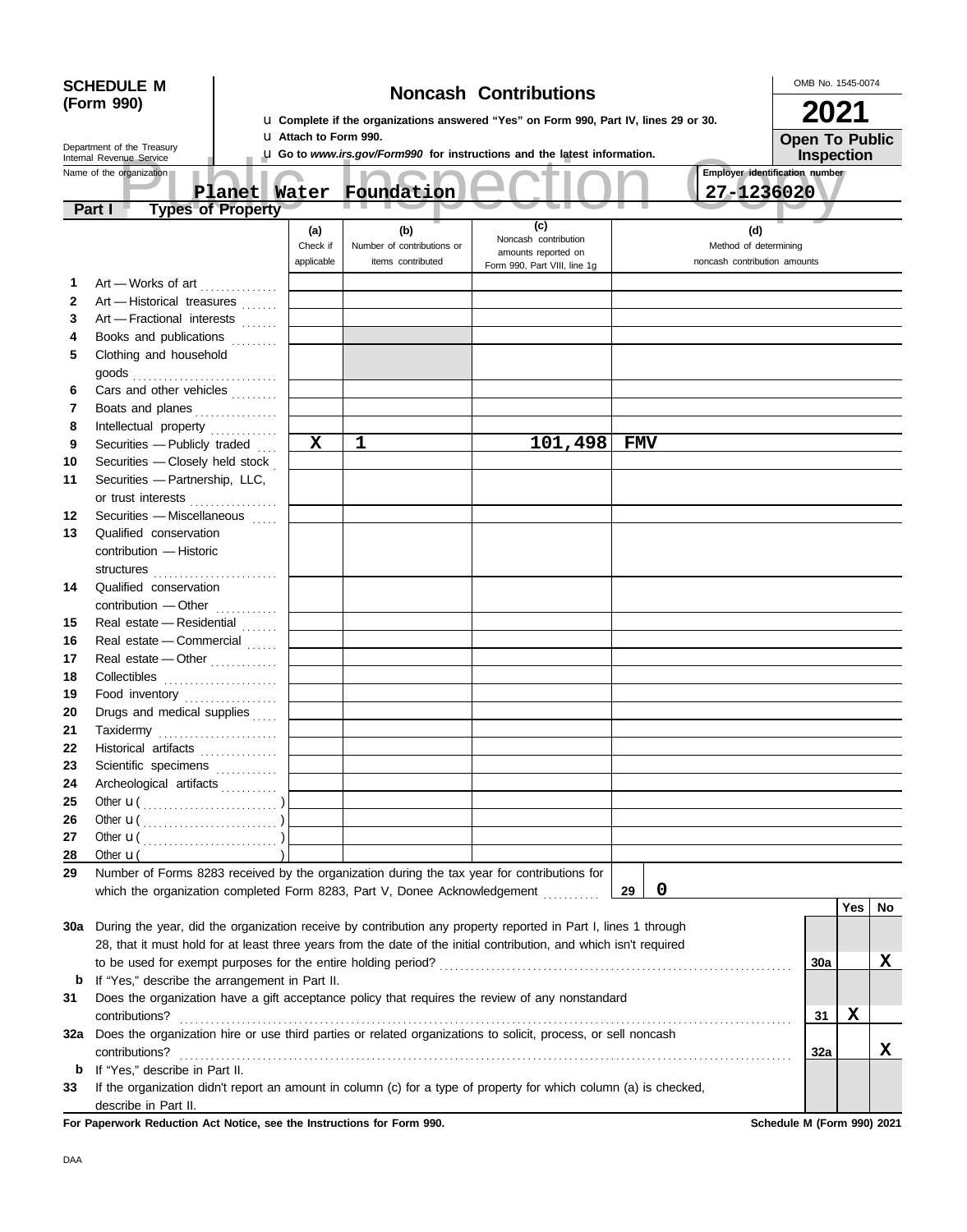| <b>SCHEDULE M</b><br><b>Noncash Contributions</b> |                    |                                                      |  |                                                                                                                                                                                                                                        |  |                                                |                                                                                                                    | OMB No. 1545-0074                           |         |            |             |  |                                |  |            |                       |   |
|---------------------------------------------------|--------------------|------------------------------------------------------|--|----------------------------------------------------------------------------------------------------------------------------------------------------------------------------------------------------------------------------------------|--|------------------------------------------------|--------------------------------------------------------------------------------------------------------------------|---------------------------------------------|---------|------------|-------------|--|--------------------------------|--|------------|-----------------------|---|
|                                                   | (Form 990)         |                                                      |  |                                                                                                                                                                                                                                        |  |                                                |                                                                                                                    |                                             |         | 2021       |             |  |                                |  |            |                       |   |
|                                                   |                    |                                                      |  |                                                                                                                                                                                                                                        |  |                                                | La Complete if the organizations answered "Yes" on Form 990, Part IV, lines 29 or 30.                              |                                             |         |            |             |  |                                |  |            |                       |   |
|                                                   |                    | Department of the Treasury                           |  |                                                                                                                                                                                                                                        |  | <b>u</b> Attach to Form 990.                   | <b>LI Go to</b> www.irs.gov/Form990 for instructions and the latest information.                                   |                                             |         |            |             |  |                                |  |            | <b>Open To Public</b> |   |
|                                                   |                    | Internal Revenue Service<br>Name of the organization |  |                                                                                                                                                                                                                                        |  |                                                |                                                                                                                    |                                             |         |            |             |  | Employer identification number |  |            | Inspection            |   |
|                                                   |                    |                                                      |  |                                                                                                                                                                                                                                        |  |                                                | Planet Water Foundation                                                                                            |                                             |         |            |             |  | 27-1236020                     |  |            |                       |   |
|                                                   | Part I             |                                                      |  | <b>Types of Property</b>                                                                                                                                                                                                               |  |                                                |                                                                                                                    |                                             |         |            |             |  |                                |  |            |                       |   |
|                                                   |                    |                                                      |  |                                                                                                                                                                                                                                        |  | (a)                                            | (b)                                                                                                                | (c)                                         |         |            |             |  | (d)                            |  |            |                       |   |
|                                                   |                    |                                                      |  |                                                                                                                                                                                                                                        |  | Check if                                       | Number of contributions or                                                                                         | Noncash contribution<br>amounts reported on |         |            |             |  | Method of determining          |  |            |                       |   |
|                                                   |                    |                                                      |  |                                                                                                                                                                                                                                        |  | applicable                                     | items contributed                                                                                                  | Form 990, Part VIII, line 1g                |         |            |             |  | noncash contribution amounts   |  |            |                       |   |
| 1                                                 |                    |                                                      |  | Art - Works of art                                                                                                                                                                                                                     |  |                                                |                                                                                                                    |                                             |         |            |             |  |                                |  |            |                       |   |
| $\mathbf{2}$                                      |                    |                                                      |  | Art - Historical treasures                                                                                                                                                                                                             |  |                                                |                                                                                                                    |                                             |         |            |             |  |                                |  |            |                       |   |
| 3                                                 |                    |                                                      |  | Art - Fractional interests                                                                                                                                                                                                             |  |                                                |                                                                                                                    |                                             |         |            |             |  |                                |  |            |                       |   |
| 4                                                 |                    |                                                      |  | Books and publications                                                                                                                                                                                                                 |  |                                                |                                                                                                                    |                                             |         |            |             |  |                                |  |            |                       |   |
| 5                                                 |                    | Clothing and household                               |  |                                                                                                                                                                                                                                        |  |                                                |                                                                                                                    |                                             |         |            |             |  |                                |  |            |                       |   |
|                                                   |                    |                                                      |  | goods<br><i>compare in the set of the set of the set of the set of the set of the set of the set of the set of the set of the set of the set of the set of the set of the set of the set of the set of the set of the set of the s</i> |  |                                                |                                                                                                                    |                                             |         |            |             |  |                                |  |            |                       |   |
| 6<br>7                                            |                    |                                                      |  | Cars and other vehicles                                                                                                                                                                                                                |  |                                                |                                                                                                                    |                                             |         |            |             |  |                                |  |            |                       |   |
| 8                                                 |                    |                                                      |  | Boats and planes<br>Intellectual property                                                                                                                                                                                              |  |                                                |                                                                                                                    |                                             |         |            |             |  |                                |  |            |                       |   |
| 9                                                 |                    |                                                      |  | Securities $-$ Publicly traded $\ldots$                                                                                                                                                                                                |  | $\mathbf X$                                    | 1                                                                                                                  |                                             | 101,498 | <b>FMV</b> |             |  |                                |  |            |                       |   |
| 10                                                |                    |                                                      |  | Securities - Closely held stock                                                                                                                                                                                                        |  |                                                |                                                                                                                    |                                             |         |            |             |  |                                |  |            |                       |   |
| 11                                                |                    |                                                      |  | Securities - Partnership, LLC,                                                                                                                                                                                                         |  |                                                |                                                                                                                    |                                             |         |            |             |  |                                |  |            |                       |   |
|                                                   |                    |                                                      |  | or trust interests                                                                                                                                                                                                                     |  |                                                |                                                                                                                    |                                             |         |            |             |  |                                |  |            |                       |   |
| 12                                                |                    |                                                      |  | Securities - Miscellaneous                                                                                                                                                                                                             |  |                                                |                                                                                                                    |                                             |         |            |             |  |                                |  |            |                       |   |
| 13                                                |                    | Qualified conservation                               |  |                                                                                                                                                                                                                                        |  |                                                |                                                                                                                    |                                             |         |            |             |  |                                |  |            |                       |   |
|                                                   |                    | contribution - Historic                              |  |                                                                                                                                                                                                                                        |  |                                                |                                                                                                                    |                                             |         |            |             |  |                                |  |            |                       |   |
|                                                   |                    |                                                      |  |                                                                                                                                                                                                                                        |  |                                                |                                                                                                                    |                                             |         |            |             |  |                                |  |            |                       |   |
| 14                                                |                    | Qualified conservation                               |  |                                                                                                                                                                                                                                        |  |                                                |                                                                                                                    |                                             |         |            |             |  |                                |  |            |                       |   |
|                                                   |                    |                                                      |  | contribution - Other                                                                                                                                                                                                                   |  |                                                |                                                                                                                    |                                             |         |            |             |  |                                |  |            |                       |   |
| 15                                                |                    |                                                      |  | Real estate - Residential                                                                                                                                                                                                              |  |                                                |                                                                                                                    |                                             |         |            |             |  |                                |  |            |                       |   |
| 16                                                |                    |                                                      |  | Real estate - Commercial                                                                                                                                                                                                               |  |                                                |                                                                                                                    |                                             |         |            |             |  |                                |  |            |                       |   |
| 17                                                |                    |                                                      |  | Real estate - Other                                                                                                                                                                                                                    |  |                                                |                                                                                                                    |                                             |         |            |             |  |                                |  |            |                       |   |
| 18                                                |                    |                                                      |  |                                                                                                                                                                                                                                        |  |                                                |                                                                                                                    |                                             |         |            |             |  |                                |  |            |                       |   |
| 19                                                |                    |                                                      |  | Food inventory                                                                                                                                                                                                                         |  |                                                |                                                                                                                    |                                             |         |            |             |  |                                |  |            |                       |   |
| 20                                                |                    |                                                      |  | Drugs and medical supplies                                                                                                                                                                                                             |  |                                                |                                                                                                                    |                                             |         |            |             |  |                                |  |            |                       |   |
| 21                                                |                    |                                                      |  | Taxidermy                                                                                                                                                                                                                              |  |                                                |                                                                                                                    |                                             |         |            |             |  |                                |  |            |                       |   |
| 22<br>23                                          |                    |                                                      |  | Historical artifacts <b>Micropropriate</b>                                                                                                                                                                                             |  |                                                |                                                                                                                    |                                             |         |            |             |  |                                |  |            |                       |   |
| 24                                                |                    |                                                      |  | Scientific specimens<br>Archeological artifacts                                                                                                                                                                                        |  |                                                |                                                                                                                    |                                             |         |            |             |  |                                |  |            |                       |   |
| 25                                                |                    |                                                      |  |                                                                                                                                                                                                                                        |  |                                                |                                                                                                                    |                                             |         |            |             |  |                                |  |            |                       |   |
| 26                                                |                    |                                                      |  | Other $\mathbf{u}(\dots, \dots, \dots, \dots, \dots)$                                                                                                                                                                                  |  |                                                |                                                                                                                    |                                             |         |            |             |  |                                |  |            |                       |   |
| 27                                                |                    |                                                      |  |                                                                                                                                                                                                                                        |  |                                                |                                                                                                                    |                                             |         |            |             |  |                                |  |            |                       |   |
| 28                                                | Other $\mathbf{u}$ |                                                      |  |                                                                                                                                                                                                                                        |  |                                                |                                                                                                                    |                                             |         |            |             |  |                                |  |            |                       |   |
| 29                                                |                    |                                                      |  |                                                                                                                                                                                                                                        |  |                                                | Number of Forms 8283 received by the organization during the tax year for contributions for                        |                                             |         |            |             |  |                                |  |            |                       |   |
|                                                   |                    |                                                      |  |                                                                                                                                                                                                                                        |  |                                                | which the organization completed Form 8283, Part V, Donee Acknowledgement                                          |                                             |         | 29         | $\mathbf 0$ |  |                                |  |            |                       |   |
|                                                   |                    |                                                      |  |                                                                                                                                                                                                                                        |  |                                                |                                                                                                                    |                                             |         |            |             |  |                                |  |            | Yes   No              |   |
| 30a                                               |                    |                                                      |  |                                                                                                                                                                                                                                        |  |                                                | During the year, did the organization receive by contribution any property reported in Part I, lines 1 through     |                                             |         |            |             |  |                                |  |            |                       |   |
|                                                   |                    |                                                      |  |                                                                                                                                                                                                                                        |  |                                                | 28, that it must hold for at least three years from the date of the initial contribution, and which isn't required |                                             |         |            |             |  |                                |  |            |                       |   |
|                                                   |                    |                                                      |  |                                                                                                                                                                                                                                        |  |                                                | to be used for exempt purposes for the entire holding period?                                                      |                                             |         |            |             |  |                                |  | <b>30a</b> |                       | X |
| b                                                 |                    |                                                      |  |                                                                                                                                                                                                                                        |  | If "Yes," describe the arrangement in Part II. |                                                                                                                    |                                             |         |            |             |  |                                |  |            |                       |   |
| 31                                                |                    |                                                      |  |                                                                                                                                                                                                                                        |  |                                                | Does the organization have a gift acceptance policy that requires the review of any nonstandard                    |                                             |         |            |             |  |                                |  |            |                       |   |
|                                                   |                    | contributions?                                       |  |                                                                                                                                                                                                                                        |  |                                                |                                                                                                                    |                                             |         |            |             |  |                                |  | 31         | X                     |   |
| 32a                                               |                    |                                                      |  |                                                                                                                                                                                                                                        |  |                                                | Does the organization hire or use third parties or related organizations to solicit, process, or sell noncash      |                                             |         |            |             |  |                                |  |            |                       |   |
| $\mathbf b$                                       |                    | contributions?<br>If "Yes," describe in Part II.     |  |                                                                                                                                                                                                                                        |  |                                                |                                                                                                                    |                                             |         |            |             |  |                                |  | 32a        |                       | X |
| 33                                                |                    |                                                      |  |                                                                                                                                                                                                                                        |  |                                                | If the organization didn't report an amount in column (c) for a type of property for which column (a) is checked,  |                                             |         |            |             |  |                                |  |            |                       |   |
|                                                   |                    | describe in Part II.                                 |  |                                                                                                                                                                                                                                        |  |                                                |                                                                                                                    |                                             |         |            |             |  |                                |  |            |                       |   |

For Paperwork Reduction Act Notice, see the Instructions for Form 990. Schedule M (Form 990) 2021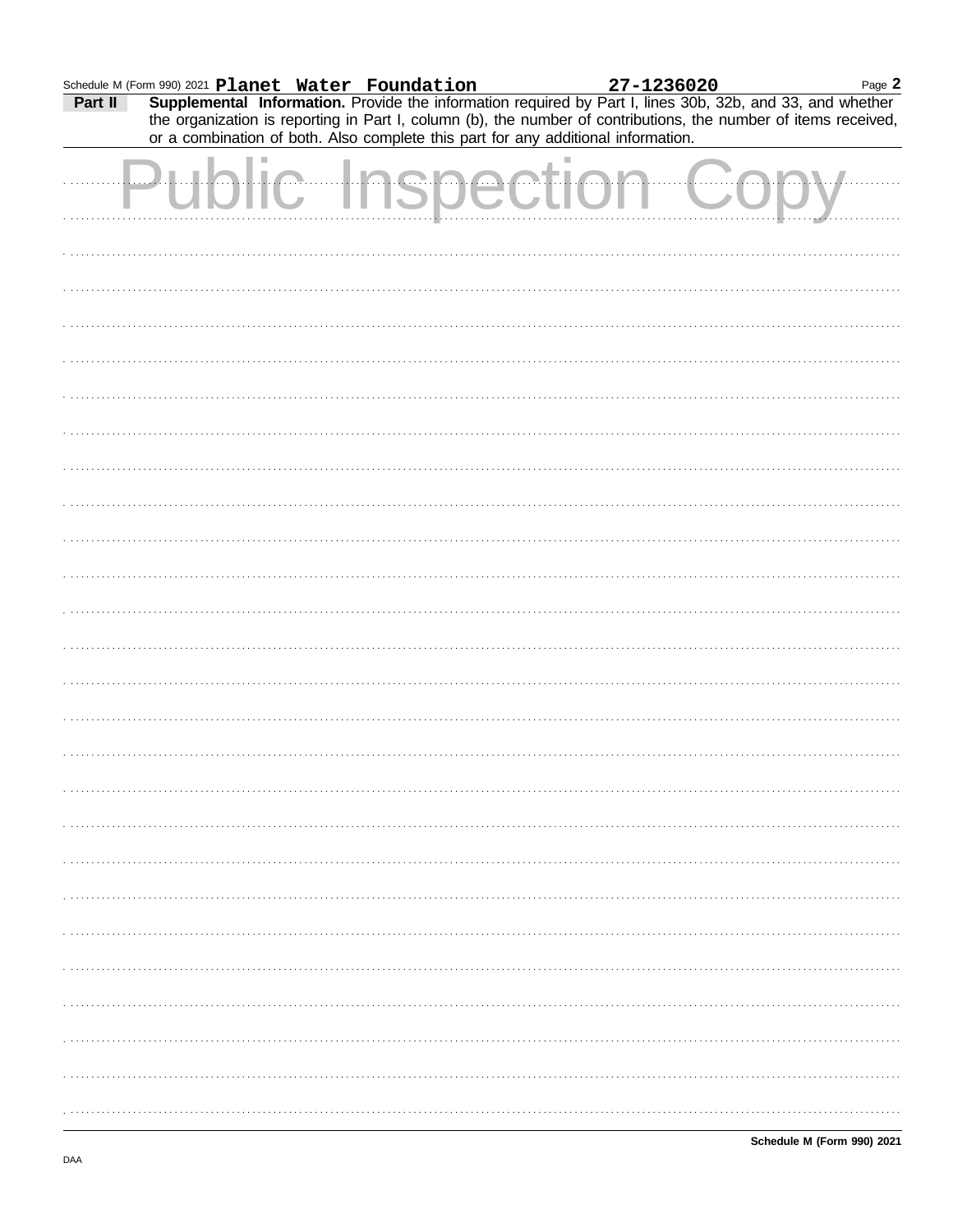|         | Schedule M (Form 990) 2021 Planet Water Foundation |  | 27-1236020                                                                                                       | Page $\mathbb{Z}$ |
|---------|----------------------------------------------------|--|------------------------------------------------------------------------------------------------------------------|-------------------|
| Part II |                                                    |  | <b>Supplemental Information.</b> Provide the information required by Part I, lines 30b, 32b, and 33, and whether |                   |

Page 2

| <u>. a.c. .</u> |  |  |  | the organization is reporting in Part I, column (b), the number of contributions, the number of items received,<br>or a combination of both. Also complete this part for any additional information. |
|-----------------|--|--|--|------------------------------------------------------------------------------------------------------------------------------------------------------------------------------------------------------|
|                 |  |  |  |                                                                                                                                                                                                      |
|                 |  |  |  |                                                                                                                                                                                                      |
|                 |  |  |  |                                                                                                                                                                                                      |
|                 |  |  |  |                                                                                                                                                                                                      |
|                 |  |  |  |                                                                                                                                                                                                      |
|                 |  |  |  |                                                                                                                                                                                                      |
|                 |  |  |  |                                                                                                                                                                                                      |
|                 |  |  |  |                                                                                                                                                                                                      |
|                 |  |  |  |                                                                                                                                                                                                      |
|                 |  |  |  |                                                                                                                                                                                                      |
|                 |  |  |  |                                                                                                                                                                                                      |
|                 |  |  |  |                                                                                                                                                                                                      |
|                 |  |  |  |                                                                                                                                                                                                      |
|                 |  |  |  |                                                                                                                                                                                                      |
|                 |  |  |  |                                                                                                                                                                                                      |
|                 |  |  |  |                                                                                                                                                                                                      |
|                 |  |  |  |                                                                                                                                                                                                      |
|                 |  |  |  |                                                                                                                                                                                                      |
|                 |  |  |  |                                                                                                                                                                                                      |
|                 |  |  |  |                                                                                                                                                                                                      |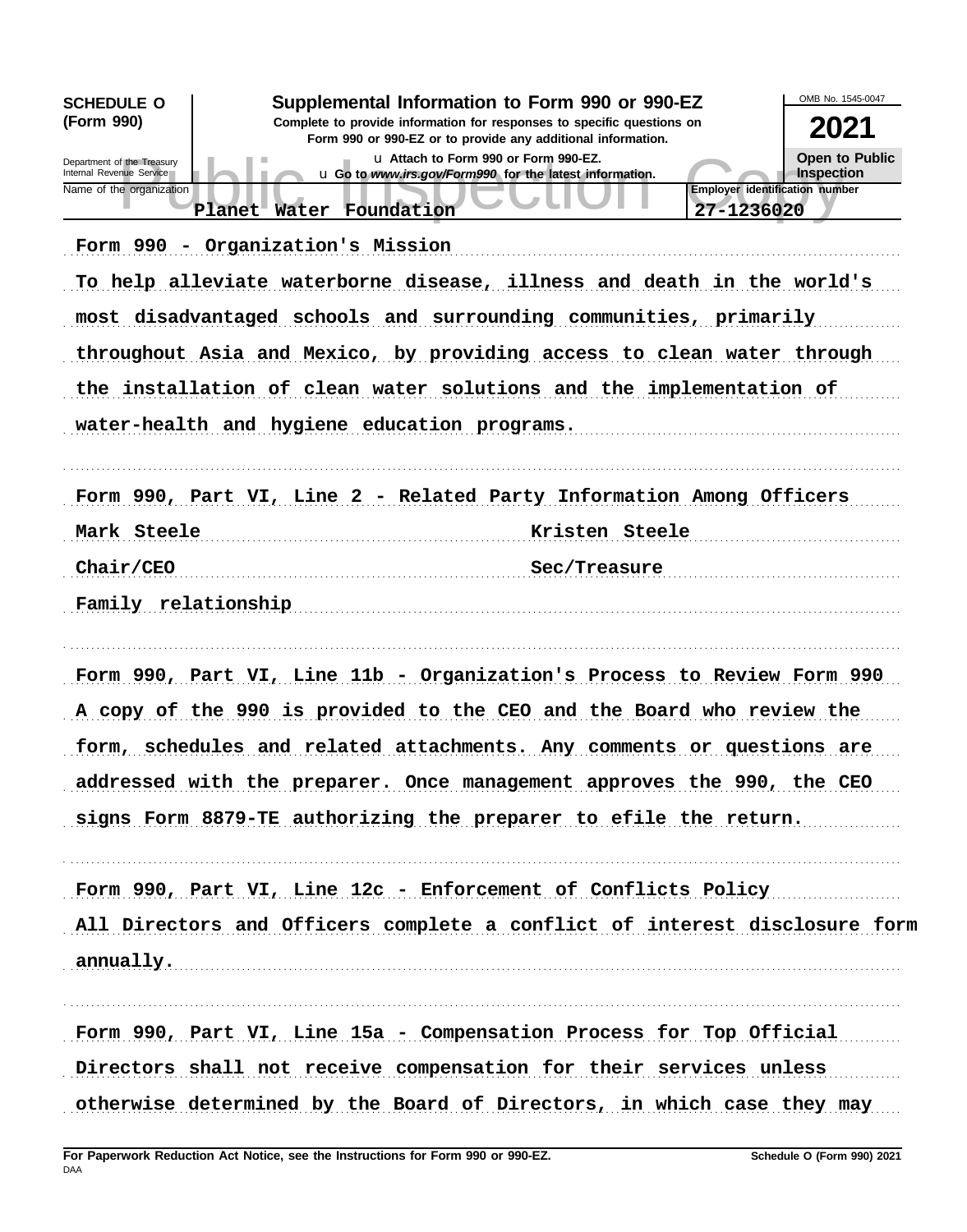| <b>SCHEDULE O</b>                                      | Supplemental Information to Form 990 or 990-EZ                                                                                         | OMB No. 1545-0047                   |
|--------------------------------------------------------|----------------------------------------------------------------------------------------------------------------------------------------|-------------------------------------|
| (Form 990)                                             | Complete to provide information for responses to specific questions on<br>Form 990 or 990-EZ or to provide any additional information. | 2021                                |
| Department of the Treasury<br>Internal Revenue Service | u Attach to Form 990 or Form 990-EZ.<br>u Go to www.irs.gov/Form990 for the latest information.                                        | <b>Open to Public</b><br>Inspection |
| Name of the organization                               | <b>Employer identification number</b><br>Planet Water Foundation<br>27-1236020                                                         |                                     |
|                                                        | Form 990 - Organization's Mission                                                                                                      |                                     |
|                                                        | To help alleviate waterborne disease, illness and death in the world's                                                                 |                                     |
|                                                        | most disadvantaged schools and surrounding communities, primarily                                                                      |                                     |
|                                                        | throughout Asia and Mexico, by providing access to clean water through                                                                 |                                     |
|                                                        | the installation of clean water solutions and the implementation of                                                                    |                                     |
|                                                        | water-health and hygiene education programs.                                                                                           |                                     |
|                                                        | Form 990, Part VI, Line 2 - Related Party Information Among Officers                                                                   |                                     |
| Mark Steele                                            | Kristen Steele                                                                                                                         |                                     |
| Chair/CEO                                              | Sec/Treasure                                                                                                                           |                                     |
| Family relationship                                    |                                                                                                                                        |                                     |
|                                                        | Form 990, Part VI, Line 11b - Organization's Process to Review Form 990                                                                |                                     |
|                                                        | A copy of the 990 is provided to the CEO and the Board who review the                                                                  |                                     |
|                                                        | form, schedules and related attachments. Any comments or questions are                                                                 |                                     |
|                                                        | addressed with the preparer. Once management approves the 990, the CEO                                                                 |                                     |
|                                                        | signs Form 8879-TE authorizing the preparer to efile the return.                                                                       |                                     |
|                                                        | Form 990, Part VI, Line 12c - Enforcement of Conflicts Policy                                                                          |                                     |
|                                                        | All Directors and Officers complete a conflict of interest disclosure form                                                             |                                     |
|                                                        | annually.                                                                                                                              |                                     |
|                                                        | Form 990, Part VI, Line 15a - Compensation Process for Top Official                                                                    |                                     |
|                                                        | Directors shall not receive compensation for their services unless                                                                     |                                     |
|                                                        | otherwise determined by the Board of Directors, in which case they may                                                                 |                                     |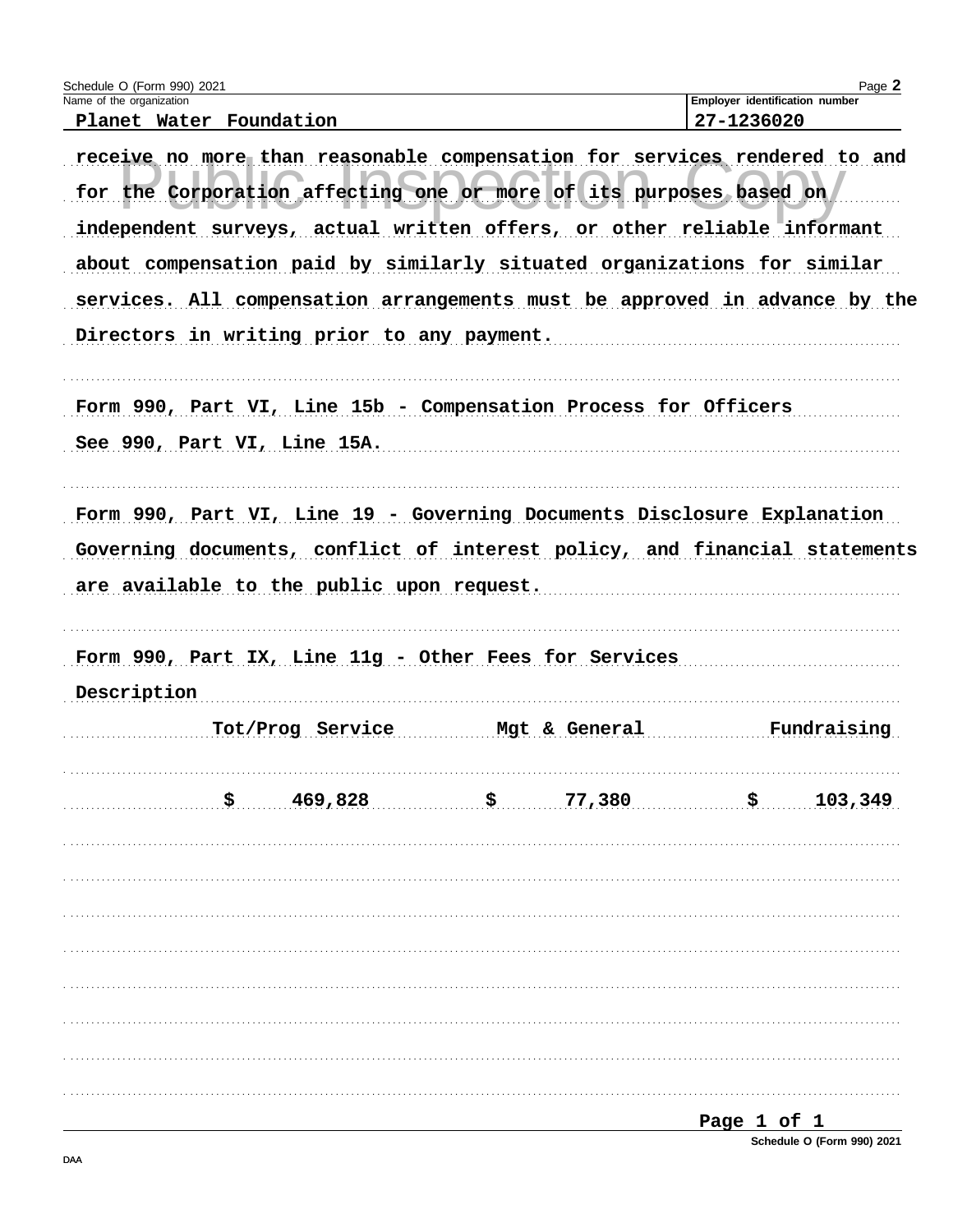| Schedule O (Form 990) 2021<br>Name of the organization |                                            |                                                                                                                                                 | Page 2<br>Employer identification number |
|--------------------------------------------------------|--------------------------------------------|-------------------------------------------------------------------------------------------------------------------------------------------------|------------------------------------------|
|                                                        | Planet Water Foundation                    |                                                                                                                                                 | 27-1236020                               |
|                                                        |                                            | receive no more than reasonable compensation for services rendered to and<br>for the Corporation affecting one or more of its purposes based on |                                          |
|                                                        |                                            | independent surveys, actual written offers, or other reliable informant                                                                         |                                          |
|                                                        |                                            | about compensation paid by similarly situated organizations for similar                                                                         |                                          |
|                                                        |                                            | services. All compensation arrangements must be approved in advance by the                                                                      |                                          |
|                                                        | Directors in writing prior to any payment. |                                                                                                                                                 |                                          |
|                                                        | See 990, Part VI, Line 15A.                | Form 990, Part VI, Line 15b - Compensation Process for Officers                                                                                 |                                          |
|                                                        |                                            | Form 990, Part VI, Line 19 - Governing Documents Disclosure Explanation                                                                         |                                          |
|                                                        |                                            | Governing documents, conflict of interest policy, and financial statements                                                                      |                                          |
|                                                        | are available to the public upon request.  |                                                                                                                                                 |                                          |
|                                                        |                                            |                                                                                                                                                 |                                          |
| Description                                            |                                            | Form 990, Part IX, Line 11g - Other Fees for Services                                                                                           |                                          |
|                                                        | Tot/Prog Service                           | Mgt & General                                                                                                                                   | Fundraising                              |
|                                                        | 469,828<br>\$.                             | \$.<br>77,380                                                                                                                                   | \$<br>103,349                            |
|                                                        |                                            |                                                                                                                                                 |                                          |
|                                                        |                                            |                                                                                                                                                 |                                          |
|                                                        |                                            |                                                                                                                                                 |                                          |
|                                                        |                                            |                                                                                                                                                 |                                          |
|                                                        |                                            |                                                                                                                                                 |                                          |

Schedule O (Form 990) 2021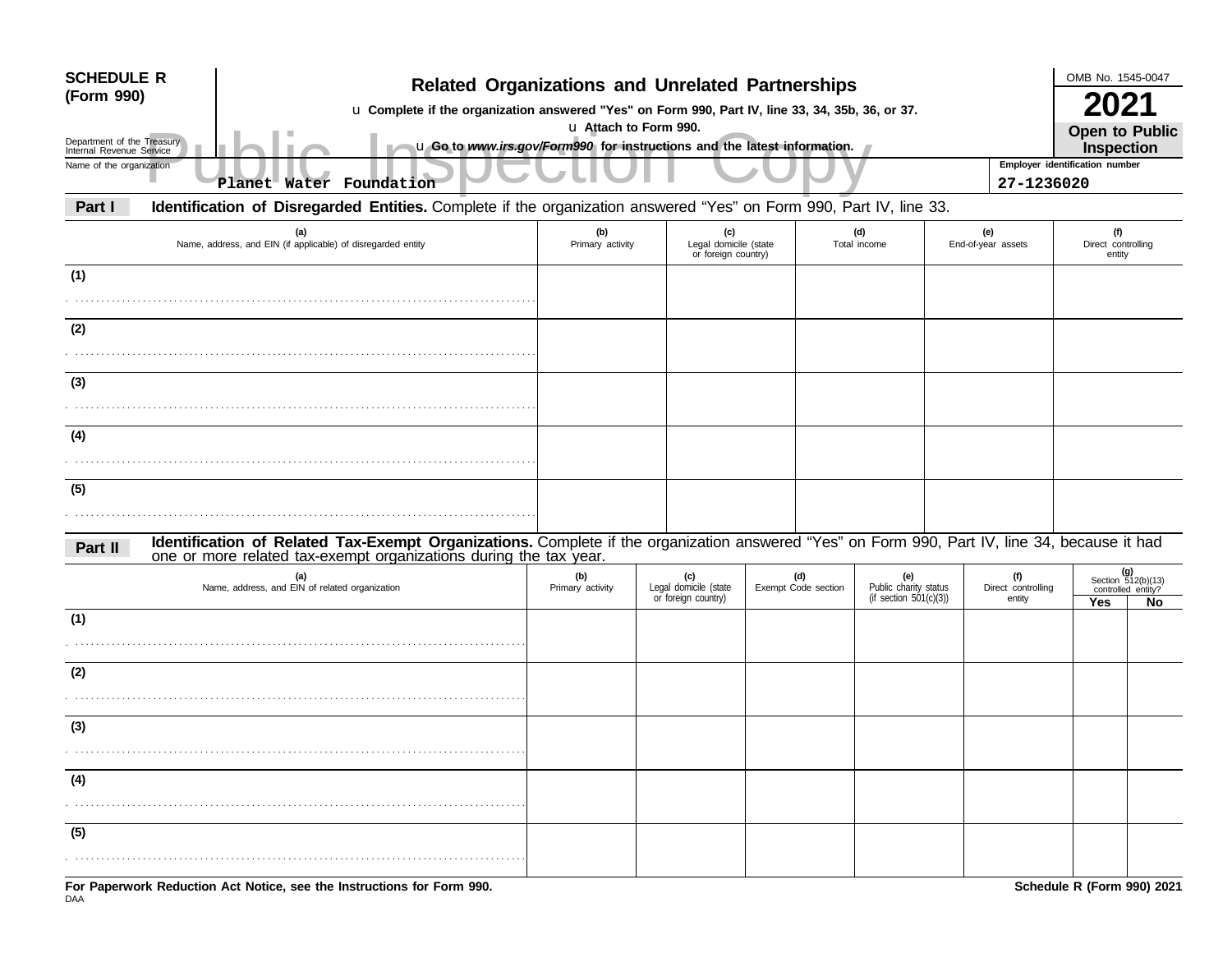| (Form 990) | <b>SCHEDULE R</b><br><b>Related Organizations and Unrelated Partnerships</b><br>u Complete if the organization answered "Yes" on Form 990, Part IV, line 33, 34, 35b, 36, or 37.<br>u Attach to Form 990.<br>Department of the Treasury<br>u Go to www.irs.gov/Form990 for instructions and the latest information.<br>Internal Revenue Service<br>Employer identification number<br>Name of the organization |                         |                                                     |                            |              |                                                        |                                     |                                                          |    |  |
|------------|---------------------------------------------------------------------------------------------------------------------------------------------------------------------------------------------------------------------------------------------------------------------------------------------------------------------------------------------------------------------------------------------------------------|-------------------------|-----------------------------------------------------|----------------------------|--------------|--------------------------------------------------------|-------------------------------------|----------------------------------------------------------|----|--|
|            | Planet Water Foundation                                                                                                                                                                                                                                                                                                                                                                                       |                         |                                                     |                            |              |                                                        | 27-1236020                          |                                                          |    |  |
| Part I     | Identification of Disregarded Entities. Complete if the organization answered "Yes" on Form 990, Part IV, line 33.<br>(a)                                                                                                                                                                                                                                                                                     | (b)                     | (c)                                                 |                            | (d)          |                                                        | (e)                                 | (f)                                                      |    |  |
|            | Name, address, and EIN (if applicable) of disregarded entity                                                                                                                                                                                                                                                                                                                                                  | Primary activity        | Legal domicile (state<br>or foreign country)        |                            | Total income |                                                        | End-of-year assets                  | Direct controlling<br>entity                             |    |  |
| (1)        |                                                                                                                                                                                                                                                                                                                                                                                                               |                         |                                                     |                            |              |                                                        |                                     |                                                          |    |  |
|            |                                                                                                                                                                                                                                                                                                                                                                                                               |                         |                                                     |                            |              |                                                        |                                     |                                                          |    |  |
| (2)        |                                                                                                                                                                                                                                                                                                                                                                                                               |                         |                                                     |                            |              |                                                        |                                     |                                                          |    |  |
| (3)        |                                                                                                                                                                                                                                                                                                                                                                                                               |                         |                                                     |                            |              |                                                        |                                     |                                                          |    |  |
|            |                                                                                                                                                                                                                                                                                                                                                                                                               |                         |                                                     |                            |              |                                                        |                                     |                                                          |    |  |
| (4)        |                                                                                                                                                                                                                                                                                                                                                                                                               |                         |                                                     |                            |              |                                                        |                                     |                                                          |    |  |
|            |                                                                                                                                                                                                                                                                                                                                                                                                               |                         |                                                     |                            |              |                                                        |                                     |                                                          |    |  |
| (5)        |                                                                                                                                                                                                                                                                                                                                                                                                               |                         |                                                     |                            |              |                                                        |                                     |                                                          |    |  |
| Part II    | Identification of Related Tax-Exempt Organizations. Complete if the organization answered "Yes" on Form 990, Part IV, line 34, because it had<br>one or more related tax-exempt organizations during the tax year.                                                                                                                                                                                            |                         |                                                     |                            |              |                                                        |                                     |                                                          |    |  |
|            | (a)<br>Name, address, and EIN of related organization                                                                                                                                                                                                                                                                                                                                                         | (b)<br>Primary activity | (c)<br>Legal domicile (state<br>or foreign country) | (d)<br>Exempt Code section |              | (e)<br>Public charity status<br>(if section 501(c)(3)) | (f)<br>Direct controlling<br>entity | $(g)$<br>Section 512(b)(13)<br>controlled entity?<br>Yes | No |  |
| (1)        |                                                                                                                                                                                                                                                                                                                                                                                                               |                         |                                                     |                            |              |                                                        |                                     |                                                          |    |  |
|            |                                                                                                                                                                                                                                                                                                                                                                                                               |                         |                                                     |                            |              |                                                        |                                     |                                                          |    |  |
| (2)        |                                                                                                                                                                                                                                                                                                                                                                                                               |                         |                                                     |                            |              |                                                        |                                     |                                                          |    |  |
| (3)        |                                                                                                                                                                                                                                                                                                                                                                                                               |                         |                                                     |                            |              |                                                        |                                     |                                                          |    |  |
|            |                                                                                                                                                                                                                                                                                                                                                                                                               |                         |                                                     |                            |              |                                                        |                                     |                                                          |    |  |
| (4)        |                                                                                                                                                                                                                                                                                                                                                                                                               |                         |                                                     |                            |              |                                                        |                                     |                                                          |    |  |
|            |                                                                                                                                                                                                                                                                                                                                                                                                               |                         |                                                     |                            |              |                                                        |                                     |                                                          |    |  |
| (5)        |                                                                                                                                                                                                                                                                                                                                                                                                               |                         |                                                     |                            |              |                                                        |                                     |                                                          |    |  |
|            |                                                                                                                                                                                                                                                                                                                                                                                                               |                         |                                                     |                            |              |                                                        |                                     |                                                          |    |  |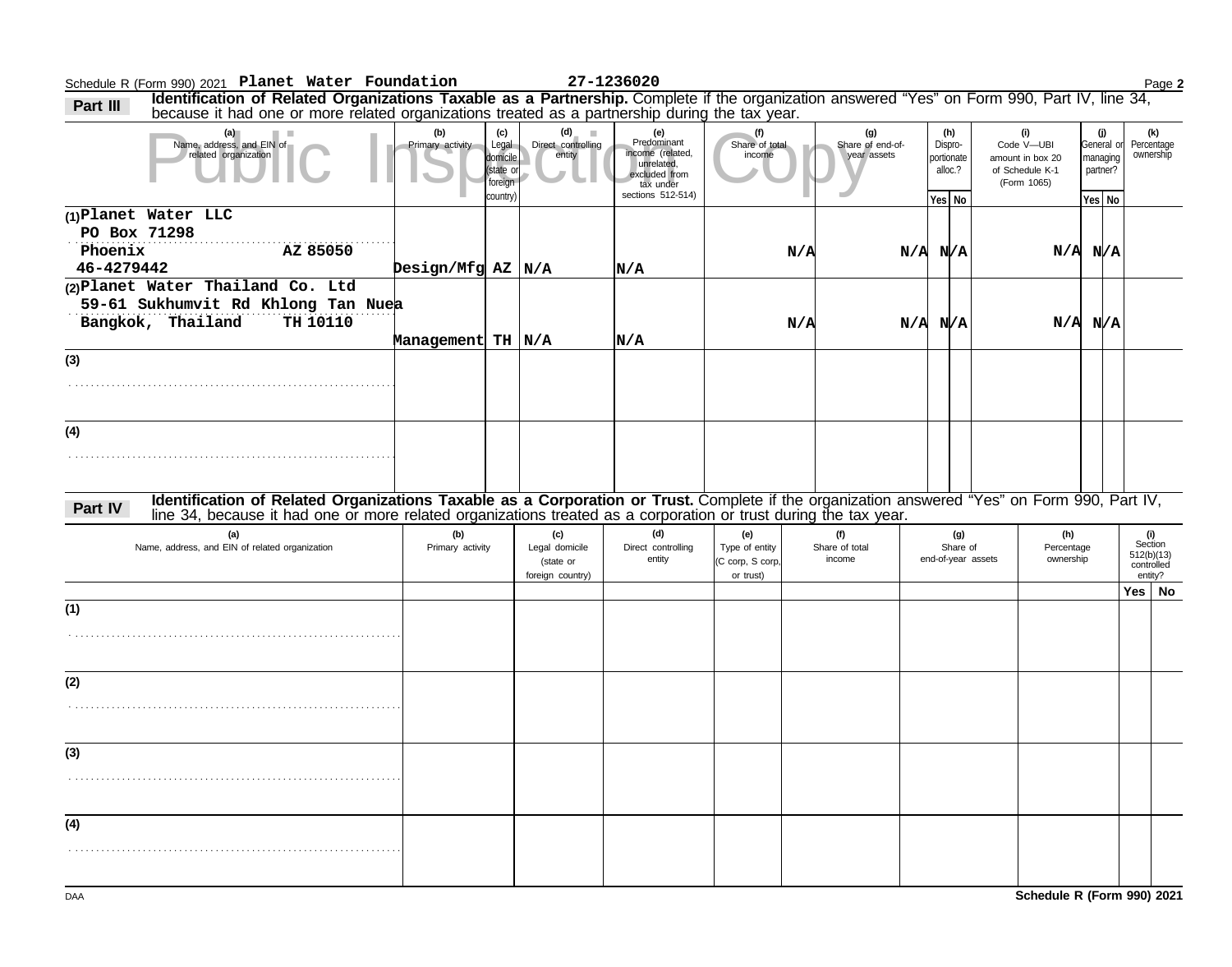Schedule R (Form 990) 2021 Page **2 Planet Water Foundation 27-1236020**

Part III Identification of Related Organizations Taxable as a Partnership. Complete if the organization answered "Yes" on Form 990, Part IV, line 34, Part IV, line 34, Part IV, line 34,

| (a)<br>٠<br>Name, address, and EIN of<br>related organization                                                                                | (b)<br>Primary activity   | (c)<br>Legal<br>domicile<br>(state or<br>foreign<br>country) | (d)<br>ш<br>Direct controlling<br>entity               | (e)<br>Predominant<br>income (related,<br>unrelated,<br>excluded from<br>tax under<br>sections 512-514) | (f)<br>Share of total<br>income                        |     | (g)<br>Share of end-of-<br>year assets | (h)<br>Dispro-<br>portionate<br>alloc.? | (i)<br>Code V-UBI<br>amount in box 20<br>of Schedule K-1<br>(Form 1065) |                                | General of<br>managing<br>partner? | (j) | (k)<br>Percentage<br>ownership                        |  |
|----------------------------------------------------------------------------------------------------------------------------------------------|---------------------------|--------------------------------------------------------------|--------------------------------------------------------|---------------------------------------------------------------------------------------------------------|--------------------------------------------------------|-----|----------------------------------------|-----------------------------------------|-------------------------------------------------------------------------|--------------------------------|------------------------------------|-----|-------------------------------------------------------|--|
|                                                                                                                                              |                           |                                                              |                                                        |                                                                                                         |                                                        |     |                                        | Yes   No                                |                                                                         |                                | Yes No                             |     |                                                       |  |
| (1) Planet Water LLC<br>PO Box 71298<br>Phoenix<br>AZ 85050<br>46-4279442                                                                    |                           |                                                              |                                                        |                                                                                                         |                                                        | N/A |                                        | N/A N/A                                 |                                                                         | $N/A$ $N/A$                    |                                    |     |                                                       |  |
|                                                                                                                                              | $\beta$ Design/Mfg AZ N/A |                                                              |                                                        | N/A                                                                                                     |                                                        |     |                                        |                                         |                                                                         |                                |                                    |     |                                                       |  |
| (2) Planet Water Thailand Co. Ltd<br>59-61 Sukhumvit Rd Khlong Tan Nuea<br>Bangkok, Thailand<br>TH 10110                                     | Management TH N/A         |                                                              |                                                        | N/A                                                                                                     |                                                        | N/A |                                        | N/A N/A                                 |                                                                         | $N/A$ $N/A$                    |                                    |     |                                                       |  |
|                                                                                                                                              |                           |                                                              |                                                        |                                                                                                         |                                                        |     |                                        |                                         |                                                                         |                                |                                    |     |                                                       |  |
| (3)                                                                                                                                          |                           |                                                              |                                                        |                                                                                                         |                                                        |     |                                        |                                         |                                                                         |                                |                                    |     |                                                       |  |
| (4)                                                                                                                                          |                           |                                                              |                                                        |                                                                                                         |                                                        |     |                                        |                                         |                                                                         |                                |                                    |     |                                                       |  |
|                                                                                                                                              |                           |                                                              |                                                        |                                                                                                         |                                                        |     |                                        |                                         |                                                                         |                                |                                    |     |                                                       |  |
| Identification of Related Organizations Taxable as a Corporation or Trust. Complete if the organization answered "Yes" on Form 990, Part IV, |                           |                                                              |                                                        |                                                                                                         |                                                        |     |                                        |                                         |                                                                         |                                |                                    |     |                                                       |  |
| Part IV<br>line 34, because it had one or more related organizations treated as a corporation or trust during the tax year.                  |                           |                                                              |                                                        |                                                                                                         |                                                        |     |                                        |                                         |                                                                         |                                |                                    |     |                                                       |  |
| (a)<br>Name, address, and EIN of related organization                                                                                        | (b)<br>Primary activity   |                                                              | (c)<br>Legal domicile<br>(state or<br>foreign country) | (d)<br>Direct controlling<br>entity                                                                     | (e)<br>Type of entity<br>(C corp, S corp,<br>or trust) |     | (f)<br>Share of total<br>income        | (g)<br>Share of<br>end-of-year assets   |                                                                         | (h)<br>Percentage<br>ownership |                                    |     | (i)<br>Section<br>512(b)(13)<br>controlled<br>entity? |  |
|                                                                                                                                              |                           |                                                              |                                                        |                                                                                                         |                                                        |     |                                        |                                         |                                                                         |                                |                                    |     | Yes   No                                              |  |
| (1)                                                                                                                                          |                           |                                                              |                                                        |                                                                                                         |                                                        |     |                                        |                                         |                                                                         |                                |                                    |     |                                                       |  |
| (2)                                                                                                                                          |                           |                                                              |                                                        |                                                                                                         |                                                        |     |                                        |                                         |                                                                         |                                |                                    |     |                                                       |  |
|                                                                                                                                              |                           |                                                              |                                                        |                                                                                                         |                                                        |     |                                        |                                         |                                                                         |                                |                                    |     |                                                       |  |
| (3)                                                                                                                                          |                           |                                                              |                                                        |                                                                                                         |                                                        |     |                                        |                                         |                                                                         |                                |                                    |     |                                                       |  |
|                                                                                                                                              |                           |                                                              |                                                        |                                                                                                         |                                                        |     |                                        |                                         |                                                                         |                                |                                    |     |                                                       |  |
| (4)                                                                                                                                          |                           |                                                              |                                                        |                                                                                                         |                                                        |     |                                        |                                         |                                                                         |                                |                                    |     |                                                       |  |
|                                                                                                                                              |                           |                                                              |                                                        |                                                                                                         |                                                        |     |                                        |                                         |                                                                         |                                |                                    |     |                                                       |  |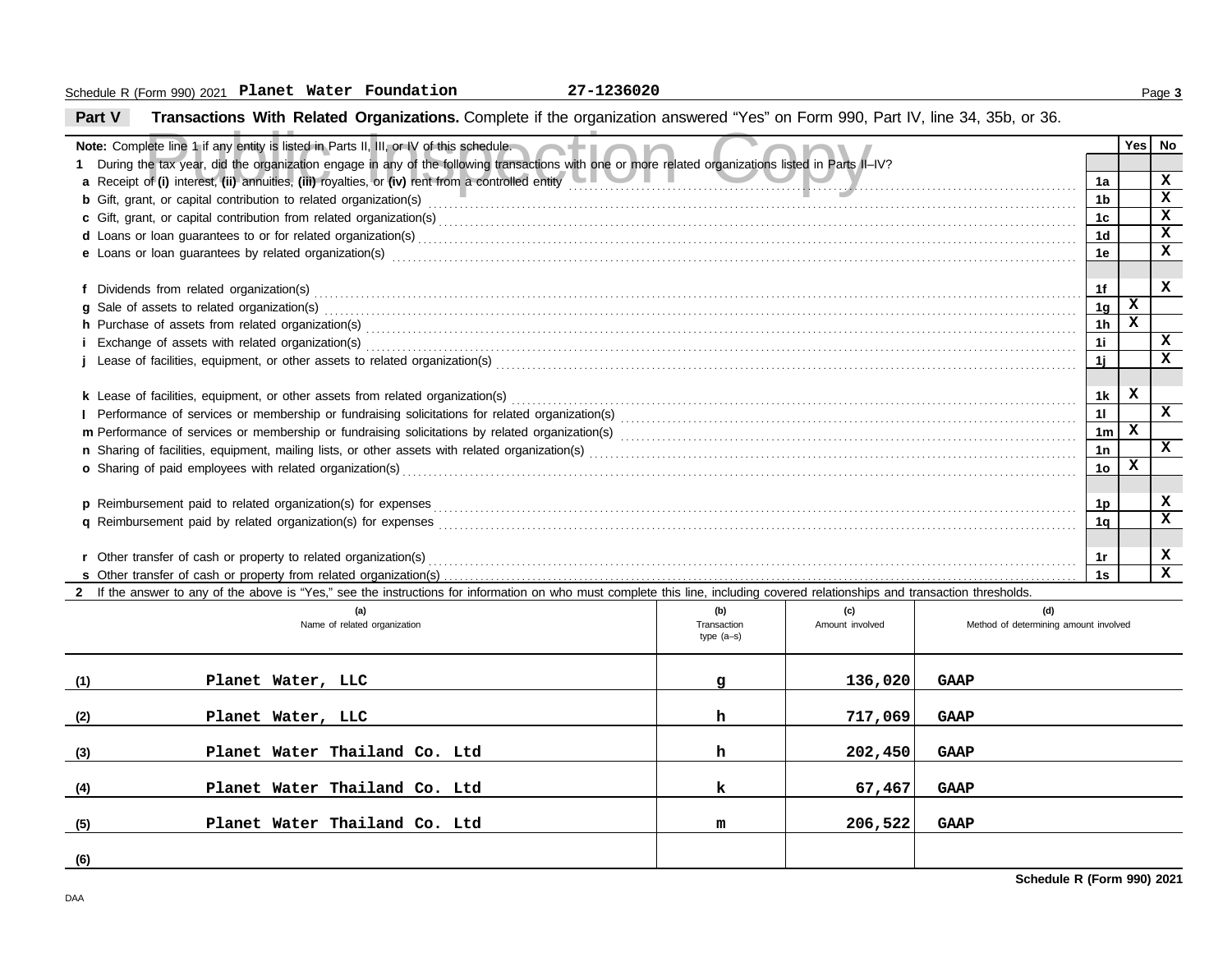# **Part V Transactions With Related Organizations.** Complete if the organization answered "Yes" on Form 990, Part IV, line 34, 35b, or 36.

|     | Note: Complete line 1 if any entity is listed in Parts II, III, or IV of this schedule.                                                                                                                                             |              |                 |                                       |                | Yes⊺         | No           |  |  |  |  |
|-----|-------------------------------------------------------------------------------------------------------------------------------------------------------------------------------------------------------------------------------------|--------------|-----------------|---------------------------------------|----------------|--------------|--------------|--|--|--|--|
|     | 1 During the tax year, did the organization engage in any of the following transactions with one or more related organizations listed in Parts II-IV?                                                                               |              |                 |                                       |                |              |              |  |  |  |  |
|     | a Receipt of (i) interest, (ii) annuities, (iii) royalties, or (iv) rent from a controlled entity <b>controlled entity</b>                                                                                                          |              |                 |                                       | 1a             |              | X            |  |  |  |  |
|     | b Gift, grant, or capital contribution to related organization(s) entertainment contains and container and contribution to related organization(s)                                                                                  |              |                 |                                       | 1 <sub>b</sub> |              | $\mathbf x$  |  |  |  |  |
|     |                                                                                                                                                                                                                                     |              |                 |                                       | 1 <sub>c</sub> |              | x            |  |  |  |  |
|     |                                                                                                                                                                                                                                     |              |                 |                                       | 1 <sub>d</sub> |              | $\mathbf{x}$ |  |  |  |  |
|     | e Loans or loan guarantees by related organization(s) encourance control and control and control or loan guarantees by related organization(s) encourance control and control and control and control and control and control       |              |                 |                                       | 1e             |              | $\mathbf{x}$ |  |  |  |  |
|     |                                                                                                                                                                                                                                     |              |                 |                                       |                |              | x            |  |  |  |  |
|     |                                                                                                                                                                                                                                     |              |                 |                                       |                |              |              |  |  |  |  |
|     | g Sale of assets to related organization(s) encourance contains a series and contained a series of assets to related organization(s)                                                                                                |              |                 |                                       | 1 <sub>g</sub> | $\mathbf{x}$ |              |  |  |  |  |
|     |                                                                                                                                                                                                                                     |              |                 |                                       | 1 <sub>h</sub> | x            |              |  |  |  |  |
|     |                                                                                                                                                                                                                                     |              |                 |                                       | 11             |              | X            |  |  |  |  |
|     |                                                                                                                                                                                                                                     |              |                 |                                       | 1j             |              | $\mathbf{x}$ |  |  |  |  |
|     |                                                                                                                                                                                                                                     |              |                 |                                       |                |              |              |  |  |  |  |
|     |                                                                                                                                                                                                                                     |              |                 |                                       |                |              |              |  |  |  |  |
|     |                                                                                                                                                                                                                                     |              |                 |                                       |                |              | $\mathbf x$  |  |  |  |  |
|     |                                                                                                                                                                                                                                     |              |                 |                                       |                |              |              |  |  |  |  |
|     |                                                                                                                                                                                                                                     |              |                 |                                       | 1n             |              | x            |  |  |  |  |
|     | <b>o</b> Sharing of paid employees with related organization(s)                                                                                                                                                                     |              |                 |                                       | 1 <sub>o</sub> | x            |              |  |  |  |  |
|     |                                                                                                                                                                                                                                     |              |                 |                                       |                |              |              |  |  |  |  |
|     |                                                                                                                                                                                                                                     |              |                 |                                       | 1 <sub>p</sub> |              | x            |  |  |  |  |
|     | q Reimbursement paid by related organization(s) for expenses <b>constructs</b> and construct the construction of the construction of the construction of the construction of the construction of the construction of the constructi |              |                 |                                       | 1 <sub>q</sub> |              | x            |  |  |  |  |
|     |                                                                                                                                                                                                                                     |              |                 |                                       |                |              |              |  |  |  |  |
|     |                                                                                                                                                                                                                                     |              |                 |                                       | 1r             |              | X            |  |  |  |  |
|     |                                                                                                                                                                                                                                     |              |                 |                                       | 1s             |              | $\mathbf{x}$ |  |  |  |  |
|     | 2 If the answer to any of the above is "Yes," see the instructions for information on who must complete this line, including covered relationships and transaction thresholds.                                                      |              |                 |                                       |                |              |              |  |  |  |  |
|     | (a)                                                                                                                                                                                                                                 | (b)          | (c)             | (d)                                   |                |              |              |  |  |  |  |
|     | Name of related organization                                                                                                                                                                                                        | Transaction  | Amount involved | Method of determining amount involved |                |              |              |  |  |  |  |
|     |                                                                                                                                                                                                                                     | type $(a-s)$ |                 |                                       |                |              |              |  |  |  |  |
|     |                                                                                                                                                                                                                                     |              |                 |                                       |                |              |              |  |  |  |  |
| (1) | Planet Water, LLC                                                                                                                                                                                                                   | g            | 136,020         | <b>GAAP</b>                           |                |              |              |  |  |  |  |
|     |                                                                                                                                                                                                                                     |              |                 |                                       |                |              |              |  |  |  |  |
| (2) | Planet Water, LLC                                                                                                                                                                                                                   | h            | 717,069         | <b>GAAP</b>                           |                |              |              |  |  |  |  |
|     |                                                                                                                                                                                                                                     |              |                 |                                       |                |              |              |  |  |  |  |

**Planet Water Thailand Co. Ltd h 202,450 GAAP**

**Planet Water Thailand Co. Ltd k 67,467 GAAP**

**Planet Water Thailand Co. Ltd m 206,522 GAAP**

**(3)**

**(4)**

**(5)**

**(6)**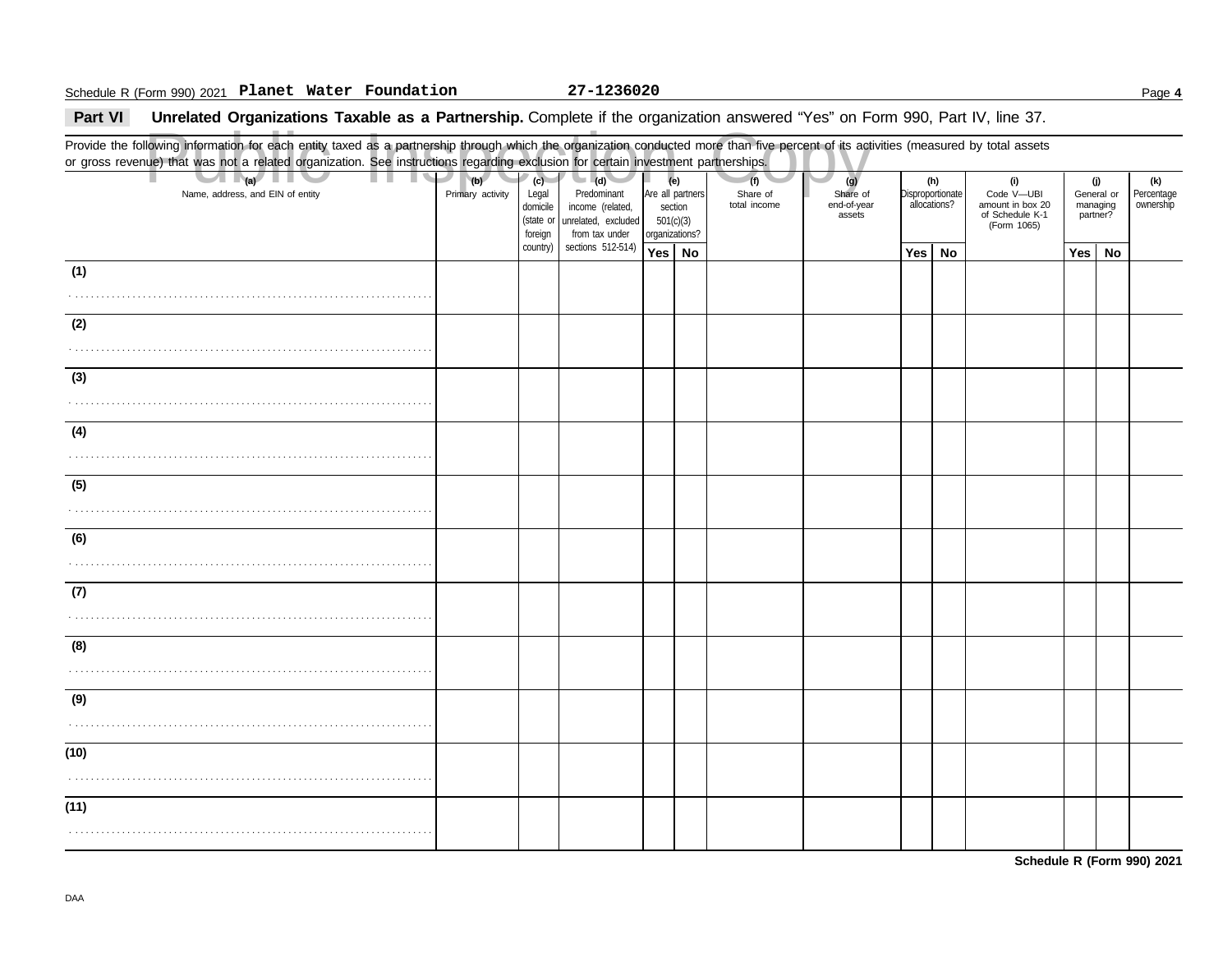### Schedule R (Form 990) 2021 Page **4 Planet Water Foundation 27-1236020**

### **Part VI** Unrelated Organizations Taxable as a Partnership. Complete if the organization answered "Yes" on Form 990, Part IV, line 37.

### Public Inspection Copy Provide the following information for each entity taxed as a partnership through which the organization conducted more than five percent of its activities (measured by total assets or gross revenue) that was not a related organization. See instructions regarding exclusion for certain investment partnerships. Name, address, and EIN of entity **Primary activity | Legal** domicile (state or Are all partners section 501(c)(3) organizations? Share of end-of-year assets Disproportionate allocations? Code V—UBI amount in box 20 of Schedule K-1 General or managing partner? **(a) (b) (c) (e) (g) (h) (i) (j)** . . . . . . . . . . . . . . . . . . . . . . . . . . . . . . . . . . . . . . . . . . . . . . . . . . . . . . . . . . . . . . . . . . . . . . **Yes No Yes No Yes No** . . . . . . . . . . . . . . . . . . . . . . . . . . . . . . . . . . . . . . . . . . . . . . . . . . . . . . . . . . . . . . . . . . . . . . . . . . . . . . . . . . . . . . . . . . . . . . . . . . . . . . . . . . . . . . . . . . . . . . . . . . . . . . . . . . . . . . . . . . . . . . . . . . . . . . . . . . . . . . . . . . . . . . . . . . . . . . . . . . . . . . . . . . . . . . . . . . . . . . . . . . . . . . . . . . . . . . . . . . . . . . . . . . . . . . . . . . . . . . . . . . . . . . . . . . . . . . . . . . . . . . . . . . . . . . . . . . . . . . . . . . . . . . . . . . . . . . . . . . . . . . . . . . . . . . . . . . . . . . . . . . . . . . . . . . . . . . . . . . . . . . . . . . . . . . . . . . . . . . . . . . . . . . . . . . . . . . . . . . . . . . . . . . . . . . . . . . . . . . . . . . . . . . . . . . . . . . . . . . . . . . . . . . . . . . . . . . . . . . . . . . . . . . . . . . . . . . . . . . . . . . . . . . . . . . . . . . . . . . . . . . . . . . . . . . . . . . . . . . . . . . . . . . . . . . . . . . . . . . . . . . . . . . . . . . . . . . . . . . . . . . . . . . . . . . . . . . . . . . . . . . . . . . . . . . . . . . . . . . . . . . . . . . . . . . . . . . . . . . . . . . . . . . . . . . . . . . . . . . . . . . . . . . . . . . (Form 1065) **(1) (2) (3) (4) (5) (6) (7) (8) (9) (10) (11) (d)** unrelated, excluded income (related, Predominant from tax under sections 512-514) foreign country) **(f)** total income Share of **(k)** ownership Percentage

**Schedule R (Form 990) 2021**

DAA